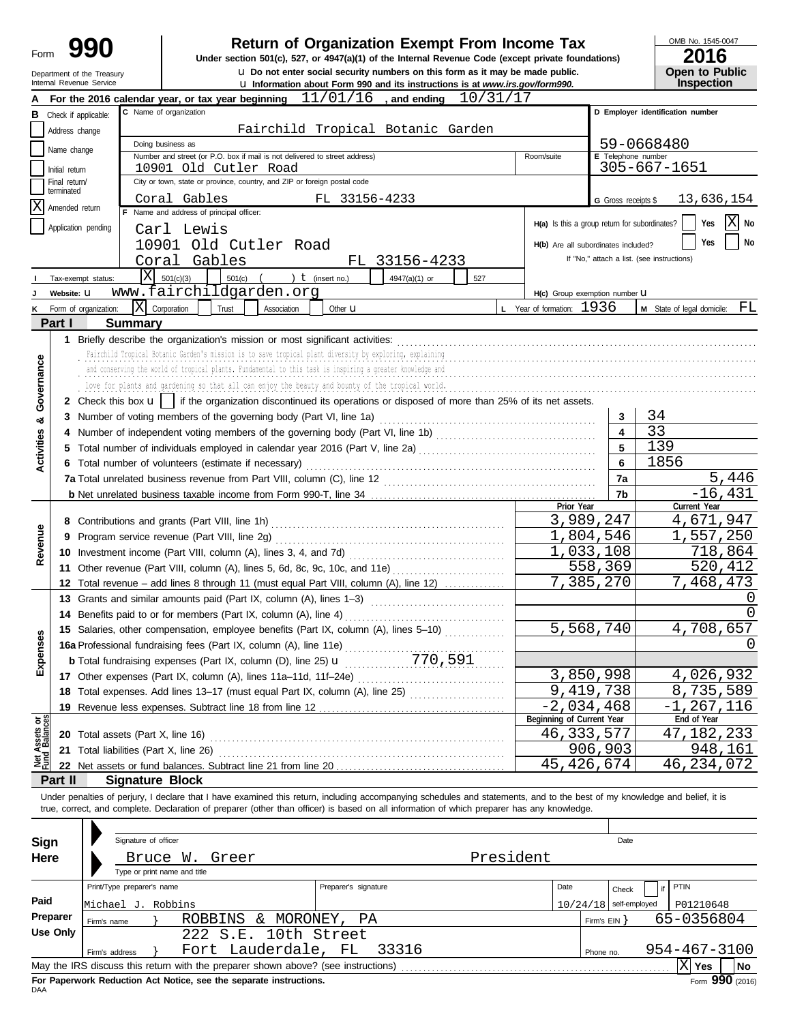| Form                       |                      |                            | Return of Organization Exempt From Income Tax                                                                                                                                                                                                                                                                            |                          | OMB No. 1545-0047                          |
|----------------------------|----------------------|----------------------------|--------------------------------------------------------------------------------------------------------------------------------------------------------------------------------------------------------------------------------------------------------------------------------------------------------------------------|--------------------------|--------------------------------------------|
|                            |                      | Department of the Treasury | Under section 501(c), 527, or 4947(a)(1) of the Internal Revenue Code (except private foundations)<br><b>u</b> Do not enter social security numbers on this form as it may be made public.                                                                                                                               |                          | 2016<br>Open to Public                     |
|                            |                      | Internal Revenue Service   | <b>u</b> Information about Form 990 and its instructions is at www.irs.gov/form990.                                                                                                                                                                                                                                      |                          | <b>Inspection</b>                          |
|                            |                      |                            | For the 2016 calendar year, or tax year beginning $11/01/16$ , and ending<br>10/31/17                                                                                                                                                                                                                                    |                          |                                            |
| в                          | Check if applicable: |                            | C Name of organization                                                                                                                                                                                                                                                                                                   |                          | D Employer identification number           |
|                            | Address change       |                            | Fairchild Tropical Botanic Garden                                                                                                                                                                                                                                                                                        |                          |                                            |
|                            | Name change          |                            | Doing business as<br>Number and street (or P.O. box if mail is not delivered to street address)<br>Room/suite                                                                                                                                                                                                            | E Telephone number       | 59-0668480                                 |
|                            | Initial return       |                            | 10901 Old Cutler Road                                                                                                                                                                                                                                                                                                    |                          | 305-667-1651                               |
|                            | Final return/        |                            | City or town, state or province, country, and ZIP or foreign postal code                                                                                                                                                                                                                                                 |                          |                                            |
|                            | terminated           |                            | Coral Gables<br>FL 33156-4233                                                                                                                                                                                                                                                                                            | G Gross receipts \$      | 13,636,154                                 |
| ΙX                         | Amended return       |                            | F Name and address of principal officer:                                                                                                                                                                                                                                                                                 |                          |                                            |
|                            | Application pending  |                            | H(a) Is this a group return for subordinates?<br>Carl Lewis                                                                                                                                                                                                                                                              |                          | X<br>Yes<br>No                             |
|                            |                      |                            | 10901 Old Cutler Road<br>H(b) Are all subordinates included?                                                                                                                                                                                                                                                             |                          | Yes<br>No                                  |
|                            |                      |                            | Coral Gables<br>FL 33156-4233                                                                                                                                                                                                                                                                                            |                          | If "No," attach a list. (see instructions) |
|                            |                      | Tax-exempt status:         | ΙXΙ<br>501(c)(3)<br>501(c)<br>) $t$ (insert no.)<br>4947(a)(1) or<br>527                                                                                                                                                                                                                                                 |                          |                                            |
|                            | Website: U           |                            | www.fairchildgarden.org<br>H(c) Group exemption number <b>U</b>                                                                                                                                                                                                                                                          |                          |                                            |
|                            |                      | Form of organization:      | X   Corporation<br>L Year of formation: 1936<br>Trust<br>Association<br>Other $\mathbf u$                                                                                                                                                                                                                                |                          | M State of legal domicile: FL              |
|                            | Part I               | <b>Summary</b>             |                                                                                                                                                                                                                                                                                                                          |                          |                                            |
|                            |                      |                            |                                                                                                                                                                                                                                                                                                                          |                          |                                            |
|                            |                      |                            | Fairchild Tropical Botanic Garden's mission is to save tropical plant diversity by exploring, explaining                                                                                                                                                                                                                 |                          |                                            |
|                            |                      |                            | and conserving the world of tropical plants. Fundamental to this task is inspiring a greater knowledge and                                                                                                                                                                                                               |                          |                                            |
| Governance                 |                      |                            | love for plants and gardening so that all can enjoy the beauty and bounty of the tropical world.                                                                                                                                                                                                                         |                          |                                            |
|                            |                      |                            | 2 Check this box $\mathbf{u}$   if the organization discontinued its operations or disposed of more than 25% of its net assets.                                                                                                                                                                                          |                          |                                            |
| ಯ                          |                      |                            | 3 Number of voting members of the governing body (Part VI, line 1a)                                                                                                                                                                                                                                                      | 3                        | 34                                         |
|                            |                      |                            |                                                                                                                                                                                                                                                                                                                          | $\overline{\mathbf{4}}$  | 33                                         |
| Activities                 |                      |                            |                                                                                                                                                                                                                                                                                                                          | 5                        | 139                                        |
|                            |                      |                            | 6 Total number of volunteers (estimate if necessary)                                                                                                                                                                                                                                                                     | 6                        | 1856                                       |
|                            |                      |                            |                                                                                                                                                                                                                                                                                                                          | 7a                       | 5,446                                      |
|                            |                      |                            |                                                                                                                                                                                                                                                                                                                          | 7b                       | $-16,431$                                  |
|                            |                      |                            | Prior Year                                                                                                                                                                                                                                                                                                               |                          | Current Year                               |
|                            |                      |                            | 3,989,247                                                                                                                                                                                                                                                                                                                |                          | 4,671,947<br>1,557,250                     |
| Revenue                    |                      |                            | 1,804,546<br>1,033,108                                                                                                                                                                                                                                                                                                   |                          | 718,864                                    |
|                            |                      |                            |                                                                                                                                                                                                                                                                                                                          | 558,369                  | 520,412                                    |
|                            |                      |                            | 11 Other revenue (Part VIII, column (A), lines 5, 6d, 8c, 9c, 10c, and 11e)<br>7,385,270<br>12 Total revenue - add lines 8 through 11 (must equal Part VIII, column (A), line 12)                                                                                                                                        |                          | 7,468,473                                  |
|                            |                      |                            | 13 Grants and similar amounts paid (Part IX, column (A), lines 1-3)                                                                                                                                                                                                                                                      |                          |                                            |
|                            |                      |                            | 14 Benefits paid to or for members (Part IX, column (A), line 4)                                                                                                                                                                                                                                                         |                          | <sup>0</sup>                               |
|                            |                      |                            | 5,568,740<br>15 Salaries, other compensation, employee benefits (Part IX, column (A), lines 5-10)                                                                                                                                                                                                                        |                          | 4,708,657                                  |
| s                          |                      |                            |                                                                                                                                                                                                                                                                                                                          |                          | $\Omega$                                   |
| Expense                    |                      |                            |                                                                                                                                                                                                                                                                                                                          |                          |                                            |
|                            |                      |                            | 3,850,998                                                                                                                                                                                                                                                                                                                |                          | 4,026,932                                  |
|                            |                      |                            | 9,419,738<br>18 Total expenses. Add lines 13-17 (must equal Part IX, column (A), line 25)                                                                                                                                                                                                                                |                          | 8,735,589                                  |
|                            |                      |                            | $-2,034,468$                                                                                                                                                                                                                                                                                                             |                          | $-1, 267, 116$                             |
|                            |                      |                            | Beginning of Current Year                                                                                                                                                                                                                                                                                                |                          | End of Year                                |
| Assets or<br>d<br>Balances |                      |                            | 46, 333, 577<br>20 Total assets (Part X, line 16)                                                                                                                                                                                                                                                                        |                          | 47, 182, 233                               |
|                            |                      |                            | 21 Total liabilities (Part X, line 26)                                                                                                                                                                                                                                                                                   | 906,903                  | 948,161                                    |
|                            |                      |                            | 45, 426, 674                                                                                                                                                                                                                                                                                                             |                          | 46, 234, 072                               |
|                            | Part II              |                            | <b>Signature Block</b>                                                                                                                                                                                                                                                                                                   |                          |                                            |
|                            |                      |                            | Under penalties of perjury, I declare that I have examined this return, including accompanying schedules and statements, and to the best of my knowledge and belief, it is<br>true, correct, and complete. Declaration of preparer (other than officer) is based on all information of which preparer has any knowledge. |                          |                                            |
|                            |                      |                            |                                                                                                                                                                                                                                                                                                                          |                          |                                            |
| Sign                       |                      |                            | Signature of officer                                                                                                                                                                                                                                                                                                     | Date                     |                                            |
| Here                       |                      |                            | President<br>Bruce W. Greer                                                                                                                                                                                                                                                                                              |                          |                                            |
|                            |                      |                            | Type or print name and title                                                                                                                                                                                                                                                                                             |                          |                                            |
|                            |                      | Print/Type preparer's name | Date<br>Preparer's signature                                                                                                                                                                                                                                                                                             | Check                    | PTIN<br>if                                 |
| Paid                       |                      |                            | Michael J. Robbins                                                                                                                                                                                                                                                                                                       | $10/24/18$ self-employed | P01210648                                  |
|                            | Preparer             | Firm's name                | ROBBINS & MORONEY,<br>ΡA                                                                                                                                                                                                                                                                                                 | Firm's $EIN$ }           | 65-0356804                                 |
|                            | <b>Use Only</b>      |                            | 222 S.E. 10th Street                                                                                                                                                                                                                                                                                                     |                          |                                            |
|                            |                      | Firm's address             | Fort Lauderdale, FL<br>33316                                                                                                                                                                                                                                                                                             | Phone no.                | $954 - 467 - 3100$                         |
|                            |                      |                            | May the IRS discuss this return with the preparer shown above? (see instructions)                                                                                                                                                                                                                                        |                          | $X$ Yes<br><b>No</b>                       |

| Sign     | Signature of officer                                                                  |                                                                                   |                      |           |                          | Date  |              |  |  |  |
|----------|---------------------------------------------------------------------------------------|-----------------------------------------------------------------------------------|----------------------|-----------|--------------------------|-------|--------------|--|--|--|
| Here     | Bruce                                                                                 | W.<br>Greer                                                                       |                      | President |                          |       |              |  |  |  |
|          | Type or print name and title                                                          |                                                                                   |                      |           |                          |       |              |  |  |  |
|          | Print/Type preparer's name                                                            |                                                                                   | Preparer's signature |           | Date                     | Check | PTIN         |  |  |  |
| Paid     | Michael J. Robbins                                                                    |                                                                                   |                      |           | $10/24/18$ self-employed |       | P01210648    |  |  |  |
| Preparer | Firm's name                                                                           | ROBBINS<br>&                                                                      | MORONEY, PA          |           | Firm's $EIN$             |       | 65-0356804   |  |  |  |
| Use Only |                                                                                       | 222 S.E. 10th Street                                                              |                      |           |                          |       |              |  |  |  |
|          | Firm's address                                                                        | Fort Lauderdale, FL 33316                                                         |                      |           | Phone no.                |       | 954-467-3100 |  |  |  |
|          |                                                                                       | May the IRS discuss this return with the preparer shown above? (see instructions) |                      |           |                          |       | No<br>Yes    |  |  |  |
| DAA      | Form 990 (2016)<br>For Paperwork Reduction Act Notice, see the separate instructions. |                                                                                   |                      |           |                          |       |              |  |  |  |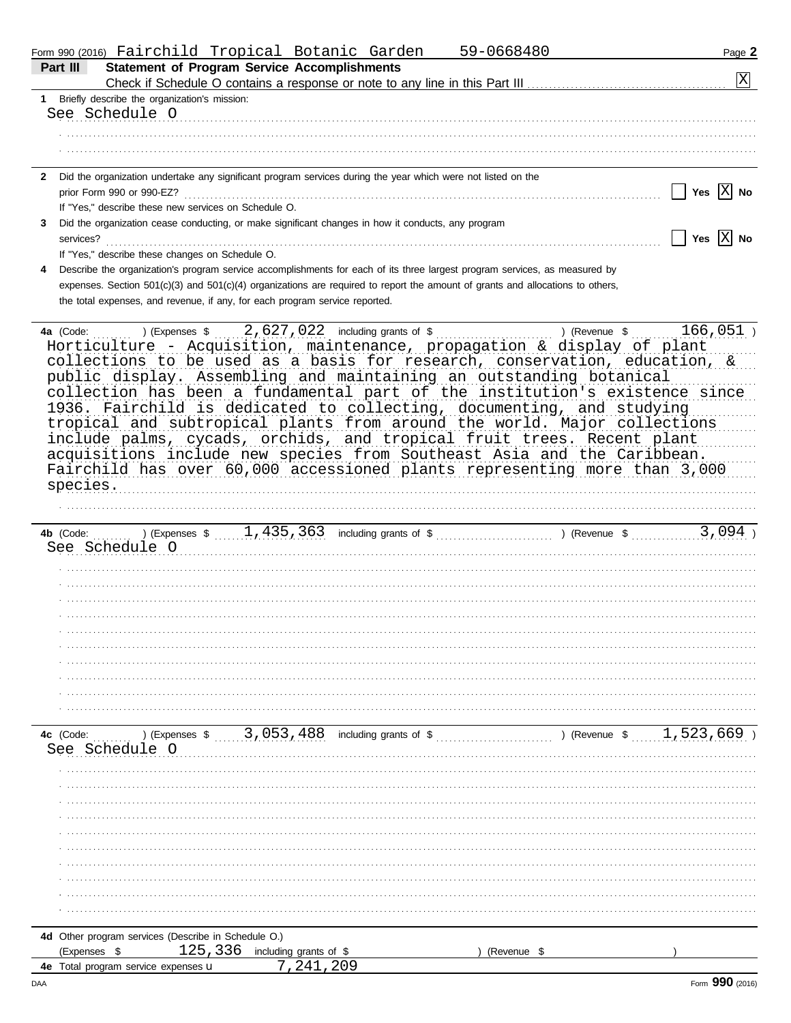|   | Form 990 (2016) Fairchild Tropical Botanic Garden<br>59-0668480                                                                                                                                                                                                                                                     | Page 2                |
|---|---------------------------------------------------------------------------------------------------------------------------------------------------------------------------------------------------------------------------------------------------------------------------------------------------------------------|-----------------------|
|   | <b>Statement of Program Service Accomplishments</b><br>Part III                                                                                                                                                                                                                                                     | $\vert$ X             |
|   | Briefly describe the organization's mission:<br>See Schedule O                                                                                                                                                                                                                                                      |                       |
|   |                                                                                                                                                                                                                                                                                                                     |                       |
| 2 | Did the organization undertake any significant program services during the year which were not listed on the<br>prior Form 990 or 990-EZ?                                                                                                                                                                           | Yes $\overline{X}$ No |
|   | If "Yes." describe these new services on Schedule O.<br>Did the organization cease conducting, or make significant changes in how it conducts, any program<br>services?                                                                                                                                             | Yes $X$ No            |
|   | If "Yes," describe these changes on Schedule O.<br>Describe the organization's program service accomplishments for each of its three largest program services, as measured by<br>expenses. Section $501(c)(3)$ and $501(c)(4)$ organizations are required to report the amount of grants and allocations to others, |                       |

the total expenses, and revenue, if any, for each program service reported.

 $166,051$ ) (Expenses \$ 4a (Code: Horticulture - Acquisition, maintenance, propagation & display of plant collections to be used as a basis for research, conservation, education, & public display. Assembling and maintaining an outstanding botanical collection has been a fundamental part of the institution's existence since 1936. Fairchild is dedicated to collecting, documenting, and studying tropical and subtropical plants from around the world. Major collections include palms, cycads, orchids, and tropical fruit trees. Recent plant acquisitions include new species from Southeast Asia and the Caribbean. Fairchild has over 60,000 accessioned plants representing more than 3,000 4b (Code: ) (Expenses  $\frac{1}{435}$ ,  $\frac{435}{363}$  including grants of  $\frac{1}{3}$  (Revenue  $\frac{2}{3}$ , 094) See Schedule 0 ) (Expenses \$ ....... 3 , 053 , 488 including grants of  $\frac{1}{2}$ ,  $\frac{1}{523}$ ,  $\frac{669}{2}$ 4c (Code: See Schedule O

| $\frac{1}{2}$ can program corridoo $\frac{1}{2}$ coomed in concease city |                     |          |  |  |  |  |
|--------------------------------------------------------------------------|---------------------|----------|--|--|--|--|
| . .<br>(Expenses<br>---                                                  | including grants of | (Revenue |  |  |  |  |
| 4е<br>Total<br>program<br>) service expenses ${\bf u}$                   | . u -               |          |  |  |  |  |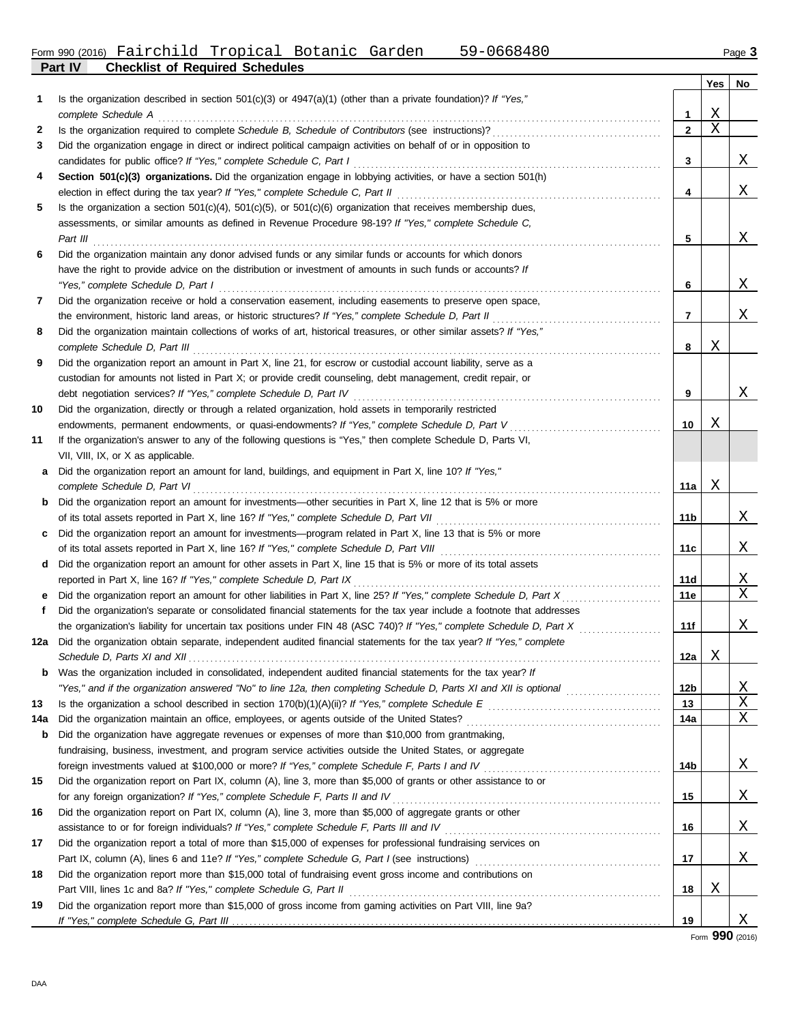**Part IV Checklist of Required Schedules**

|     | shoomot of hoquitou concuum                                                                                                                                                                                                                      |              |     |                  |
|-----|--------------------------------------------------------------------------------------------------------------------------------------------------------------------------------------------------------------------------------------------------|--------------|-----|------------------|
|     |                                                                                                                                                                                                                                                  |              | Yes | No               |
| 1   | Is the organization described in section $501(c)(3)$ or $4947(a)(1)$ (other than a private foundation)? If "Yes,"<br>complete Schedule A                                                                                                         | 1            | Χ   |                  |
| 2   |                                                                                                                                                                                                                                                  | $\mathbf{2}$ | X   |                  |
| 3   | Did the organization engage in direct or indirect political campaign activities on behalf of or in opposition to                                                                                                                                 |              |     |                  |
|     | candidates for public office? If "Yes," complete Schedule C, Part I                                                                                                                                                                              | 3            |     | Χ                |
| 4   | Section 501(c)(3) organizations. Did the organization engage in lobbying activities, or have a section 501(h)                                                                                                                                    |              |     |                  |
|     | election in effect during the tax year? If "Yes," complete Schedule C, Part II                                                                                                                                                                   | 4            |     | Χ                |
| 5   | Is the organization a section $501(c)(4)$ , $501(c)(5)$ , or $501(c)(6)$ organization that receives membership dues,                                                                                                                             |              |     |                  |
|     | assessments, or similar amounts as defined in Revenue Procedure 98-19? If "Yes," complete Schedule C,                                                                                                                                            |              |     |                  |
|     | Part III                                                                                                                                                                                                                                         | 5            |     | Χ                |
| 6   | Did the organization maintain any donor advised funds or any similar funds or accounts for which donors                                                                                                                                          |              |     |                  |
|     | have the right to provide advice on the distribution or investment of amounts in such funds or accounts? If                                                                                                                                      |              |     |                  |
|     | "Yes," complete Schedule D, Part I                                                                                                                                                                                                               | 6            |     | Χ                |
| 7   | Did the organization receive or hold a conservation easement, including easements to preserve open space,                                                                                                                                        |              |     |                  |
|     |                                                                                                                                                                                                                                                  | 7            |     | Χ                |
| 8   | Did the organization maintain collections of works of art, historical treasures, or other similar assets? If "Yes,"                                                                                                                              |              |     |                  |
|     | complete Schedule D, Part III                                                                                                                                                                                                                    | 8            | Χ   |                  |
| 9   | Did the organization report an amount in Part X, line 21, for escrow or custodial account liability, serve as a                                                                                                                                  |              |     |                  |
|     | custodian for amounts not listed in Part X; or provide credit counseling, debt management, credit repair, or                                                                                                                                     |              |     |                  |
|     | debt negotiation services? If "Yes," complete Schedule D, Part IV                                                                                                                                                                                | 9            |     | Χ                |
| 10  | Did the organization, directly or through a related organization, hold assets in temporarily restricted                                                                                                                                          |              |     |                  |
|     | endowments, permanent endowments, or quasi-endowments? If "Yes," complete Schedule D, Part V                                                                                                                                                     | 10           | Χ   |                  |
| 11  | If the organization's answer to any of the following questions is "Yes," then complete Schedule D, Parts VI,                                                                                                                                     |              |     |                  |
|     | VII, VIII, IX, or X as applicable.                                                                                                                                                                                                               |              |     |                  |
| a   | Did the organization report an amount for land, buildings, and equipment in Part X, line 10? If "Yes,"                                                                                                                                           |              |     |                  |
|     | complete Schedule D, Part VI                                                                                                                                                                                                                     | 11a          | Χ   |                  |
| b   | Did the organization report an amount for investments—other securities in Part X, line 12 that is 5% or more                                                                                                                                     |              |     |                  |
|     | of its total assets reported in Part X, line 16? If "Yes," complete Schedule D, Part VII                                                                                                                                                         | 11b          |     | Χ                |
| c   | Did the organization report an amount for investments—program related in Part X, line 13 that is 5% or more                                                                                                                                      |              |     |                  |
|     | of its total assets reported in Part X, line 16? If "Yes," complete Schedule D, Part VIII                                                                                                                                                        | 11c          |     | Χ                |
| d   | Did the organization report an amount for other assets in Part X, line 15 that is 5% or more of its total assets                                                                                                                                 |              |     |                  |
|     | reported in Part X, line 16? If "Yes," complete Schedule D, Part IX                                                                                                                                                                              | 11d          |     | X<br>$\mathbf X$ |
| е   | Did the organization report an amount for other liabilities in Part X, line 25? If "Yes," complete Schedule D, Part X<br>Did the organization's separate or consolidated financial statements for the tax year include a footnote that addresses | 11e          |     |                  |
| f   | the organization's liability for uncertain tax positions under FIN 48 (ASC 740)? If "Yes," complete Schedule D, Part X                                                                                                                           | 11f          |     | Χ                |
| 12a | Did the organization obtain separate, independent audited financial statements for the tax year? If "Yes," complete                                                                                                                              |              |     |                  |
|     |                                                                                                                                                                                                                                                  | 12a          | Χ   |                  |
| b   | Was the organization included in consolidated, independent audited financial statements for the tax year? If                                                                                                                                     |              |     |                  |
|     |                                                                                                                                                                                                                                                  | 12b          |     | Χ                |
| 13  |                                                                                                                                                                                                                                                  | 13           |     | Χ                |
| 14a |                                                                                                                                                                                                                                                  | 14a          |     | Χ                |
| b   | Did the organization have aggregate revenues or expenses of more than \$10,000 from grantmaking,                                                                                                                                                 |              |     |                  |
|     | fundraising, business, investment, and program service activities outside the United States, or aggregate                                                                                                                                        |              |     |                  |
|     | foreign investments valued at \$100,000 or more? If "Yes," complete Schedule F, Parts I and IV [[[[[[[[[[[[[[[                                                                                                                                   | 14b          |     | X                |
| 15  | Did the organization report on Part IX, column (A), line 3, more than \$5,000 of grants or other assistance to or                                                                                                                                |              |     |                  |
|     | for any foreign organization? If "Yes," complete Schedule F, Parts II and IV                                                                                                                                                                     | 15           |     | X                |
| 16  | Did the organization report on Part IX, column (A), line 3, more than \$5,000 of aggregate grants or other                                                                                                                                       |              |     |                  |
|     | assistance to or for foreign individuals? If "Yes," complete Schedule F, Parts III and IV                                                                                                                                                        | 16           |     | X                |
| 17  | Did the organization report a total of more than \$15,000 of expenses for professional fundraising services on                                                                                                                                   |              |     |                  |
|     |                                                                                                                                                                                                                                                  | 17           |     | X                |
| 18  | Did the organization report more than \$15,000 total of fundraising event gross income and contributions on                                                                                                                                      |              |     |                  |
|     | Part VIII, lines 1c and 8a? If "Yes," complete Schedule G, Part II                                                                                                                                                                               | 18           | Χ   |                  |
| 19  | Did the organization report more than \$15,000 of gross income from gaming activities on Part VIII, line 9a?                                                                                                                                     |              |     |                  |
|     |                                                                                                                                                                                                                                                  | 19           |     | Χ                |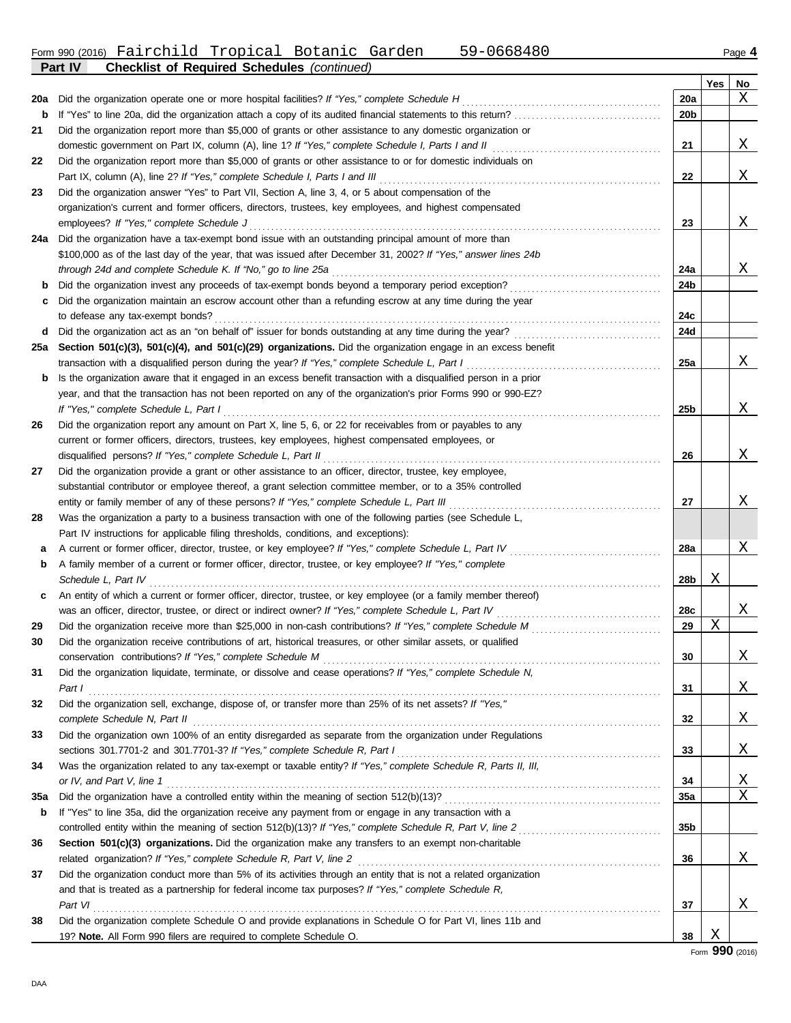Form 990 (2016) Page **4** Fairchild Tropical Botanic Garden 59-0668480

|     | <b>Checklist of Required Schedules (continued)</b><br>Part IV                                                         |     |     |               |
|-----|-----------------------------------------------------------------------------------------------------------------------|-----|-----|---------------|
|     |                                                                                                                       |     | Yes | No            |
| 20a | Did the organization operate one or more hospital facilities? If "Yes," complete Schedule H                           | 20a |     | X             |
| b   | If "Yes" to line 20a, did the organization attach a copy of its audited financial statements to this return?          | 20b |     |               |
| 21  | Did the organization report more than \$5,000 of grants or other assistance to any domestic organization or           |     |     |               |
|     | domestic government on Part IX, column (A), line 1? If "Yes," complete Schedule I, Parts I and II                     | 21  |     | Χ             |
| 22  | Did the organization report more than \$5,000 of grants or other assistance to or for domestic individuals on         |     |     |               |
|     | Part IX, column (A), line 2? If "Yes," complete Schedule I, Parts I and III                                           | 22  |     | Χ             |
| 23  | Did the organization answer "Yes" to Part VII, Section A, line 3, 4, or 5 about compensation of the                   |     |     |               |
|     | organization's current and former officers, directors, trustees, key employees, and highest compensated               |     |     |               |
|     | employees? If "Yes," complete Schedule J                                                                              | 23  |     | Χ             |
| 24a | Did the organization have a tax-exempt bond issue with an outstanding principal amount of more than                   |     |     |               |
|     | \$100,000 as of the last day of the year, that was issued after December 31, 2002? If "Yes," answer lines 24b         |     |     |               |
|     | through 24d and complete Schedule K. If "No," go to line 25a                                                          | 24a |     | Χ             |
| b   | Did the organization invest any proceeds of tax-exempt bonds beyond a temporary period exception?                     | 24b |     |               |
| c   | Did the organization maintain an escrow account other than a refunding escrow at any time during the year             |     |     |               |
|     | to defease any tax-exempt bonds?                                                                                      | 24с |     |               |
| d   |                                                                                                                       | 24d |     |               |
| 25a | Section 501(c)(3), 501(c)(4), and 501(c)(29) organizations. Did the organization engage in an excess benefit          |     |     |               |
|     | transaction with a disqualified person during the year? If "Yes," complete Schedule L, Part I                         | 25a |     | Χ             |
| b   | Is the organization aware that it engaged in an excess benefit transaction with a disqualified person in a prior      |     |     |               |
|     | year, and that the transaction has not been reported on any of the organization's prior Forms 990 or 990-EZ?          |     |     |               |
|     | If "Yes," complete Schedule L, Part I                                                                                 | 25b |     | Χ             |
| 26  | Did the organization report any amount on Part X, line 5, 6, or 22 for receivables from or payables to any            |     |     |               |
|     | current or former officers, directors, trustees, key employees, highest compensated employees, or                     |     |     |               |
|     | disqualified persons? If "Yes," complete Schedule L, Part II                                                          | 26  |     | Χ             |
| 27  | Did the organization provide a grant or other assistance to an officer, director, trustee, key employee,              |     |     |               |
|     | substantial contributor or employee thereof, a grant selection committee member, or to a 35% controlled               |     |     |               |
|     | entity or family member of any of these persons? If "Yes," complete Schedule L, Part III                              | 27  |     | Χ             |
| 28  | Was the organization a party to a business transaction with one of the following parties (see Schedule L,             |     |     |               |
|     | Part IV instructions for applicable filing thresholds, conditions, and exceptions):                                   |     |     |               |
| a   | A current or former officer, director, trustee, or key employee? If "Yes," complete Schedule L, Part IV               | 28a |     | Χ             |
| b   | A family member of a current or former officer, director, trustee, or key employee? If "Yes," complete                |     |     |               |
|     | Schedule L, Part IV                                                                                                   | 28b | X   |               |
| C   | An entity of which a current or former officer, director, trustee, or key employee (or a family member thereof)       |     |     |               |
|     | was an officer, director, trustee, or direct or indirect owner? If "Yes," complete Schedule L, Part IV                | 28c |     | Χ             |
| 29  |                                                                                                                       | 29  | Χ   |               |
| 30  | Did the organization receive contributions of art, historical treasures, or other similar assets, or qualified        |     |     |               |
|     | conservation contributions? If "Yes," complete Schedule M                                                             | 30  |     | <u>X</u>      |
| 31  | Did the organization liquidate, terminate, or dissolve and cease operations? If "Yes," complete Schedule N,           |     |     |               |
|     | Part I                                                                                                                | 31  |     | Χ             |
| 32  | Did the organization sell, exchange, dispose of, or transfer more than 25% of its net assets? If "Yes,"               |     |     |               |
|     | complete Schedule N, Part II                                                                                          | 32  |     | Χ             |
| 33  | Did the organization own 100% of an entity disregarded as separate from the organization under Regulations            |     |     | Χ             |
|     | sections 301.7701-2 and 301.7701-3? If "Yes," complete Schedule R, Part I                                             | 33  |     |               |
| 34  | Was the organization related to any tax-exempt or taxable entity? If "Yes," complete Schedule R, Parts II, III,       |     |     |               |
|     | or IV, and Part V, line 1                                                                                             | 34  |     | <u>X</u><br>X |
| 35a | If "Yes" to line 35a, did the organization receive any payment from or engage in any transaction with a               | 35a |     |               |
| b   |                                                                                                                       |     |     |               |
|     |                                                                                                                       | 35b |     |               |
| 36  | Section 501(c)(3) organizations. Did the organization make any transfers to an exempt non-charitable                  |     |     |               |
|     | related organization? If "Yes," complete Schedule R, Part V, line 2                                                   | 36  |     | Χ             |
| 37  | Did the organization conduct more than 5% of its activities through an entity that is not a related organization      |     |     |               |
|     | and that is treated as a partnership for federal income tax purposes? If "Yes," complete Schedule R,                  |     |     | Χ             |
|     | Part VI<br>Did the organization complete Schedule O and provide explanations in Schedule O for Part VI, lines 11b and | 37  |     |               |
| 38  |                                                                                                                       |     | Χ   |               |
|     | 19? Note. All Form 990 filers are required to complete Schedule O.                                                    | 38  |     |               |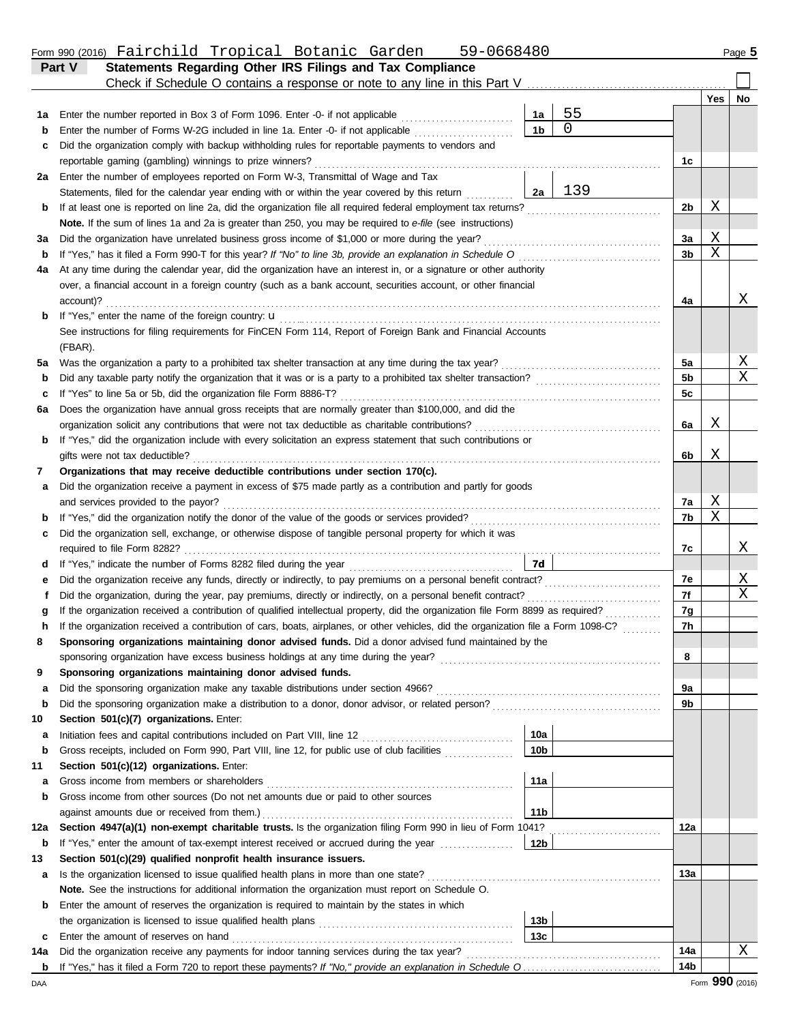| Form 990 (2016) Fairchild 「 | Tropical | ` Botanic | Garden | 0668480-<br>$FQ =$ | Page 5 |
|-----------------------------|----------|-----------|--------|--------------------|--------|
|                             |          |           |        |                    |        |

**Part V Statements Regarding Other IRS Filings and Tax Compliance**

|--|

|         | Check if Schedule O contains a response or note to any line in this Part V                                                                                                                                                |                        |     |          |     |        |
|---------|---------------------------------------------------------------------------------------------------------------------------------------------------------------------------------------------------------------------------|------------------------|-----|----------|-----|--------|
|         |                                                                                                                                                                                                                           |                        |     |          | Yes | No     |
| 1a      | Enter the number reported in Box 3 of Form 1096. Enter -0- if not applicable                                                                                                                                              | 1a                     | 55  |          |     |        |
|         | Enter the number of Forms W-2G included in line 1a. Enter -0- if not applicable                                                                                                                                           | 1 <sub>b</sub>         | 0   |          |     |        |
| с       | Did the organization comply with backup withholding rules for reportable payments to vendors and                                                                                                                          |                        |     |          |     |        |
|         | reportable gaming (gambling) winnings to prize winners?                                                                                                                                                                   |                        |     | 1c       |     |        |
| 2a      | Enter the number of employees reported on Form W-3, Transmittal of Wage and Tax                                                                                                                                           |                        |     |          |     |        |
|         | Statements, filed for the calendar year ending with or within the year covered by this return                                                                                                                             | 2a                     | 139 |          |     |        |
| b       | If at least one is reported on line 2a, did the organization file all required federal employment tax returns?                                                                                                            |                        |     | 2b       | Χ   |        |
|         | Note. If the sum of lines 1a and 2a is greater than 250, you may be required to e-file (see instructions)                                                                                                                 |                        |     |          |     |        |
| За      | Did the organization have unrelated business gross income of \$1,000 or more during the year?                                                                                                                             |                        |     | За       | Χ   |        |
| b       | If "Yes," has it filed a Form 990-T for this year? If "No" to line 3b, provide an explanation in Schedule O                                                                                                               |                        |     | 3b       | Χ   |        |
| 4a      | At any time during the calendar year, did the organization have an interest in, or a signature or other authority                                                                                                         |                        |     |          |     |        |
|         | over, a financial account in a foreign country (such as a bank account, securities account, or other financial                                                                                                            |                        |     |          |     |        |
|         | account)?                                                                                                                                                                                                                 |                        |     | 4a       |     | Χ      |
| b       | If "Yes," enter the name of the foreign country: u                                                                                                                                                                        |                        |     |          |     |        |
|         | See instructions for filing requirements for FinCEN Form 114, Report of Foreign Bank and Financial Accounts                                                                                                               |                        |     |          |     |        |
|         | (FBAR).                                                                                                                                                                                                                   |                        |     |          |     |        |
| 5a      | Was the organization a party to a prohibited tax shelter transaction at any time during the tax year?<br>Did any taxable party notify the organization that it was or is a party to a prohibited tax shelter transaction? |                        |     | 5a<br>5b |     | Χ<br>Χ |
| b       | If "Yes" to line 5a or 5b, did the organization file Form 8886-T?                                                                                                                                                         |                        |     | 5c       |     |        |
| с<br>6а | Does the organization have annual gross receipts that are normally greater than \$100,000, and did the                                                                                                                    |                        |     |          |     |        |
|         | organization solicit any contributions that were not tax deductible as charitable contributions?                                                                                                                          |                        |     | 6a       | Χ   |        |
| b       | If "Yes," did the organization include with every solicitation an express statement that such contributions or                                                                                                            |                        |     |          |     |        |
|         | gifts were not tax deductible?                                                                                                                                                                                            |                        |     | 6b       | Χ   |        |
| 7       | Organizations that may receive deductible contributions under section 170(c).                                                                                                                                             |                        |     |          |     |        |
| а       | Did the organization receive a payment in excess of \$75 made partly as a contribution and partly for goods                                                                                                               |                        |     |          |     |        |
|         | and services provided to the payor?                                                                                                                                                                                       |                        |     | 7a       | Χ   |        |
| b       | If "Yes," did the organization notify the donor of the value of the goods or services provided?                                                                                                                           |                        |     | 7b       | X   |        |
| с       | Did the organization sell, exchange, or otherwise dispose of tangible personal property for which it was                                                                                                                  |                        |     |          |     |        |
|         | required to file Form 8282?                                                                                                                                                                                               |                        |     | 7c       |     | Χ      |
| a       | If "Yes," indicate the number of Forms 8282 filed during the year                                                                                                                                                         | <b>7d</b>              |     |          |     |        |
| е       | Did the organization receive any funds, directly or indirectly, to pay premiums on a personal benefit contract?                                                                                                           |                        |     | 7e       |     | Χ      |
| Ť       | Did the organization, during the year, pay premiums, directly or indirectly, on a personal benefit contract?                                                                                                              |                        |     | 7f       |     | X      |
| g       | If the organization received a contribution of qualified intellectual property, did the organization file Form 8899 as required?                                                                                          |                        |     | 7g       |     |        |
| h       | If the organization received a contribution of cars, boats, airplanes, or other vehicles, did the organization file a Form 1098-C?                                                                                        |                        |     | 7h       |     |        |
| 8       | Sponsoring organizations maintaining donor advised funds. Did a donor advised fund maintained by the                                                                                                                      |                        |     |          |     |        |
|         | sponsoring organization have excess business holdings at any time during the year?                                                                                                                                        |                        |     | 8        |     |        |
| 9       | Sponsoring organizations maintaining donor advised funds.                                                                                                                                                                 |                        |     |          |     |        |
| а       | Did the sponsoring organization make any taxable distributions under section 4966?                                                                                                                                        |                        |     | 9a       |     |        |
| b       |                                                                                                                                                                                                                           |                        |     | 9b       |     |        |
| 10      | Section 501(c)(7) organizations. Enter:                                                                                                                                                                                   |                        |     |          |     |        |
| а       |                                                                                                                                                                                                                           | 10a<br>10 <sub>b</sub> |     |          |     |        |
| b       | Gross receipts, included on Form 990, Part VIII, line 12, for public use of club facilities                                                                                                                               |                        |     |          |     |        |
| 11      | Section 501(c)(12) organizations. Enter:<br>Gross income from members or shareholders                                                                                                                                     | 11a                    |     |          |     |        |
| а<br>b  | Gross income from other sources (Do not net amounts due or paid to other sources                                                                                                                                          |                        |     |          |     |        |
|         | against amounts due or received from them.)                                                                                                                                                                               | 11 <sub>b</sub>        |     |          |     |        |
| 12a     | Section 4947(a)(1) non-exempt charitable trusts. Is the organization filing Form 990 in lieu of Form 1041?                                                                                                                |                        |     | 12a      |     |        |
| b       | If "Yes," enter the amount of tax-exempt interest received or accrued during the year                                                                                                                                     | 12b                    |     |          |     |        |
| 13      | Section 501(c)(29) qualified nonprofit health insurance issuers.                                                                                                                                                          |                        |     |          |     |        |
| а       | Is the organization licensed to issue qualified health plans in more than one state?                                                                                                                                      |                        |     | 13а      |     |        |
|         | Note. See the instructions for additional information the organization must report on Schedule O.                                                                                                                         |                        |     |          |     |        |
| b       | Enter the amount of reserves the organization is required to maintain by the states in which                                                                                                                              |                        |     |          |     |        |
|         | the organization is licensed to issue qualified health plans [11] contains the organization is licensed to issue qualified health plans                                                                                   | 13 <sub>b</sub>        |     |          |     |        |
| c       | Enter the amount of reserves on hand                                                                                                                                                                                      | 13 <sub>c</sub>        |     |          |     |        |
| 14a     | Did the organization receive any payments for indoor tanning services during the tax year?                                                                                                                                |                        |     | 14a      |     | Χ      |
|         |                                                                                                                                                                                                                           |                        |     | 14b      |     |        |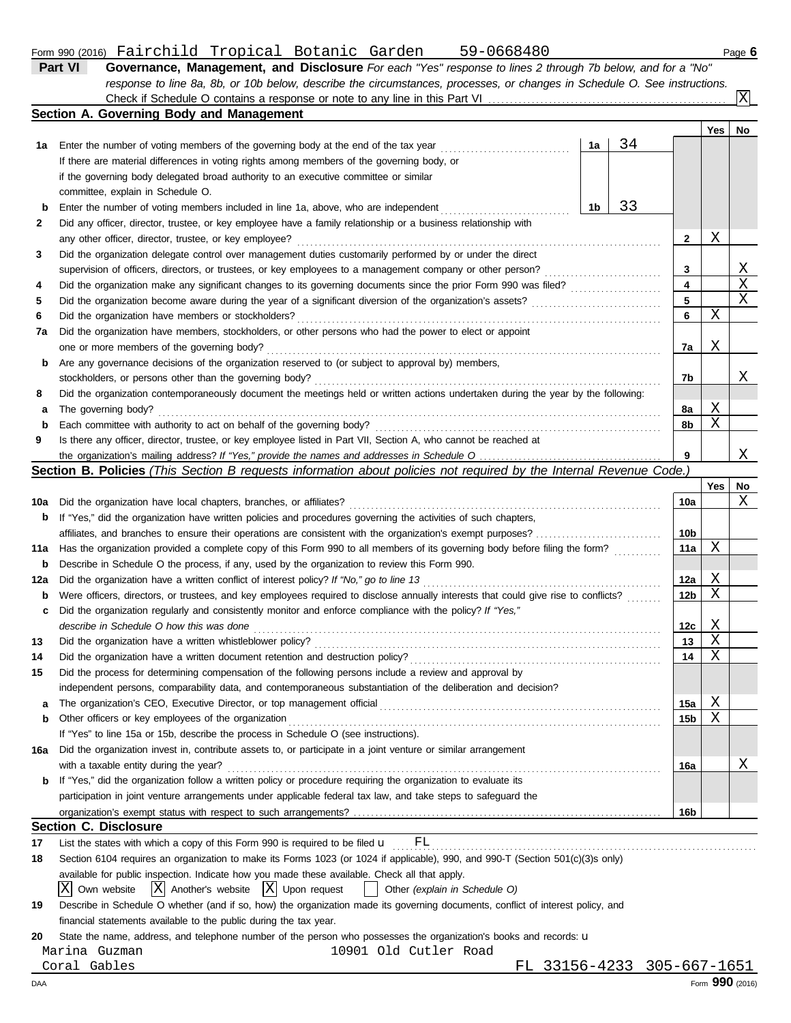## Form 990 (2016) Page **6** Fairchild Tropical Botanic Garden 59-0668480

| Part VI                                                                                                              | <b>Governance, Management, and Disclosure</b> For each "Yes" response to lines 2 through 7b below, and for a "No"         |  |  |  |  |  |  |
|----------------------------------------------------------------------------------------------------------------------|---------------------------------------------------------------------------------------------------------------------------|--|--|--|--|--|--|
|                                                                                                                      | response to line 8a, 8b, or 10b below, describe the circumstances, processes, or changes in Schedule O. See instructions. |  |  |  |  |  |  |
| Check if Schedule O contains a response or note to any line in this Part VI <i>contained the Schedule O contains</i> |                                                                                                                           |  |  |  |  |  |  |
| Section A. Governing Body and Management                                                                             |                                                                                                                           |  |  |  |  |  |  |

|     |                                                                                                                                                                                                                                |    |    |                 | Yes    | No |
|-----|--------------------------------------------------------------------------------------------------------------------------------------------------------------------------------------------------------------------------------|----|----|-----------------|--------|----|
| 1а  | Enter the number of voting members of the governing body at the end of the tax year                                                                                                                                            | 1a | 34 |                 |        |    |
|     | If there are material differences in voting rights among members of the governing body, or                                                                                                                                     |    |    |                 |        |    |
|     | if the governing body delegated broad authority to an executive committee or similar                                                                                                                                           |    |    |                 |        |    |
|     | committee, explain in Schedule O.                                                                                                                                                                                              |    |    |                 |        |    |
| b   | Enter the number of voting members included in line 1a, above, who are independent                                                                                                                                             | 1b | 33 |                 |        |    |
| 2   | Did any officer, director, trustee, or key employee have a family relationship or a business relationship with                                                                                                                 |    |    |                 |        |    |
|     | any other officer, director, trustee, or key employee?                                                                                                                                                                         |    |    | $\mathbf{2}$    | Χ      |    |
| 3   | Did the organization delegate control over management duties customarily performed by or under the direct                                                                                                                      |    |    |                 |        |    |
|     |                                                                                                                                                                                                                                |    |    | 3               |        | Χ  |
| 4   |                                                                                                                                                                                                                                |    |    | 4               |        | X  |
| 5   |                                                                                                                                                                                                                                |    |    | $5\phantom{.0}$ |        | Χ  |
| 6   |                                                                                                                                                                                                                                |    |    | 6               | Χ      |    |
| 7a  | Did the organization have members, stockholders, or other persons who had the power to elect or appoint                                                                                                                        |    |    |                 |        |    |
|     |                                                                                                                                                                                                                                |    |    | 7a              | Χ      |    |
| b   | Are any governance decisions of the organization reserved to (or subject to approval by) members,                                                                                                                              |    |    |                 |        |    |
|     |                                                                                                                                                                                                                                |    |    | 7b              |        | Χ  |
| 8   | Did the organization contemporaneously document the meetings held or written actions undertaken during the year by the following:                                                                                              |    |    |                 |        |    |
| a   | The governing body?                                                                                                                                                                                                            |    |    | 8а              | Χ      |    |
| b   | Each committee with authority to act on behalf of the governing body?                                                                                                                                                          |    |    | 8b              | X      |    |
| 9   | Is there any officer, director, trustee, or key employee listed in Part VII, Section A, who cannot be reached at                                                                                                               |    |    |                 |        |    |
|     |                                                                                                                                                                                                                                |    |    | 9               |        | Χ  |
|     | Section B. Policies (This Section B requests information about policies not required by the Internal Revenue Code.)                                                                                                            |    |    |                 |        |    |
|     |                                                                                                                                                                                                                                |    |    |                 | Yes    | No |
| 10a | Did the organization have local chapters, branches, or affiliates?                                                                                                                                                             |    |    | 10a             |        | X  |
| b   | If "Yes," did the organization have written policies and procedures governing the activities of such chapters,                                                                                                                 |    |    |                 |        |    |
|     | affiliates, and branches to ensure their operations are consistent with the organization's exempt purposes?                                                                                                                    |    |    | 10b             |        |    |
| 11a | Has the organization provided a complete copy of this Form 990 to all members of its governing body before filing the form?                                                                                                    |    |    | 11a             | Χ      |    |
| b   | Describe in Schedule O the process, if any, used by the organization to review this Form 990.                                                                                                                                  |    |    |                 |        |    |
| 12a |                                                                                                                                                                                                                                |    |    | 12a             | Χ      |    |
| b   | Were officers, directors, or trustees, and key employees required to disclose annually interests that could give rise to conflicts?                                                                                            |    |    | 12 <sub>b</sub> | Χ      |    |
| c   | Did the organization regularly and consistently monitor and enforce compliance with the policy? If "Yes,"                                                                                                                      |    |    |                 |        |    |
|     | describe in Schedule O how this was done                                                                                                                                                                                       |    |    | 12c             | Χ<br>Χ |    |
| 13  |                                                                                                                                                                                                                                |    |    | 13              | X      |    |
| 14  |                                                                                                                                                                                                                                |    |    | 14              |        |    |
| 15  | Did the process for determining compensation of the following persons include a review and approval by                                                                                                                         |    |    |                 |        |    |
|     | independent persons, comparability data, and contemporaneous substantiation of the deliberation and decision?                                                                                                                  |    |    |                 |        |    |
| a   | The organization's CEO, Executive Director, or top management official [2011] [2012] [2012] [2012] [2012] [2013] [2013] [2013] [2014] [2014] [2014] [2014] [2014] [2014] [2014] [2014] [2014] [2014] [2014] [2014] [2014] [201 |    |    | 15a             | Χ<br>Χ |    |
| b   | Other officers or key employees of the organization<br>If "Yes" to line 15a or 15b, describe the process in Schedule O (see instructions).                                                                                     |    |    | 15b             |        |    |
|     | Did the organization invest in, contribute assets to, or participate in a joint venture or similar arrangement                                                                                                                 |    |    |                 |        |    |
| 16a | with a taxable entity during the year?                                                                                                                                                                                         |    |    | 16a             |        | Χ  |
| b   | If "Yes," did the organization follow a written policy or procedure requiring the organization to evaluate its                                                                                                                 |    |    |                 |        |    |
|     | participation in joint venture arrangements under applicable federal tax law, and take steps to safeguard the                                                                                                                  |    |    |                 |        |    |
|     |                                                                                                                                                                                                                                |    |    | 16b             |        |    |
|     | <b>Section C. Disclosure</b>                                                                                                                                                                                                   |    |    |                 |        |    |
| 17  | List the states with which a copy of this Form 990 is required to be filed $\mathbf u$                                                                                                                                         |    |    |                 |        |    |
|     |                                                                                                                                                                                                                                |    |    |                 |        |    |

available for public inspection. Indicate how you made these available. Check all that apply.

 $\overline{\mathrm{X}}$  Own website  $\overline{\mathrm{X}}$  Another's website  $\overline{\mathrm{X}}$  Upon request  $\overline{\phantom{X}}$  Other *(explain in Schedule O)* 

| Describe in Schedule O whether (and if so, how) the organization made its governing documents, conflict of interest policy, and |
|---------------------------------------------------------------------------------------------------------------------------------|
| financial statements available to the public during the tax year.                                                               |

20 State the name, address, and telephone number of the person who possesses the organization's books and records: u

Marina Guzman 10901 Old Cutler Road

Coral Gables FL 33156-4233 305-667-1651

 $\overline{\mathrm{x}}$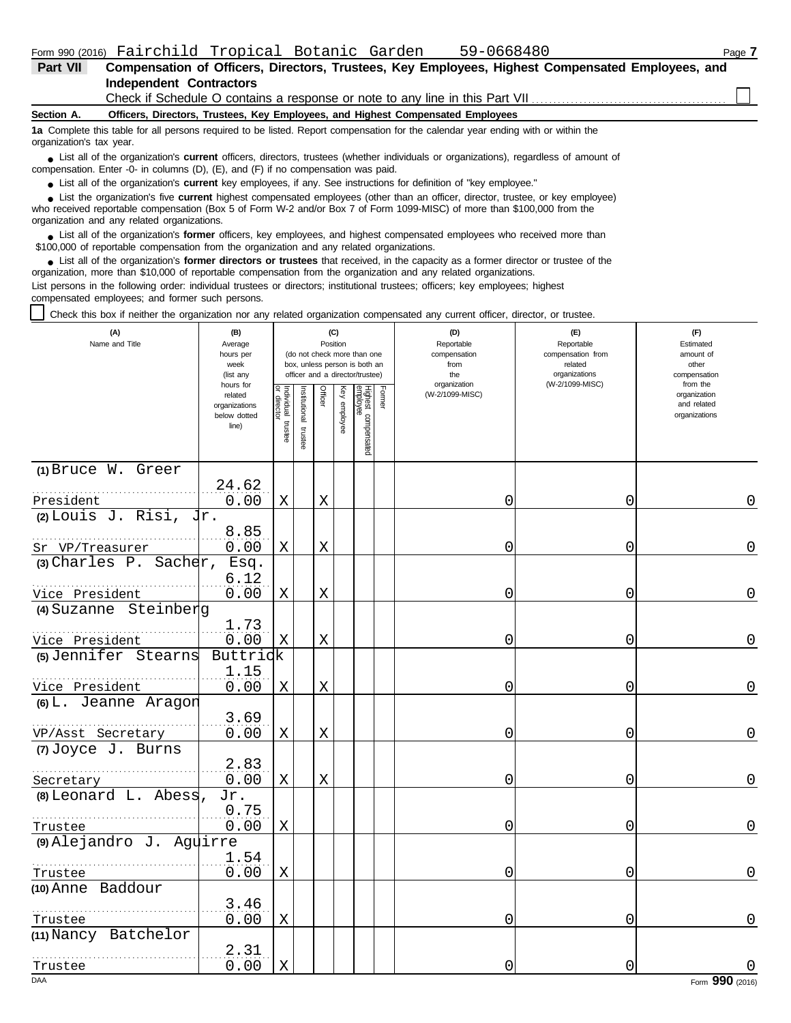| <b>Part VII</b>          | Compensation of Officers, Directors, Trustees, Key Employees, Highest Compensated Employees, and                                       |
|--------------------------|----------------------------------------------------------------------------------------------------------------------------------------|
|                          | Independent Contractors                                                                                                                |
|                          | Check if Schedule O contains a response or note to any line in this Part VII                                                           |
| Section A.               | Officers, Directors, Trustees, Key Employees, and Highest Compensated Employees                                                        |
| organization's tax year. | 1a Complete this table for all persons required to be listed. Report compensation for the calendar year ending with or within the      |
|                          | • List all of the organization's current officers, directors, trustees (whether individuals or organizations), regardless of amount of |

List all of the organization's **current** officers, directors, trustees (whether ind compensation. Enter -0- in columns (D), (E), and (F) if no compensation was paid.

● List all of the organization's **current** key employees, if any. See instructions for definition of "key employee."

who received reportable compensation (Box 5 of Form W-2 and/or Box 7 of Form 1099-MISC) of more than \$100,000 from the organization and any related organizations. ■ List the organization's five **current** highest compensated employees (other than an officer, director, trustee, or key employee)<br> **•** Pregiund reportable compensation (Box 5 of Ferm W 2 and/or Box 7 of Ferm 1000 MISC) o

■ List all of the organization's **former** officers, key employees, and highest compensated employees who received more than<br> **•** 00.000 of reportable compensation from the examization and any related erganizations \$100,000 of reportable compensation from the organization and any related organizations.

■ List all of the organization's **former directors or trustees** that received, in the capacity as a former director or trustee of the practization more than \$10,000 of reportable compensation from the organization and any organization, more than \$10,000 of reportable compensation from the organization and any related organizations. List persons in the following order: individual trustees or directors; institutional trustees; officers; key employees; highest compensated employees; and former such persons.

Check this box if neither the organization nor any related organization compensated any current officer, director, or trustee.

| (A)<br>Name and Title                           | (B)<br>Average<br>hours per<br>week<br>(list any               |                                      |                          | Position    | (C)          | (do not check more than one<br>box, unless person is both an<br>officer and a director/trustee) |        | (D)<br>Reportable<br>compensation<br>from<br>the | (E)<br>Reportable<br>compensation from<br>related<br>organizations | (F)<br>Estimated<br>amount of<br>other<br>compensation   |
|-------------------------------------------------|----------------------------------------------------------------|--------------------------------------|--------------------------|-------------|--------------|-------------------------------------------------------------------------------------------------|--------|--------------------------------------------------|--------------------------------------------------------------------|----------------------------------------------------------|
|                                                 | hours for<br>related<br>organizations<br>below dotted<br>line) | Individual<br>or director<br>trustee | Institutional<br>trustee | Officer     | Key employee | Highest compensated<br>employee                                                                 | Former | organization<br>(W-2/1099-MISC)                  | (W-2/1099-MISC)                                                    | from the<br>organization<br>and related<br>organizations |
| $(1)$ Bruce $\overline{W}$ . Greer<br>President | 24.62<br>0.00                                                  | $\mathbf X$                          |                          | $\mathbf X$ |              |                                                                                                 |        | 0                                                | 0                                                                  | 0                                                        |
| (2) Louis J. Risi, Jr.                          | 8.85<br>0.00                                                   | X                                    |                          | $\mathbf X$ |              |                                                                                                 |        |                                                  |                                                                    |                                                          |
| Sr VP/Treasurer<br>(3) Charles P. Sacher,       | Esq.<br>6.12                                                   |                                      |                          |             |              |                                                                                                 |        | 0                                                | 0                                                                  | 0                                                        |
| Vice President<br>(4) Suzanne Steinberg         | 0.00<br>1.73                                                   | $\mathbf X$                          |                          | $\mathbf X$ |              |                                                                                                 |        | 0                                                | 0                                                                  | 0                                                        |
| Vice President<br>(5) Jennifer Stearns          | 0.00<br>Buttrick                                               | X                                    |                          | X           |              |                                                                                                 |        | 0                                                | 0                                                                  | 0                                                        |
| Vice President<br>$(6)$ L. Jeanne Aragon        | 1.15<br>0.00                                                   | X                                    |                          | X           |              |                                                                                                 |        | 0                                                | 0                                                                  | 0                                                        |
| VP/Asst Secretary                               | 3.69<br>0.00                                                   | Χ                                    |                          | Χ           |              |                                                                                                 |        | 0                                                | 0                                                                  | 0                                                        |
| (7) Joyce J. Burns<br>Secretary                 | 2.83<br>0.00                                                   | X                                    |                          | $\mathbf X$ |              |                                                                                                 |        | 0                                                | 0                                                                  | 0                                                        |
| $(8)$ Leonard L. Abess,                         | Jr.<br>0.75<br>0.00                                            |                                      |                          |             |              |                                                                                                 |        | 0                                                | 0                                                                  | $\Omega$                                                 |
| Trustee<br>(9) Alejandro J. Aguirre             | 1.54                                                           | X                                    |                          |             |              |                                                                                                 |        |                                                  |                                                                    |                                                          |
| Trustee<br>(10) Anne Baddour                    | 0.00<br>3.46                                                   | Χ                                    |                          |             |              |                                                                                                 |        | 0                                                | 0                                                                  | 0                                                        |
| Trustee<br>(11) Nancy Batchelor                 | 0.00                                                           | Χ                                    |                          |             |              |                                                                                                 |        | 0                                                | 0                                                                  | 0                                                        |
| Trustee<br>DAA                                  | 2.31<br>0.00                                                   | X                                    |                          |             |              |                                                                                                 |        | 0                                                | 0                                                                  | Form 990 (2016)                                          |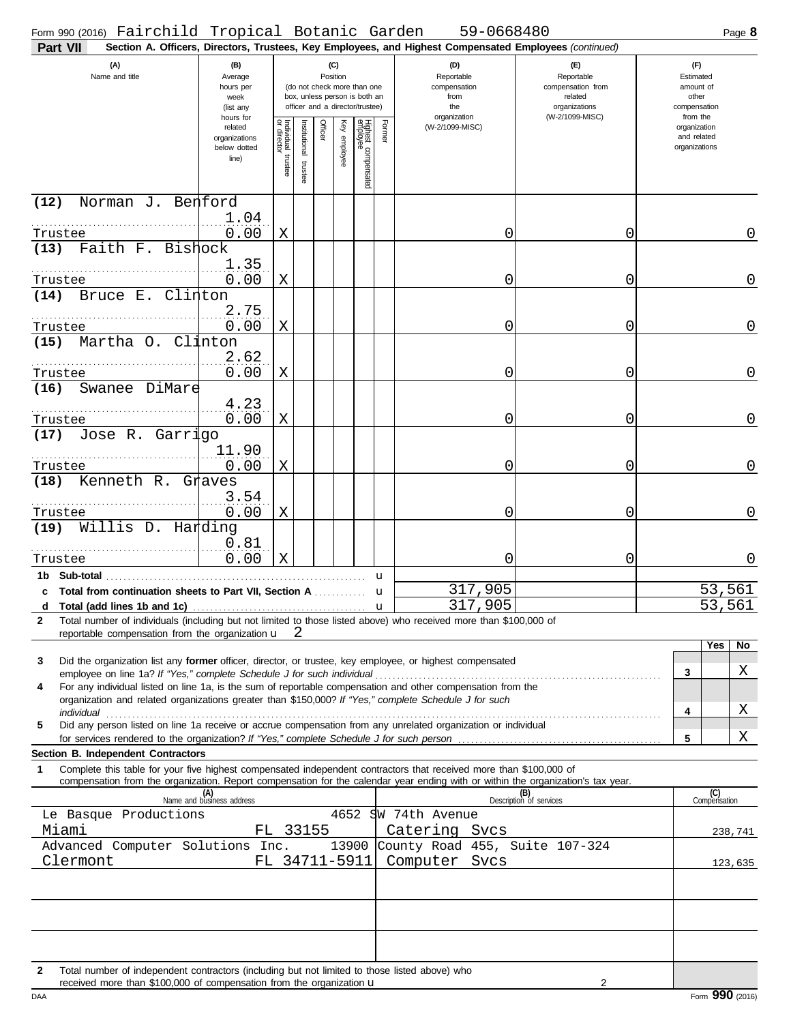| Form 990 (2016) Fairchild Tropical Botanic Garden                                                                                                                                     |                                                                |                                   |                          |                 |              |                                                                                                 | 59-0668480                                                                                             |                                                                                       | Page 8                                                   |
|---------------------------------------------------------------------------------------------------------------------------------------------------------------------------------------|----------------------------------------------------------------|-----------------------------------|--------------------------|-----------------|--------------|-------------------------------------------------------------------------------------------------|--------------------------------------------------------------------------------------------------------|---------------------------------------------------------------------------------------|----------------------------------------------------------|
| Part VII                                                                                                                                                                              |                                                                |                                   |                          |                 |              |                                                                                                 | Section A. Officers, Directors, Trustees, Key Employees, and Highest Compensated Employees (continued) |                                                                                       |                                                          |
| (A)<br>Name and title                                                                                                                                                                 | (B)<br>Average<br>hours per<br>week<br>(list any               |                                   |                          | (C)<br>Position |              | (do not check more than one<br>box, unless person is both an<br>officer and a director/trustee) | (D)<br>Reportable<br>compensation<br>from<br>the                                                       | (E)<br>Reportable<br>compensation from<br>related<br>organizations<br>(W-2/1099-MISC) | (F)<br>Estimated<br>amount of<br>other<br>compensation   |
|                                                                                                                                                                                       | hours for<br>related<br>organizations<br>below dotted<br>line) | Individual trustee<br>or director | Institutional<br>trustee | Officer         | Key employee | Highest compensated<br>employee                                                                 | organization<br>(W-2/1099-MISC)                                                                        |                                                                                       | from the<br>organization<br>and related<br>organizations |
| Norman J. Benford<br>(12)                                                                                                                                                             |                                                                |                                   |                          |                 |              |                                                                                                 |                                                                                                        |                                                                                       |                                                          |
|                                                                                                                                                                                       | 1.04                                                           |                                   |                          |                 |              |                                                                                                 |                                                                                                        |                                                                                       |                                                          |
| Trustee<br>Faith F. Bishock<br>(13)                                                                                                                                                   | 0.00                                                           | Χ                                 |                          |                 |              |                                                                                                 | 0                                                                                                      | 0                                                                                     | 0                                                        |
|                                                                                                                                                                                       | 1.35                                                           |                                   |                          |                 |              |                                                                                                 |                                                                                                        |                                                                                       |                                                          |
| Trustee                                                                                                                                                                               | 0.00                                                           | X                                 |                          |                 |              |                                                                                                 | 0                                                                                                      | 0                                                                                     | 0                                                        |
| Bruce E. Clinton<br>(14)                                                                                                                                                              |                                                                |                                   |                          |                 |              |                                                                                                 |                                                                                                        |                                                                                       |                                                          |
| Trustee                                                                                                                                                                               | 2.75<br>0.00                                                   | Χ                                 |                          |                 |              |                                                                                                 | 0                                                                                                      | 0                                                                                     | 0                                                        |
| Martha O. Clinton<br>(15)                                                                                                                                                             |                                                                |                                   |                          |                 |              |                                                                                                 |                                                                                                        |                                                                                       |                                                          |
|                                                                                                                                                                                       | 2.62                                                           |                                   |                          |                 |              |                                                                                                 |                                                                                                        |                                                                                       |                                                          |
| Trustee<br>Swanee DiMare<br>(16)                                                                                                                                                      | 0.00                                                           | Χ                                 |                          |                 |              |                                                                                                 | 0                                                                                                      | 0                                                                                     | 0                                                        |
|                                                                                                                                                                                       | 4.23                                                           |                                   |                          |                 |              |                                                                                                 |                                                                                                        |                                                                                       |                                                          |
| Trustee                                                                                                                                                                               | 0.00                                                           | X                                 |                          |                 |              |                                                                                                 | 0                                                                                                      | 0                                                                                     | 0                                                        |
| Jose R. Garrigo<br>(17)                                                                                                                                                               |                                                                |                                   |                          |                 |              |                                                                                                 |                                                                                                        |                                                                                       |                                                          |
| Trustee                                                                                                                                                                               | 11.90<br>0.00                                                  | Χ                                 |                          |                 |              |                                                                                                 | 0                                                                                                      | 0                                                                                     | 0                                                        |
| Kenneth R. Graves<br>(18)                                                                                                                                                             |                                                                |                                   |                          |                 |              |                                                                                                 |                                                                                                        |                                                                                       |                                                          |
|                                                                                                                                                                                       | 3.54                                                           |                                   |                          |                 |              |                                                                                                 |                                                                                                        |                                                                                       |                                                          |
| Trustee<br>Willis D. Harding<br>(19)                                                                                                                                                  | 0.00                                                           | Χ                                 |                          |                 |              |                                                                                                 | 0                                                                                                      | 0                                                                                     | 0                                                        |
|                                                                                                                                                                                       | 0.81                                                           |                                   |                          |                 |              |                                                                                                 |                                                                                                        |                                                                                       |                                                          |
| Trustee                                                                                                                                                                               | 0.00                                                           | $\mathbf X$                       |                          |                 |              |                                                                                                 | 0                                                                                                      | 0                                                                                     | 0                                                        |
|                                                                                                                                                                                       |                                                                |                                   |                          |                 |              | . <b>u</b>                                                                                      |                                                                                                        |                                                                                       |                                                          |
| c Total from continuation sheets to Part VII, Section A  u                                                                                                                            |                                                                |                                   |                          |                 |              |                                                                                                 | 317,905<br>317,905                                                                                     |                                                                                       | 53,561<br>53,561                                         |
| Total number of individuals (including but not limited to those listed above) who received more than \$100,000 of<br>$\mathbf{2}$                                                     |                                                                |                                   |                          |                 |              |                                                                                                 |                                                                                                        |                                                                                       |                                                          |
| reportable compensation from the organization $\mathbf{u}$ 2                                                                                                                          |                                                                |                                   |                          |                 |              |                                                                                                 |                                                                                                        |                                                                                       | No<br>Yes                                                |
| Did the organization list any <b>former</b> officer, director, or trustee, key employee, or highest compensated<br>3                                                                  |                                                                |                                   |                          |                 |              |                                                                                                 |                                                                                                        |                                                                                       |                                                          |
| For any individual listed on line 1a, is the sum of reportable compensation and other compensation from the<br>4                                                                      |                                                                |                                   |                          |                 |              |                                                                                                 |                                                                                                        |                                                                                       | Χ<br>3                                                   |
| organization and related organizations greater than \$150,000? If "Yes," complete Schedule J for such                                                                                 |                                                                |                                   |                          |                 |              |                                                                                                 |                                                                                                        |                                                                                       |                                                          |
| Did any person listed on line 1a receive or accrue compensation from any unrelated organization or individual<br>5                                                                    |                                                                |                                   |                          |                 |              |                                                                                                 |                                                                                                        |                                                                                       | Χ<br>4                                                   |
|                                                                                                                                                                                       |                                                                |                                   |                          |                 |              |                                                                                                 |                                                                                                        |                                                                                       | Χ<br>5                                                   |
| <b>Section B. Independent Contractors</b><br>Complete this table for your five highest compensated independent contractors that received more than \$100,000 of                       |                                                                |                                   |                          |                 |              |                                                                                                 |                                                                                                        |                                                                                       |                                                          |
| 1<br>compensation from the organization. Report compensation for the calendar year ending with or within the organization's tax year.                                                 |                                                                |                                   |                          |                 |              |                                                                                                 |                                                                                                        |                                                                                       |                                                          |
|                                                                                                                                                                                       | (A)<br>Name and business address                               |                                   |                          |                 |              |                                                                                                 |                                                                                                        | (B)<br>Description of services                                                        | (C)<br>Compensation                                      |
| Le Basque Productions                                                                                                                                                                 |                                                                |                                   |                          |                 |              |                                                                                                 | 4652 SW 74th Avenue                                                                                    |                                                                                       |                                                          |
| Miami<br>Advanced Computer Solutions Inc.                                                                                                                                             | FL 33155                                                       |                                   |                          |                 |              | 13900                                                                                           | Catering Svcs<br>County Road 455, Suite 107-324                                                        |                                                                                       | 238,741                                                  |
| Clermont                                                                                                                                                                              |                                                                |                                   |                          |                 |              | FL 34711-5911                                                                                   | Computer Svcs                                                                                          |                                                                                       | 123,635                                                  |
|                                                                                                                                                                                       |                                                                |                                   |                          |                 |              |                                                                                                 |                                                                                                        |                                                                                       |                                                          |
|                                                                                                                                                                                       |                                                                |                                   |                          |                 |              |                                                                                                 |                                                                                                        |                                                                                       |                                                          |
|                                                                                                                                                                                       |                                                                |                                   |                          |                 |              |                                                                                                 |                                                                                                        |                                                                                       |                                                          |
|                                                                                                                                                                                       |                                                                |                                   |                          |                 |              |                                                                                                 |                                                                                                        |                                                                                       |                                                          |
|                                                                                                                                                                                       |                                                                |                                   |                          |                 |              |                                                                                                 |                                                                                                        |                                                                                       |                                                          |
| Total number of independent contractors (including but not limited to those listed above) who<br>$\mathbf{2}$<br>received more than \$100,000 of compensation from the organization u |                                                                |                                   |                          |                 |              |                                                                                                 |                                                                                                        | 2                                                                                     |                                                          |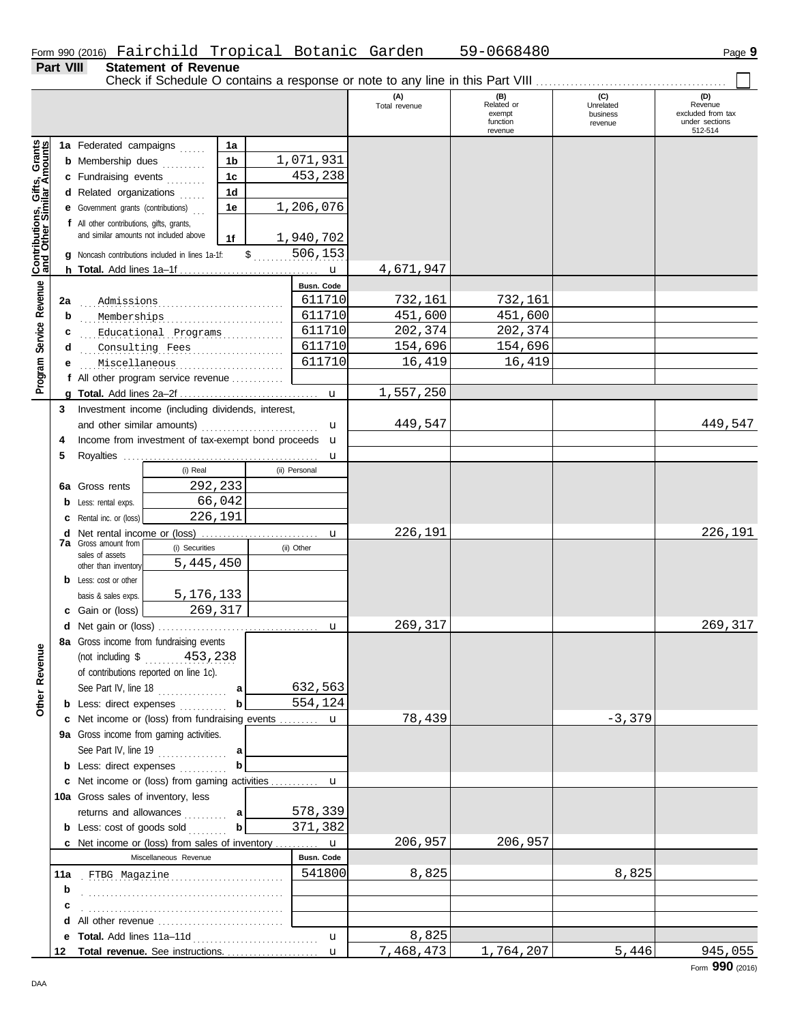## **Part VIII Statement of Revenue**

Check if Schedule O contains a response or note to any line in this Part VIII . . . . . . . . . . . . . . . . . . . . . . . . . . . . . . . . . . . . . . . . . . . .

|                                              |    |                                                            |                |              |                   | (A)<br>Total revenue | (B)<br>Related or<br>exempt | (C)<br>Unrelated<br>business | (D)<br>Revenue<br>excluded from tax |
|----------------------------------------------|----|------------------------------------------------------------|----------------|--------------|-------------------|----------------------|-----------------------------|------------------------------|-------------------------------------|
|                                              |    |                                                            |                |              |                   |                      | function<br>revenue         | revenue                      | under sections<br>512-514           |
|                                              |    | 1a Federated campaigns                                     | 1a             |              |                   |                      |                             |                              |                                     |
|                                              |    | <b>b</b> Membership dues<br>de de decem                    | 1 <sub>b</sub> |              | 1,071,931         |                      |                             |                              |                                     |
|                                              |    | c Fundraising events                                       | 1 <sub>c</sub> |              | 453,238           |                      |                             |                              |                                     |
|                                              |    | d Related organizations<br>alaran.                         | 1 <sub>d</sub> |              |                   |                      |                             |                              |                                     |
|                                              |    | e Government grants (contributions)                        | 1e             |              | 1,206,076         |                      |                             |                              |                                     |
|                                              |    | f All other contributions, gifts, grants,                  |                |              |                   |                      |                             |                              |                                     |
|                                              |    | and similar amounts not included above                     | 1f             |              | 1,940,702         |                      |                             |                              |                                     |
|                                              |    | g Noncash contributions included in lines 1a-1f:           |                | $\mathsf{S}$ | 506,153           |                      |                             |                              |                                     |
| Service Revenue Contributions, Gifts, Grants |    |                                                            |                |              | $\mathbf u$       | 4,671,947            |                             |                              |                                     |
|                                              |    |                                                            |                |              | Busn. Code        |                      |                             |                              |                                     |
|                                              | 2a | Admissions                                                 |                |              | 611710            | 732,161              | 732,161                     |                              |                                     |
|                                              | b  | Memberships<br>.                                           |                |              | 611710            | 451,600              | 451,600                     |                              |                                     |
|                                              | c  | Educational Programs                                       |                |              | 611710            | 202,374              | 202,374                     |                              |                                     |
|                                              | d  | Consulting Fees                                            |                |              | 611710            | 154,696              | 154,696                     |                              |                                     |
|                                              | е  | Miscellaneous                                              |                |              | 611710            | 16,419               | 16,419                      |                              |                                     |
| Program                                      |    | f All other program service revenue $\ldots$               |                |              |                   |                      |                             |                              |                                     |
|                                              |    |                                                            |                |              |                   | 1,557,250            |                             |                              |                                     |
|                                              | 3  | Investment income (including dividends, interest,          |                |              |                   |                      |                             |                              |                                     |
|                                              |    | and other similar amounts)                                 |                | .            | u                 | 449,547              |                             |                              | 449,547                             |
|                                              | 4  | Income from investment of tax-exempt bond proceeds         |                |              | u                 |                      |                             |                              |                                     |
|                                              | 5  |                                                            |                |              | u                 |                      |                             |                              |                                     |
|                                              |    | (i) Real                                                   |                |              | (ii) Personal     |                      |                             |                              |                                     |
|                                              | 6а | 292,233<br>Gross rents                                     |                |              |                   |                      |                             |                              |                                     |
|                                              | b  | Less: rental exps.                                         | 66,042         |              |                   |                      |                             |                              |                                     |
|                                              | с  | 226,191<br>Rental inc. or (loss)                           |                |              |                   |                      |                             |                              |                                     |
|                                              | d  | Net rental income or (loss)<br><b>7a</b> Gross amount from |                |              | u                 | 226,191              |                             |                              | 226,191                             |
|                                              |    | (i) Securities<br>sales of assets                          |                |              | (ii) Other        |                      |                             |                              |                                     |
|                                              |    | 5,445,450<br>other than inventory                          |                |              |                   |                      |                             |                              |                                     |
|                                              |    | <b>b</b> Less: cost or other                               |                |              |                   |                      |                             |                              |                                     |
|                                              |    | 5,176,133<br>basis & sales exps.<br>269,317                |                |              |                   |                      |                             |                              |                                     |
|                                              |    | c Gain or (loss)                                           |                |              |                   | 269,317              |                             |                              | 269,317                             |
|                                              | d  | 8a Gross income from fundraising events                    |                |              | $\mathbf u$       |                      |                             |                              |                                     |
|                                              |    | 453,238<br>(not including \$                               |                |              |                   |                      |                             |                              |                                     |
| venue                                        |    | of contributions reported on line 1c).                     |                |              |                   |                      |                             |                              |                                     |
| œ                                            |    | See Part IV, line 18                                       | a              |              | 632,563           |                      |                             |                              |                                     |
| Other                                        |    | .<br><b>b</b> Less: direct expenses                        | b              |              | 554,124           |                      |                             |                              |                                     |
|                                              |    | c Net income or (loss) from fundraising events  u          |                |              |                   | 78,439               |                             | $-3,379$                     |                                     |
|                                              |    | 9a Gross income from gaming activities.                    |                |              |                   |                      |                             |                              |                                     |
|                                              |    | See Part IV, line 19                                       | a              |              |                   |                      |                             |                              |                                     |
|                                              |    | <b>b</b> Less: direct expenses                             | b              |              |                   |                      |                             |                              |                                     |
|                                              |    | c Net income or (loss) from gaming activities  u           |                |              |                   |                      |                             |                              |                                     |
|                                              |    | 10a Gross sales of inventory, less                         |                |              |                   |                      |                             |                              |                                     |
|                                              |    | returns and allowances<br>.                                | a              |              | 578,339           |                      |                             |                              |                                     |
|                                              |    | <b>b</b> Less: cost of goods sold                          | $\mathbf b$    |              | 371,382           |                      |                             |                              |                                     |
|                                              |    | c Net income or (loss) from sales of inventory  u          |                |              |                   | 206,957              | 206,957                     |                              |                                     |
|                                              |    | Miscellaneous Revenue                                      |                |              | <b>Busn. Code</b> |                      |                             |                              |                                     |
|                                              |    | 11a FTBG Magazine                                          |                |              | 541800            | 8,825                |                             | 8,825                        |                                     |
|                                              | b  |                                                            |                |              |                   |                      |                             |                              |                                     |
|                                              | c  |                                                            |                |              |                   |                      |                             |                              |                                     |
|                                              |    | d All other revenue                                        |                |              |                   |                      |                             |                              |                                     |
|                                              |    | e Total. Add lines 11a-11d                                 |                |              | $\mathbf{u}$      | 8,825                |                             |                              |                                     |
|                                              | 12 | Total revenue. See instructions.                           |                |              | $\mathbf{u}$      | 7,468,473            | 1,764,207                   | 5,446                        | 945,055                             |
|                                              |    |                                                            |                |              |                   |                      |                             |                              | Form 990 (2016)                     |

٦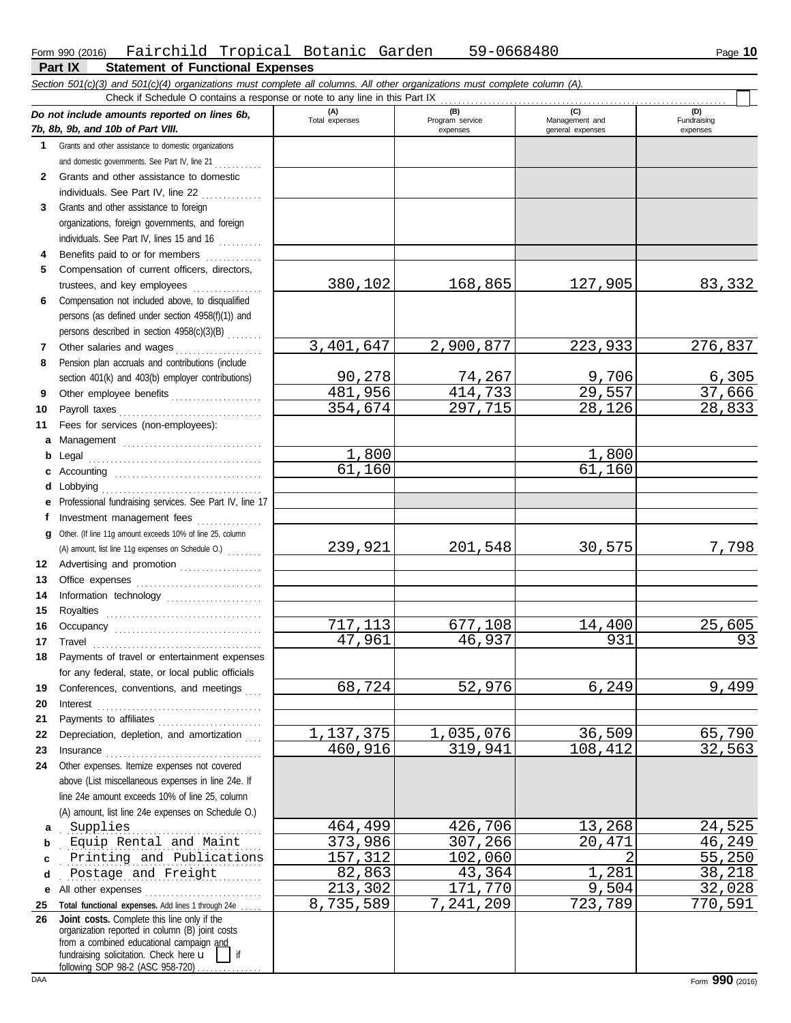|              | Section 501(c)(3) and 501(c)(4) organizations must complete all columns. All other organizations must complete column (A).<br>Check if Schedule O contains a response or note to any line in this Part IX                                                                                                                                                                                                                                                                                                                   |                |                             |                                    |                         |
|--------------|-----------------------------------------------------------------------------------------------------------------------------------------------------------------------------------------------------------------------------------------------------------------------------------------------------------------------------------------------------------------------------------------------------------------------------------------------------------------------------------------------------------------------------|----------------|-----------------------------|------------------------------------|-------------------------|
|              | Do not include amounts reported on lines 6b,                                                                                                                                                                                                                                                                                                                                                                                                                                                                                | (A)            | (B)                         | (C)                                | (D)                     |
|              | 7b, 8b, 9b, and 10b of Part VIII.                                                                                                                                                                                                                                                                                                                                                                                                                                                                                           | Total expenses | Program service<br>expenses | Management and<br>general expenses | Fundraising<br>expenses |
| 1            | Grants and other assistance to domestic organizations                                                                                                                                                                                                                                                                                                                                                                                                                                                                       |                |                             |                                    |                         |
|              | and domestic governments. See Part IV, line 21                                                                                                                                                                                                                                                                                                                                                                                                                                                                              |                |                             |                                    |                         |
| $\mathbf{2}$ | Grants and other assistance to domestic                                                                                                                                                                                                                                                                                                                                                                                                                                                                                     |                |                             |                                    |                         |
|              | individuals. See Part IV, line 22                                                                                                                                                                                                                                                                                                                                                                                                                                                                                           |                |                             |                                    |                         |
| 3            | Grants and other assistance to foreign                                                                                                                                                                                                                                                                                                                                                                                                                                                                                      |                |                             |                                    |                         |
|              | organizations, foreign governments, and foreign                                                                                                                                                                                                                                                                                                                                                                                                                                                                             |                |                             |                                    |                         |
|              | individuals. See Part IV, lines 15 and 16                                                                                                                                                                                                                                                                                                                                                                                                                                                                                   |                |                             |                                    |                         |
| 4            | Benefits paid to or for members                                                                                                                                                                                                                                                                                                                                                                                                                                                                                             |                |                             |                                    |                         |
| 5            | Compensation of current officers, directors,                                                                                                                                                                                                                                                                                                                                                                                                                                                                                |                |                             |                                    |                         |
|              | trustees, and key employees<br>.                                                                                                                                                                                                                                                                                                                                                                                                                                                                                            | 380,102        | 168,865                     | 127,905                            | 83,332                  |
| 6            | Compensation not included above, to disqualified                                                                                                                                                                                                                                                                                                                                                                                                                                                                            |                |                             |                                    |                         |
|              | persons (as defined under section 4958(f)(1)) and                                                                                                                                                                                                                                                                                                                                                                                                                                                                           |                |                             |                                    |                         |
|              | persons described in section 4958(c)(3)(B)                                                                                                                                                                                                                                                                                                                                                                                                                                                                                  |                |                             |                                    |                         |
| 7            | Other salaries and wages                                                                                                                                                                                                                                                                                                                                                                                                                                                                                                    | 3,401,647      | 2,900,877                   | 223,933                            | 276,837                 |
| 8            | Pension plan accruals and contributions (include                                                                                                                                                                                                                                                                                                                                                                                                                                                                            |                |                             |                                    |                         |
|              | section 401(k) and 403(b) employer contributions)                                                                                                                                                                                                                                                                                                                                                                                                                                                                           | 90,278         | 74,267                      | 9,706                              | 6,305                   |
| 9            | Other employee benefits                                                                                                                                                                                                                                                                                                                                                                                                                                                                                                     | 481,956        | 414,733                     | 29,557                             | 37,666                  |
| 10           |                                                                                                                                                                                                                                                                                                                                                                                                                                                                                                                             | 354,674        | 297,715                     | 28,126                             | 28,833                  |
| 11           | Fees for services (non-employees):                                                                                                                                                                                                                                                                                                                                                                                                                                                                                          |                |                             |                                    |                         |
| а            |                                                                                                                                                                                                                                                                                                                                                                                                                                                                                                                             | 1,800          |                             | 1,800                              |                         |
| b            |                                                                                                                                                                                                                                                                                                                                                                                                                                                                                                                             | 61,160         |                             | 61,160                             |                         |
| d            |                                                                                                                                                                                                                                                                                                                                                                                                                                                                                                                             |                |                             |                                    |                         |
| е            | Professional fundraising services. See Part IV, line 17                                                                                                                                                                                                                                                                                                                                                                                                                                                                     |                |                             |                                    |                         |
| f            | Investment management fees                                                                                                                                                                                                                                                                                                                                                                                                                                                                                                  |                |                             |                                    |                         |
| g            | Other. (If line 11g amount exceeds 10% of line 25, column                                                                                                                                                                                                                                                                                                                                                                                                                                                                   |                |                             |                                    |                         |
|              | (A) amount, list line 11g expenses on Schedule O.)                                                                                                                                                                                                                                                                                                                                                                                                                                                                          | 239,921        | 201,548                     | 30,575                             | 7,798                   |
| 12           | Advertising and promotion                                                                                                                                                                                                                                                                                                                                                                                                                                                                                                   |                |                             |                                    |                         |
| 13           |                                                                                                                                                                                                                                                                                                                                                                                                                                                                                                                             |                |                             |                                    |                         |
| 14           | Information technology                                                                                                                                                                                                                                                                                                                                                                                                                                                                                                      |                |                             |                                    |                         |
| 15           |                                                                                                                                                                                                                                                                                                                                                                                                                                                                                                                             |                |                             |                                    |                         |
| 16           |                                                                                                                                                                                                                                                                                                                                                                                                                                                                                                                             | 717,113        | 677,108                     | 14,400                             | 25,605                  |
| 17           | $\begin{minipage}[c]{0.9\linewidth} \begin{tabular}{l} \textbf{Travel} \end{tabular} \end{minipage} \end{minipage} \begin{minipage}[c]{0.9\linewidth} \begin{tabular}{l} \textbf{True} \end{tabular} \end{minipage} \end{minipage} \begin{minipage}[c]{0.9\linewidth} \begin{tabular}{l} \textbf{True} \end{tabular} \end{minipage} \end{minipage} \begin{minipage}[c]{0.9\linewidth} \begin{tabular}{l} \textbf{True} \end{tabular} \end{minipage} \end{minipage} \begin{minipage}[c]{0.9\linewidth} \begin{tabular}{l} \$ | 47,961         | 46,937                      | 931                                | 93                      |
| 18           | Payments of travel or entertainment expenses                                                                                                                                                                                                                                                                                                                                                                                                                                                                                |                |                             |                                    |                         |
|              | for any federal, state, or local public officials                                                                                                                                                                                                                                                                                                                                                                                                                                                                           |                |                             |                                    |                         |
| 19           | Conferences, conventions, and meetings                                                                                                                                                                                                                                                                                                                                                                                                                                                                                      | 68,724         | 52,976                      | 6,249                              | 9,499                   |
| 20           | $\textbf{Interest} \hspace{0.05in} \underbrace{\hspace{0.05in}}$                                                                                                                                                                                                                                                                                                                                                                                                                                                            |                |                             |                                    |                         |
| 21           |                                                                                                                                                                                                                                                                                                                                                                                                                                                                                                                             |                |                             |                                    |                         |
| 22           | Depreciation, depletion, and amortization                                                                                                                                                                                                                                                                                                                                                                                                                                                                                   | 1,137,375      | 1,035,076                   | 36,509                             | 65,790                  |
| 23           | Insurance with the continuum of the continuum of the continuum of the continuum of the continuum of the continuum of the continuum of the continuum of the continuum of the continuum of the continuum of the continuum of the                                                                                                                                                                                                                                                                                              | 460,916        | 319,941                     | 108,412                            | 32,563                  |
| 24           | Other expenses. Itemize expenses not covered                                                                                                                                                                                                                                                                                                                                                                                                                                                                                |                |                             |                                    |                         |
|              | above (List miscellaneous expenses in line 24e. If<br>line 24e amount exceeds 10% of line 25, column                                                                                                                                                                                                                                                                                                                                                                                                                        |                |                             |                                    |                         |
|              | (A) amount, list line 24e expenses on Schedule O.)                                                                                                                                                                                                                                                                                                                                                                                                                                                                          |                |                             |                                    |                         |
| а            | Supplies                                                                                                                                                                                                                                                                                                                                                                                                                                                                                                                    | 464,499        | 426,706                     | 13,268                             | 24,525                  |
| b            | Equip Rental and Maint                                                                                                                                                                                                                                                                                                                                                                                                                                                                                                      | 373,986        | 307,266                     | 20,471                             | 46,249                  |
| c            | Printing and Publications                                                                                                                                                                                                                                                                                                                                                                                                                                                                                                   | 157,312        | 102,060                     | 2                                  | 55,250                  |
| d            | Postage and Freight                                                                                                                                                                                                                                                                                                                                                                                                                                                                                                         | 82,863         | 43,364                      | 1,281                              | 38,218                  |
| е            | All other expenses                                                                                                                                                                                                                                                                                                                                                                                                                                                                                                          | 213,302        | 171,770                     | 9,504                              | 32,028                  |
| 25           | Total functional expenses. Add lines 1 through 24e                                                                                                                                                                                                                                                                                                                                                                                                                                                                          | 8,735,589      | 7,241,209                   | 723,789                            | 770,591                 |
| 26           | Joint costs. Complete this line only if the                                                                                                                                                                                                                                                                                                                                                                                                                                                                                 |                |                             |                                    |                         |
|              | organization reported in column (B) joint costs                                                                                                                                                                                                                                                                                                                                                                                                                                                                             |                |                             |                                    |                         |
|              | from a combined educational campaign and<br>fundraising solicitation. Check here u<br>l if                                                                                                                                                                                                                                                                                                                                                                                                                                  |                |                             |                                    |                         |
|              | following SOP 98-2 (ASC 958-720)                                                                                                                                                                                                                                                                                                                                                                                                                                                                                            |                |                             |                                    |                         |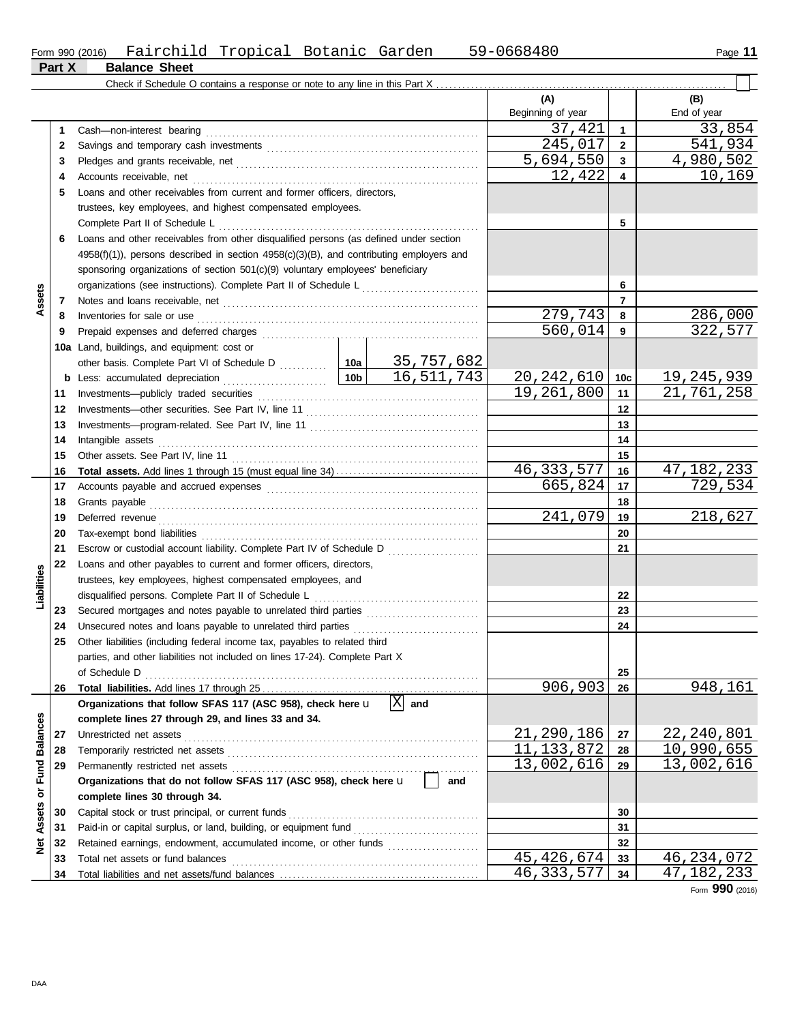**Part X Balance Sheet**

|                 |    |                                                                                                                                                                                                                                |                              |              | (A)<br>Beginning of year |                | (B)<br>End of year  |  |  |  |  |  |  |
|-----------------|----|--------------------------------------------------------------------------------------------------------------------------------------------------------------------------------------------------------------------------------|------------------------------|--------------|--------------------------|----------------|---------------------|--|--|--|--|--|--|
|                 | 1  |                                                                                                                                                                                                                                |                              |              | 37,421                   | $\mathbf{1}$   | 33,854              |  |  |  |  |  |  |
|                 | 2  |                                                                                                                                                                                                                                |                              |              | 245,017                  | $\mathbf{2}$   | 541,934             |  |  |  |  |  |  |
|                 | 3  |                                                                                                                                                                                                                                |                              |              |                          |                |                     |  |  |  |  |  |  |
|                 | 4  |                                                                                                                                                                                                                                |                              |              | 5,694,550<br>12,422      | 3<br>4         | 4,980,502<br>10,169 |  |  |  |  |  |  |
|                 | 5  | Loans and other receivables from current and former officers, directors,                                                                                                                                                       |                              |              |                          |                |                     |  |  |  |  |  |  |
|                 |    | trustees, key employees, and highest compensated employees.                                                                                                                                                                    |                              |              |                          |                |                     |  |  |  |  |  |  |
|                 |    | Complete Part II of Schedule L                                                                                                                                                                                                 |                              |              |                          | 5              |                     |  |  |  |  |  |  |
|                 | 6  | Loans and other receivables from other disqualified persons (as defined under section                                                                                                                                          |                              |              |                          |                |                     |  |  |  |  |  |  |
|                 |    | $4958(f)(1)$ , persons described in section $4958(c)(3)(B)$ , and contributing employers and                                                                                                                                   |                              |              |                          |                |                     |  |  |  |  |  |  |
|                 |    | sponsoring organizations of section 501(c)(9) voluntary employees' beneficiary                                                                                                                                                 |                              |              |                          |                |                     |  |  |  |  |  |  |
|                 |    | organizations (see instructions). Complete Part II of Schedule L                                                                                                                                                               |                              |              |                          | 6              |                     |  |  |  |  |  |  |
| Assets          | 7  |                                                                                                                                                                                                                                |                              |              |                          | $\overline{7}$ |                     |  |  |  |  |  |  |
|                 | 8  | Inventories for sale or use                                                                                                                                                                                                    |                              |              | 279,743                  | 8              | 286,000             |  |  |  |  |  |  |
|                 | 9  |                                                                                                                                                                                                                                |                              |              | 560,014                  | 9              | 322,577             |  |  |  |  |  |  |
|                 |    | 10a Land, buildings, and equipment: cost or                                                                                                                                                                                    |                              |              |                          |                |                     |  |  |  |  |  |  |
|                 |    |                                                                                                                                                                                                                                |                              | 35,757,682   |                          |                |                     |  |  |  |  |  |  |
|                 | b  | Less: accumulated depreciation                                                                                                                                                                                                 | 10 <sub>b</sub>              | 16, 511, 743 | 20, 242, 610             | 10c            | 19, 245, 939        |  |  |  |  |  |  |
|                 | 11 |                                                                                                                                                                                                                                |                              |              | 19,261,800               | 11             | 21,761,258          |  |  |  |  |  |  |
|                 | 12 |                                                                                                                                                                                                                                |                              |              |                          | 12             |                     |  |  |  |  |  |  |
|                 | 13 |                                                                                                                                                                                                                                |                              |              |                          | 13             |                     |  |  |  |  |  |  |
|                 | 14 | Intangible assets                                                                                                                                                                                                              |                              |              |                          | 14             |                     |  |  |  |  |  |  |
|                 | 15 | Other assets. See Part IV, line 11                                                                                                                                                                                             |                              | 15           |                          |                |                     |  |  |  |  |  |  |
|                 | 16 |                                                                                                                                                                                                                                |                              |              | 46, 333, 577             | 16             | 47, 182, 233        |  |  |  |  |  |  |
|                 | 17 |                                                                                                                                                                                                                                |                              | 665,824      | 17                       | 729,534        |                     |  |  |  |  |  |  |
|                 | 18 | Grants payable communications are all the contract of the contract of the contract of the contract of the contract of the contract of the contract of the contract of the contract of the contract of the contract of the cont |                              | 18           |                          |                |                     |  |  |  |  |  |  |
|                 | 19 | Deferred revenue                                                                                                                                                                                                               |                              |              | 241,079                  | 19             | 218,627             |  |  |  |  |  |  |
|                 | 20 |                                                                                                                                                                                                                                |                              |              |                          | 20             |                     |  |  |  |  |  |  |
|                 | 21 |                                                                                                                                                                                                                                |                              |              |                          | 21             |                     |  |  |  |  |  |  |
|                 | 22 | Loans and other payables to current and former officers, directors,                                                                                                                                                            |                              |              |                          |                |                     |  |  |  |  |  |  |
| Liabilities     |    | trustees, key employees, highest compensated employees, and                                                                                                                                                                    |                              |              |                          |                |                     |  |  |  |  |  |  |
|                 |    | disqualified persons. Complete Part II of Schedule L                                                                                                                                                                           |                              |              |                          | 22             |                     |  |  |  |  |  |  |
|                 | 23 |                                                                                                                                                                                                                                |                              |              |                          | 23             |                     |  |  |  |  |  |  |
|                 | 24 | Unsecured notes and loans payable to unrelated third parties                                                                                                                                                                   |                              |              |                          | 24             |                     |  |  |  |  |  |  |
|                 | 25 | Other liabilities (including federal income tax, payables to related third                                                                                                                                                     |                              |              |                          |                |                     |  |  |  |  |  |  |
|                 |    | parties, and other liabilities not included on lines 17-24). Complete Part X                                                                                                                                                   |                              |              |                          |                |                     |  |  |  |  |  |  |
|                 |    | of Schedule D                                                                                                                                                                                                                  |                              |              |                          | 25             |                     |  |  |  |  |  |  |
|                 | 26 |                                                                                                                                                                                                                                |                              |              | 906,903                  | 26             | 948,161             |  |  |  |  |  |  |
|                 |    | Organizations that follow SFAS 117 (ASC 958), check here u                                                                                                                                                                     | $\overline{\text{X}}$<br>and |              |                          |                |                     |  |  |  |  |  |  |
|                 |    | complete lines 27 through 29, and lines 33 and 34.                                                                                                                                                                             |                              |              |                          |                |                     |  |  |  |  |  |  |
|                 | 27 |                                                                                                                                                                                                                                |                              |              | 21,290,186               | 27             | 22, 240, 801        |  |  |  |  |  |  |
| <b>Balances</b> | 28 |                                                                                                                                                                                                                                |                              |              | 11, 133, 872             | 28             | 10,990,655          |  |  |  |  |  |  |
|                 | 29 | Permanently restricted net assets                                                                                                                                                                                              |                              |              | 13,002,616               | 29             | 13,002,616          |  |  |  |  |  |  |
| Fund            |    | Organizations that do not follow SFAS 117 (ASC 958), check here u                                                                                                                                                              |                              | and          |                          |                |                     |  |  |  |  |  |  |
| ð               |    | complete lines 30 through 34.                                                                                                                                                                                                  |                              |              |                          |                |                     |  |  |  |  |  |  |
| Assets          | 30 | Capital stock or trust principal, or current funds                                                                                                                                                                             |                              |              |                          | 30             |                     |  |  |  |  |  |  |
|                 | 31 |                                                                                                                                                                                                                                |                              |              |                          | 31             |                     |  |  |  |  |  |  |
| ğ               | 32 | Retained earnings, endowment, accumulated income, or other funds                                                                                                                                                               |                              |              |                          | 32             |                     |  |  |  |  |  |  |
|                 | 33 | Total net assets or fund balances                                                                                                                                                                                              |                              |              | 45, 426, 674             | 33             | 46,234,072          |  |  |  |  |  |  |
|                 | 34 |                                                                                                                                                                                                                                |                              |              | 46, 333, 577             | 34             | 47, 182, 233        |  |  |  |  |  |  |

Form **990** (2016)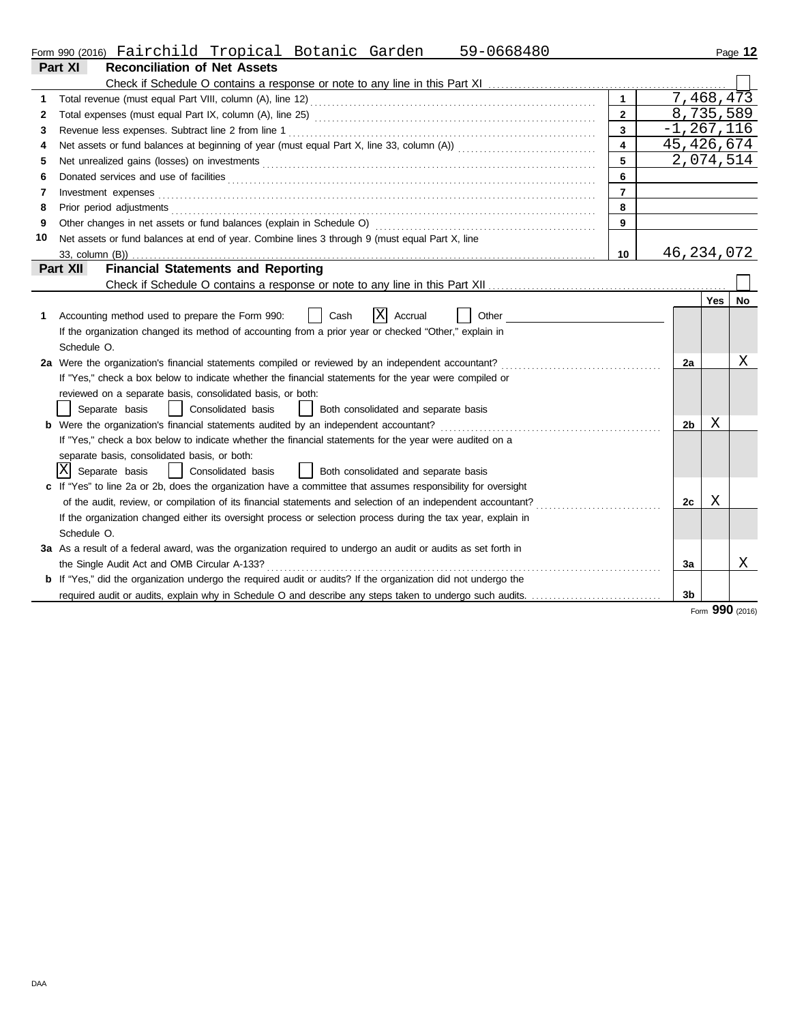|    | 59-0668480<br>Form 990 (2016) Fairchild Tropical Botanic Garden                                                       |                      |                |            | Page 12 |  |  |  |  |  |  |
|----|-----------------------------------------------------------------------------------------------------------------------|----------------------|----------------|------------|---------|--|--|--|--|--|--|
|    | Part XI<br><b>Reconciliation of Net Assets</b>                                                                        |                      |                |            |         |  |  |  |  |  |  |
|    |                                                                                                                       |                      |                |            |         |  |  |  |  |  |  |
| 1  |                                                                                                                       | $\blacktriangleleft$ | 7,468,473      |            |         |  |  |  |  |  |  |
| 2  |                                                                                                                       | $\overline{2}$       | 8,735,589      |            |         |  |  |  |  |  |  |
| 3  |                                                                                                                       | $\mathbf{3}$         | $-1, 267, 116$ |            |         |  |  |  |  |  |  |
| 4  | 45, 426, 674<br>$\overline{\mathbf{4}}$                                                                               |                      |                |            |         |  |  |  |  |  |  |
| 5  |                                                                                                                       | 5                    | 2,074,514      |            |         |  |  |  |  |  |  |
| 6  | Donated services and use of facilities <b>constants and interview of the service of facilities</b>                    | 6                    |                |            |         |  |  |  |  |  |  |
| 7  | Investment expenses                                                                                                   | $\overline{7}$       |                |            |         |  |  |  |  |  |  |
| 8  | Prior period adjustments                                                                                              | 8                    |                |            |         |  |  |  |  |  |  |
| 9  | Other changes in net assets or fund balances (explain in Schedule O)                                                  | 9                    |                |            |         |  |  |  |  |  |  |
| 10 | Net assets or fund balances at end of year. Combine lines 3 through 9 (must equal Part X, line                        |                      |                |            |         |  |  |  |  |  |  |
|    | 33, column (B))                                                                                                       | 10                   | 46, 234, 072   |            |         |  |  |  |  |  |  |
|    | <b>Financial Statements and Reporting</b><br>Part XII                                                                 |                      |                |            |         |  |  |  |  |  |  |
|    |                                                                                                                       |                      |                |            |         |  |  |  |  |  |  |
|    |                                                                                                                       |                      |                | <b>Yes</b> | No      |  |  |  |  |  |  |
| 1  | lΧ<br>Accounting method used to prepare the Form 990:<br>Cash<br>Accrual<br>Other                                     |                      |                |            |         |  |  |  |  |  |  |
|    | If the organization changed its method of accounting from a prior year or checked "Other," explain in                 |                      |                |            |         |  |  |  |  |  |  |
|    | Schedule O.                                                                                                           |                      |                |            |         |  |  |  |  |  |  |
|    | 2a Were the organization's financial statements compiled or reviewed by an independent accountant?                    |                      | 2a             |            | Χ       |  |  |  |  |  |  |
|    | If "Yes," check a box below to indicate whether the financial statements for the year were compiled or                |                      |                |            |         |  |  |  |  |  |  |
|    | reviewed on a separate basis, consolidated basis, or both:                                                            |                      |                |            |         |  |  |  |  |  |  |
|    | Separate basis<br>Consolidated basis<br>Both consolidated and separate basis                                          |                      |                |            |         |  |  |  |  |  |  |
|    | Were the organization's financial statements audited by an independent accountant?                                    |                      | 2 <sub>b</sub> | Χ          |         |  |  |  |  |  |  |
|    | If "Yes," check a box below to indicate whether the financial statements for the year were audited on a               |                      |                |            |         |  |  |  |  |  |  |
|    | separate basis, consolidated basis, or both:                                                                          |                      |                |            |         |  |  |  |  |  |  |
|    | ΙX<br>Separate basis<br>Consolidated basis<br>Both consolidated and separate basis                                    |                      |                |            |         |  |  |  |  |  |  |
|    | c If "Yes" to line 2a or 2b, does the organization have a committee that assumes responsibility for oversight         |                      |                |            |         |  |  |  |  |  |  |
|    | of the audit, review, or compilation of its financial statements and selection of an independent accountant?          |                      | 2с             | Χ          |         |  |  |  |  |  |  |
|    | If the organization changed either its oversight process or selection process during the tax year, explain in         |                      |                |            |         |  |  |  |  |  |  |
|    | Schedule O.                                                                                                           |                      |                |            |         |  |  |  |  |  |  |
|    | 3a As a result of a federal award, was the organization required to undergo an audit or audits as set forth in        |                      |                |            |         |  |  |  |  |  |  |
|    | the Single Audit Act and OMB Circular A-133?                                                                          |                      | За             |            | Χ       |  |  |  |  |  |  |
|    | <b>b</b> If "Yes," did the organization undergo the required audit or audits? If the organization did not undergo the |                      |                |            |         |  |  |  |  |  |  |
|    | required audit or audits, explain why in Schedule O and describe any steps taken to undergo such audits.              |                      | 3 <sub>b</sub> |            |         |  |  |  |  |  |  |

Form **990** (2016)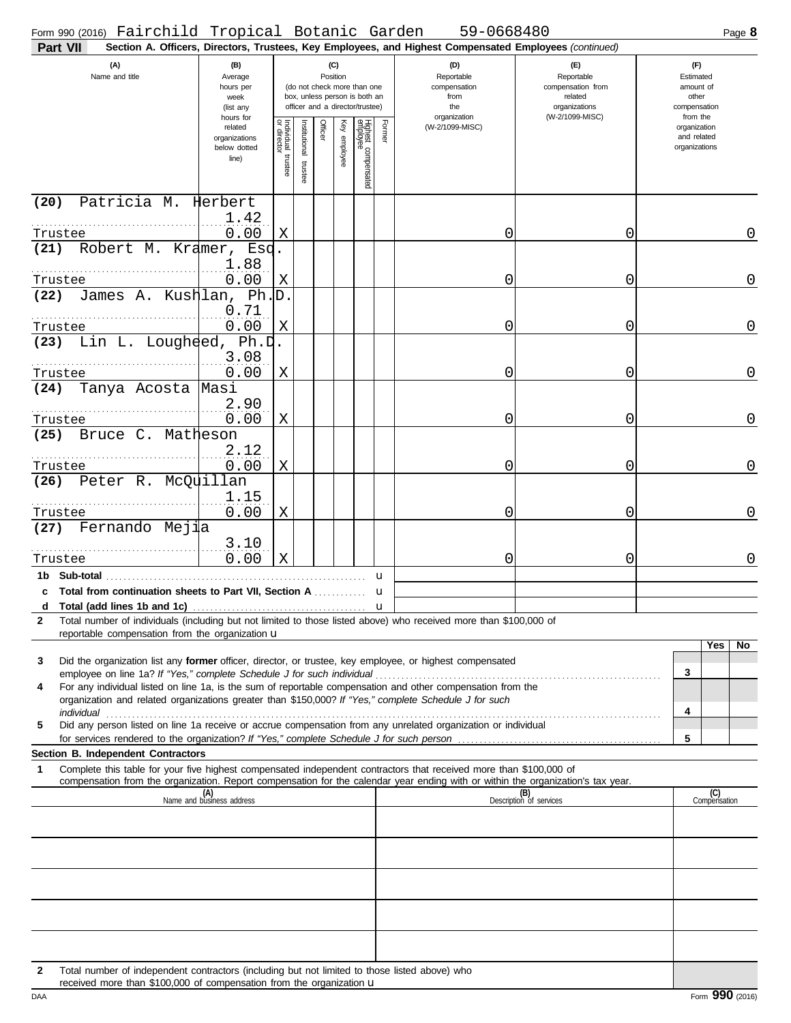| Form 990 (2016) Fairchild Tropical Botanic Garden                                                                                                                                                                                                           |                                                                                                                                                                        |                                   |                         |         |              |                                 |        | 59-0668480                                                                                             |                                                                                       | Page 8                                                             |
|-------------------------------------------------------------------------------------------------------------------------------------------------------------------------------------------------------------------------------------------------------------|------------------------------------------------------------------------------------------------------------------------------------------------------------------------|-----------------------------------|-------------------------|---------|--------------|---------------------------------|--------|--------------------------------------------------------------------------------------------------------|---------------------------------------------------------------------------------------|--------------------------------------------------------------------|
| Part VII                                                                                                                                                                                                                                                    |                                                                                                                                                                        |                                   |                         |         |              |                                 |        | Section A. Officers, Directors, Trustees, Key Employees, and Highest Compensated Employees (continued) |                                                                                       |                                                                    |
| (A)<br>Name and title                                                                                                                                                                                                                                       | (B)<br>(C)<br>Position<br>Average<br>(do not check more than one<br>hours per<br>box, unless person is both an<br>week<br>officer and a director/trustee)<br>(list any |                                   |                         |         |              |                                 |        | (D)<br>Reportable<br>compensation<br>from<br>the<br>organization                                       | (F)<br>Reportable<br>compensation from<br>related<br>organizations<br>(W-2/1099-MISC) | (F)<br>Estimated<br>amount of<br>other<br>compensation<br>from the |
|                                                                                                                                                                                                                                                             | hours for<br>related<br>organizations<br>below dotted<br>line)                                                                                                         | Individual trustee<br>or director | nstitutional<br>trustee | Officer | Key employee | Highest compensated<br>employee | Former | (W-2/1099-MISC)                                                                                        |                                                                                       | organization<br>and related<br>organizations                       |
| Patricia M. Herbert<br>(20)                                                                                                                                                                                                                                 |                                                                                                                                                                        |                                   |                         |         |              |                                 |        |                                                                                                        |                                                                                       |                                                                    |
| Trustee                                                                                                                                                                                                                                                     | 1.42<br>0.00                                                                                                                                                           | X                                 |                         |         |              |                                 |        | 0                                                                                                      | 0                                                                                     | 0                                                                  |
| Robert M. Kramer, Esd.<br>(21)                                                                                                                                                                                                                              |                                                                                                                                                                        |                                   |                         |         |              |                                 |        |                                                                                                        |                                                                                       |                                                                    |
|                                                                                                                                                                                                                                                             | 1.88                                                                                                                                                                   |                                   |                         |         |              |                                 |        |                                                                                                        |                                                                                       |                                                                    |
| Trustee<br>James A. Kushlan, Ph.D.<br>(22)                                                                                                                                                                                                                  | 0.00                                                                                                                                                                   | X                                 |                         |         |              |                                 |        | 0                                                                                                      | 0                                                                                     | 0                                                                  |
|                                                                                                                                                                                                                                                             | 0.71                                                                                                                                                                   |                                   |                         |         |              |                                 |        | 0                                                                                                      |                                                                                       | 0                                                                  |
| Trustee<br>Lin L. Loughded, Ph.D.<br>(23)                                                                                                                                                                                                                   | 0.00                                                                                                                                                                   | Χ                                 |                         |         |              |                                 |        |                                                                                                        | 0                                                                                     |                                                                    |
|                                                                                                                                                                                                                                                             | 3.08<br>0.00                                                                                                                                                           |                                   |                         |         |              |                                 |        | 0                                                                                                      |                                                                                       | 0                                                                  |
| Trustee<br>Tanya Acosta Masi<br>(24)                                                                                                                                                                                                                        |                                                                                                                                                                        | Χ                                 |                         |         |              |                                 |        |                                                                                                        | 0                                                                                     |                                                                    |
| Trustee                                                                                                                                                                                                                                                     | 2.90<br>0.00                                                                                                                                                           | X                                 |                         |         |              |                                 |        | 0                                                                                                      | 0                                                                                     | 0                                                                  |
| Bruce C. Matheson<br>(25)                                                                                                                                                                                                                                   |                                                                                                                                                                        |                                   |                         |         |              |                                 |        |                                                                                                        |                                                                                       |                                                                    |
| Trustee                                                                                                                                                                                                                                                     | 2.12<br>0.00                                                                                                                                                           | X                                 |                         |         |              |                                 |        | 0                                                                                                      | 0                                                                                     | 0                                                                  |
| Peter R. McQuillan<br>(26)                                                                                                                                                                                                                                  |                                                                                                                                                                        |                                   |                         |         |              |                                 |        |                                                                                                        |                                                                                       |                                                                    |
| Trustee                                                                                                                                                                                                                                                     | 1.15<br>0.00                                                                                                                                                           | Χ                                 |                         |         |              |                                 |        | 0                                                                                                      | 0                                                                                     | 0                                                                  |
| Fernando Mejia<br>(27)                                                                                                                                                                                                                                      |                                                                                                                                                                        |                                   |                         |         |              |                                 |        |                                                                                                        |                                                                                       |                                                                    |
| Trustee                                                                                                                                                                                                                                                     | 3.10<br>0.00                                                                                                                                                           | $\mathbf X$                       |                         |         |              |                                 |        | 0                                                                                                      | 0                                                                                     | 0                                                                  |
| 1b Sub-total                                                                                                                                                                                                                                                |                                                                                                                                                                        |                                   |                         |         |              | . <b>u</b>                      |        |                                                                                                        |                                                                                       |                                                                    |
| c Total from continuation sheets to Part VII, Section A  u                                                                                                                                                                                                  |                                                                                                                                                                        |                                   |                         |         |              |                                 |        |                                                                                                        |                                                                                       |                                                                    |
| Total number of individuals (including but not limited to those listed above) who received more than \$100,000 of<br>$\mathbf{2}$<br>reportable compensation from the organization u                                                                        |                                                                                                                                                                        |                                   |                         |         |              |                                 |        |                                                                                                        |                                                                                       |                                                                    |
|                                                                                                                                                                                                                                                             |                                                                                                                                                                        |                                   |                         |         |              |                                 |        |                                                                                                        |                                                                                       | Yes<br>No                                                          |
| Did the organization list any <b>former</b> officer, director, or trustee, key employee, or highest compensated<br>3                                                                                                                                        |                                                                                                                                                                        |                                   |                         |         |              |                                 |        |                                                                                                        |                                                                                       | 3                                                                  |
| For any individual listed on line 1a, is the sum of reportable compensation and other compensation from the<br>4<br>organization and related organizations greater than \$150,000? If "Yes," complete Schedule J for such                                   |                                                                                                                                                                        |                                   |                         |         |              |                                 |        |                                                                                                        |                                                                                       |                                                                    |
| Did any person listed on line 1a receive or accrue compensation from any unrelated organization or individual<br>5                                                                                                                                          |                                                                                                                                                                        |                                   |                         |         |              |                                 |        |                                                                                                        |                                                                                       | 4                                                                  |
| Section B. Independent Contractors                                                                                                                                                                                                                          |                                                                                                                                                                        |                                   |                         |         |              |                                 |        |                                                                                                        |                                                                                       | 5                                                                  |
| Complete this table for your five highest compensated independent contractors that received more than \$100,000 of<br>1<br>compensation from the organization. Report compensation for the calendar year ending with or within the organization's tax year. |                                                                                                                                                                        |                                   |                         |         |              |                                 |        |                                                                                                        |                                                                                       |                                                                    |
|                                                                                                                                                                                                                                                             | (A)<br>Name and business address                                                                                                                                       |                                   |                         |         |              |                                 |        |                                                                                                        | (B)<br>Description of services                                                        | (C)<br>Compensation                                                |
|                                                                                                                                                                                                                                                             |                                                                                                                                                                        |                                   |                         |         |              |                                 |        |                                                                                                        |                                                                                       |                                                                    |
|                                                                                                                                                                                                                                                             |                                                                                                                                                                        |                                   |                         |         |              |                                 |        |                                                                                                        |                                                                                       |                                                                    |
|                                                                                                                                                                                                                                                             |                                                                                                                                                                        |                                   |                         |         |              |                                 |        |                                                                                                        |                                                                                       |                                                                    |
|                                                                                                                                                                                                                                                             |                                                                                                                                                                        |                                   |                         |         |              |                                 |        |                                                                                                        |                                                                                       |                                                                    |
|                                                                                                                                                                                                                                                             |                                                                                                                                                                        |                                   |                         |         |              |                                 |        |                                                                                                        |                                                                                       |                                                                    |
| Total number of independent contractors (including but not limited to those listed above) who<br>2                                                                                                                                                          |                                                                                                                                                                        |                                   |                         |         |              |                                 |        |                                                                                                        |                                                                                       |                                                                    |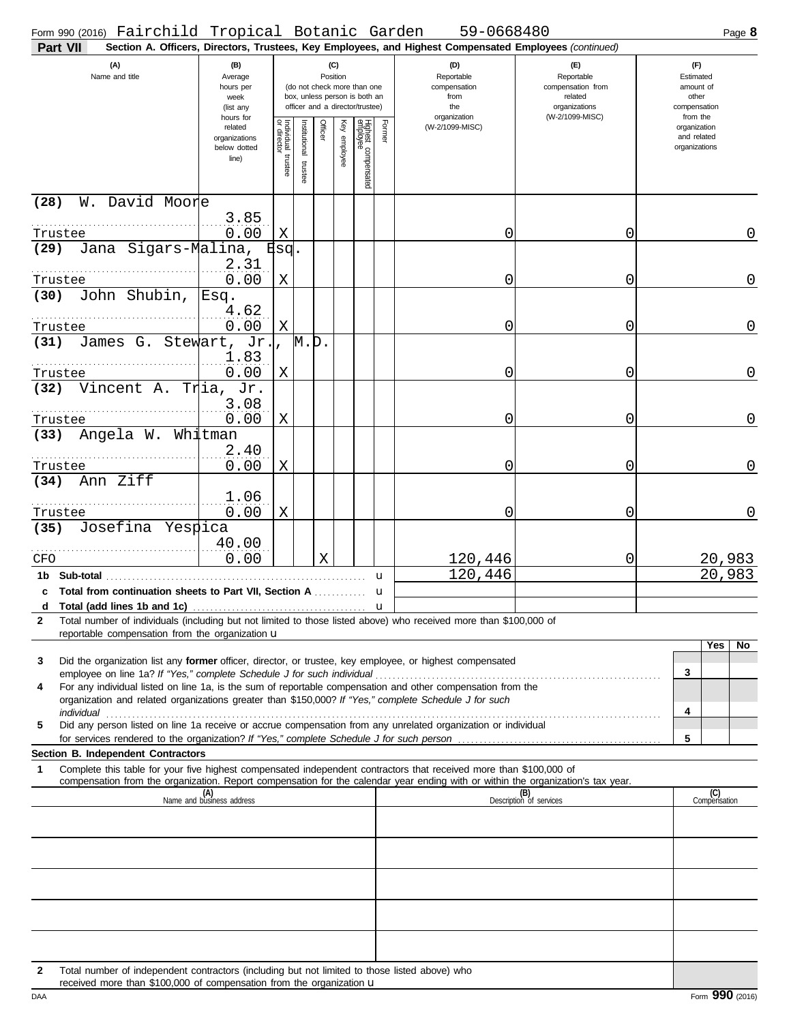| Form 990 (2016) Fairchild Tropical Botanic Garden                                                                                                                                                                         |                                                                                                                                                                        |                                   |                         |         |              |                                 |        | 59-0668480                                                                                             |                                                                    | Page 8                                                   |
|---------------------------------------------------------------------------------------------------------------------------------------------------------------------------------------------------------------------------|------------------------------------------------------------------------------------------------------------------------------------------------------------------------|-----------------------------------|-------------------------|---------|--------------|---------------------------------|--------|--------------------------------------------------------------------------------------------------------|--------------------------------------------------------------------|----------------------------------------------------------|
| Part VII                                                                                                                                                                                                                  |                                                                                                                                                                        |                                   |                         |         |              |                                 |        | Section A. Officers, Directors, Trustees, Key Employees, and Highest Compensated Employees (continued) |                                                                    |                                                          |
| (A)<br>Name and title                                                                                                                                                                                                     | (B)<br>(C)<br>Position<br>Average<br>(do not check more than one<br>hours per<br>box, unless person is both an<br>week<br>officer and a director/trustee)<br>(list any |                                   |                         |         |              |                                 |        | (D)<br>Reportable<br>compensation<br>from<br>the                                                       | (F)<br>Reportable<br>compensation from<br>related<br>organizations | (F)<br>Estimated<br>amount of<br>other<br>compensation   |
|                                                                                                                                                                                                                           | hours for<br>related<br>organizations<br>below dotted<br>line)                                                                                                         | Individual trustee<br>or director | nstitutional<br>trustee | Officer | Key employee | Highest compensated<br>employee | Former | organization<br>(W-2/1099-MISC)                                                                        | (W-2/1099-MISC)                                                    | from the<br>organization<br>and related<br>organizations |
| W. David Moore<br>(28)                                                                                                                                                                                                    |                                                                                                                                                                        |                                   |                         |         |              |                                 |        |                                                                                                        |                                                                    |                                                          |
| .<br>Trustee                                                                                                                                                                                                              | 3.85<br>0.00                                                                                                                                                           | Χ                                 |                         |         |              |                                 |        | 0                                                                                                      | 0                                                                  | 0                                                        |
| Jana Sigars-Malina,<br>(29)                                                                                                                                                                                               |                                                                                                                                                                        | Esg.                              |                         |         |              |                                 |        |                                                                                                        |                                                                    |                                                          |
|                                                                                                                                                                                                                           | 2.31                                                                                                                                                                   |                                   |                         |         |              |                                 |        |                                                                                                        |                                                                    |                                                          |
| Trustee<br>John Shubin,<br>(30)                                                                                                                                                                                           | 0.00<br>Esq.                                                                                                                                                           | X                                 |                         |         |              |                                 |        | 0                                                                                                      | 0                                                                  | 0                                                        |
| Trustee                                                                                                                                                                                                                   | 4.62<br>0.00                                                                                                                                                           | X                                 |                         |         |              |                                 |        | 0                                                                                                      | 0                                                                  | 0                                                        |
| James G. Stewart, Jr.<br>(31)                                                                                                                                                                                             |                                                                                                                                                                        |                                   | M.D.                    |         |              |                                 |        |                                                                                                        |                                                                    |                                                          |
| Trustee                                                                                                                                                                                                                   | 1.83<br>0.00                                                                                                                                                           | X                                 |                         |         |              |                                 |        | 0                                                                                                      | 0                                                                  | 0                                                        |
| Vincent A. Tria,<br>(32)                                                                                                                                                                                                  | Jr.                                                                                                                                                                    |                                   |                         |         |              |                                 |        |                                                                                                        |                                                                    |                                                          |
| Trustee                                                                                                                                                                                                                   | 3.08<br>0.00                                                                                                                                                           | X                                 |                         |         |              |                                 |        | 0                                                                                                      | 0                                                                  | 0                                                        |
| (33) Angela W. Whitman                                                                                                                                                                                                    |                                                                                                                                                                        |                                   |                         |         |              |                                 |        |                                                                                                        |                                                                    |                                                          |
| Trustee                                                                                                                                                                                                                   | 2.40<br>0.00                                                                                                                                                           | Χ                                 |                         |         |              |                                 |        | 0                                                                                                      | 0                                                                  | $\Omega$                                                 |
| Ann Ziff<br>(34)                                                                                                                                                                                                          |                                                                                                                                                                        |                                   |                         |         |              |                                 |        |                                                                                                        |                                                                    |                                                          |
|                                                                                                                                                                                                                           | 1.06                                                                                                                                                                   |                                   |                         |         |              |                                 |        | 0                                                                                                      |                                                                    |                                                          |
| Trustee<br>Josefina Yespica<br>(35)                                                                                                                                                                                       | 0.00                                                                                                                                                                   | X                                 |                         |         |              |                                 |        |                                                                                                        | 0                                                                  | 0                                                        |
| <b>CFO</b>                                                                                                                                                                                                                | 40.00<br>0.00                                                                                                                                                          |                                   |                         | X       |              |                                 |        | 120,446                                                                                                | 0                                                                  | <u>20,983</u>                                            |
| 1b Sub-total                                                                                                                                                                                                              |                                                                                                                                                                        |                                   |                         |         |              |                                 | u      | 120,446                                                                                                |                                                                    | 20,983                                                   |
| c Total from continuation sheets to Part VII, Section A                                                                                                                                                                   |                                                                                                                                                                        |                                   |                         |         |              |                                 | u      |                                                                                                        |                                                                    |                                                          |
| Total number of individuals (including but not limited to those listed above) who received more than \$100,000 of<br>$\mathbf{2}$                                                                                         |                                                                                                                                                                        |                                   |                         |         |              |                                 |        |                                                                                                        |                                                                    |                                                          |
| reportable compensation from the organization u                                                                                                                                                                           |                                                                                                                                                                        |                                   |                         |         |              |                                 |        |                                                                                                        |                                                                    | Yes<br>No                                                |
| Did the organization list any <b>former</b> officer, director, or trustee, key employee, or highest compensated<br>3                                                                                                      |                                                                                                                                                                        |                                   |                         |         |              |                                 |        |                                                                                                        |                                                                    |                                                          |
| For any individual listed on line 1a, is the sum of reportable compensation and other compensation from the<br>4<br>organization and related organizations greater than \$150,000? If "Yes," complete Schedule J for such |                                                                                                                                                                        |                                   |                         |         |              |                                 |        |                                                                                                        |                                                                    | 3<br>4                                                   |
| Did any person listed on line 1a receive or accrue compensation from any unrelated organization or individual<br>5                                                                                                        |                                                                                                                                                                        |                                   |                         |         |              |                                 |        |                                                                                                        |                                                                    |                                                          |
| Section B. Independent Contractors                                                                                                                                                                                        |                                                                                                                                                                        |                                   |                         |         |              |                                 |        |                                                                                                        |                                                                    | 5                                                        |
| Complete this table for your five highest compensated independent contractors that received more than \$100,000 of<br>1                                                                                                   |                                                                                                                                                                        |                                   |                         |         |              |                                 |        |                                                                                                        |                                                                    |                                                          |
| compensation from the organization. Report compensation for the calendar year ending with or within the organization's tax year.                                                                                          | (A)<br>Name and business address                                                                                                                                       |                                   |                         |         |              |                                 |        |                                                                                                        | (B)<br>Description of services                                     | (C)                                                      |
|                                                                                                                                                                                                                           |                                                                                                                                                                        |                                   |                         |         |              |                                 |        |                                                                                                        |                                                                    | Compensation                                             |
|                                                                                                                                                                                                                           |                                                                                                                                                                        |                                   |                         |         |              |                                 |        |                                                                                                        |                                                                    |                                                          |
|                                                                                                                                                                                                                           |                                                                                                                                                                        |                                   |                         |         |              |                                 |        |                                                                                                        |                                                                    |                                                          |
|                                                                                                                                                                                                                           |                                                                                                                                                                        |                                   |                         |         |              |                                 |        |                                                                                                        |                                                                    |                                                          |
|                                                                                                                                                                                                                           |                                                                                                                                                                        |                                   |                         |         |              |                                 |        |                                                                                                        |                                                                    |                                                          |
|                                                                                                                                                                                                                           |                                                                                                                                                                        |                                   |                         |         |              |                                 |        |                                                                                                        |                                                                    |                                                          |
| Total number of independent contractors (including but not limited to those listed above) who<br>$\mathbf{2}$                                                                                                             |                                                                                                                                                                        |                                   |                         |         |              |                                 |        |                                                                                                        |                                                                    |                                                          |

received more than \$100,000 of compensation from the organization u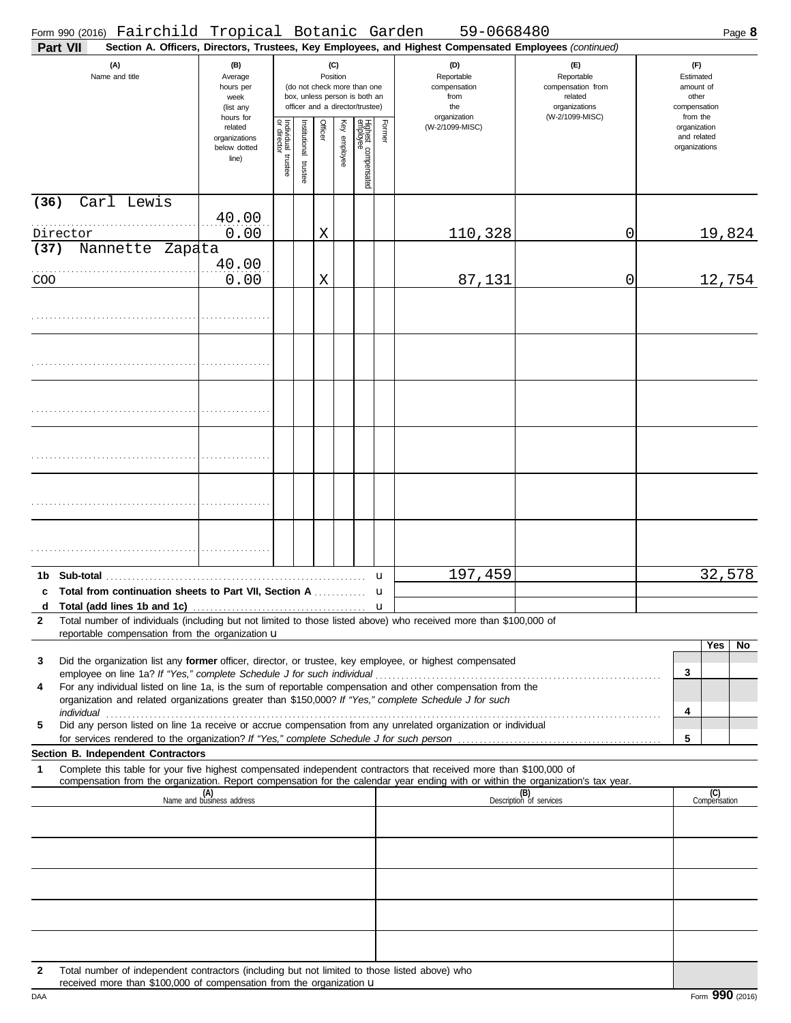|                                                                                                                                                                                                       |          | Form 990 (2016) Fairchild Tropical Botanic Garden                                             |                                                   |                                   |                      |         |              |                                 |                                                                  | 59-0668480                                                                                                                                                                                                                                             |                                                                    | Page 8                                       |
|-------------------------------------------------------------------------------------------------------------------------------------------------------------------------------------------------------|----------|-----------------------------------------------------------------------------------------------|---------------------------------------------------|-----------------------------------|----------------------|---------|--------------|---------------------------------|------------------------------------------------------------------|--------------------------------------------------------------------------------------------------------------------------------------------------------------------------------------------------------------------------------------------------------|--------------------------------------------------------------------|----------------------------------------------|
|                                                                                                                                                                                                       | Part VII |                                                                                               |                                                   |                                   |                      |         |              |                                 |                                                                  | Section A. Officers, Directors, Trustees, Key Employees, and Highest Compensated Employees (continued)                                                                                                                                                 |                                                                    |                                              |
| (A)<br>(B)<br>Name and title<br>Position<br>Average<br>hours per<br>(do not check more than one<br>box, unless person is both an<br>week<br>officer and a director/trustee)<br>(list any<br>hours for |          |                                                                                               |                                                   |                                   |                      | (C)     |              |                                 | (D)<br>Reportable<br>compensation<br>from<br>the<br>organization | (F)<br>Reportable<br>compensation from<br>related<br>organizations<br>(W-2/1099-MISC)                                                                                                                                                                  | (F)<br>Estimated<br>amount of<br>other<br>compensation<br>from the |                                              |
|                                                                                                                                                                                                       |          |                                                                                               | related<br>organizations<br>below dotted<br>line) | Individual trustee<br>or director | nstitutional trustee | Officer | Key employee | Highest compensated<br>employee | Former                                                           | (W-2/1099-MISC)                                                                                                                                                                                                                                        |                                                                    | organization<br>and related<br>organizations |
| (36)                                                                                                                                                                                                  |          | Carl Lewis                                                                                    |                                                   |                                   |                      |         |              |                                 |                                                                  |                                                                                                                                                                                                                                                        |                                                                    |                                              |
|                                                                                                                                                                                                       | Director |                                                                                               | 40.00<br>0.00                                     |                                   |                      | Χ       |              |                                 |                                                                  | 110,328                                                                                                                                                                                                                                                | 0                                                                  | 19,824                                       |
| (37)                                                                                                                                                                                                  |          | Nannette Zapata                                                                               |                                                   |                                   |                      |         |              |                                 |                                                                  |                                                                                                                                                                                                                                                        |                                                                    |                                              |
| COO                                                                                                                                                                                                   |          |                                                                                               | 40.00<br>0.00                                     |                                   |                      | X       |              |                                 |                                                                  | 87,131                                                                                                                                                                                                                                                 | 0                                                                  | 12,754                                       |
|                                                                                                                                                                                                       |          |                                                                                               |                                                   |                                   |                      |         |              |                                 |                                                                  |                                                                                                                                                                                                                                                        |                                                                    |                                              |
|                                                                                                                                                                                                       |          |                                                                                               |                                                   |                                   |                      |         |              |                                 |                                                                  |                                                                                                                                                                                                                                                        |                                                                    |                                              |
|                                                                                                                                                                                                       |          |                                                                                               |                                                   |                                   |                      |         |              |                                 |                                                                  |                                                                                                                                                                                                                                                        |                                                                    |                                              |
|                                                                                                                                                                                                       |          |                                                                                               |                                                   |                                   |                      |         |              |                                 |                                                                  |                                                                                                                                                                                                                                                        |                                                                    |                                              |
|                                                                                                                                                                                                       |          |                                                                                               |                                                   |                                   |                      |         |              |                                 |                                                                  |                                                                                                                                                                                                                                                        |                                                                    |                                              |
|                                                                                                                                                                                                       |          |                                                                                               |                                                   |                                   |                      |         |              |                                 |                                                                  |                                                                                                                                                                                                                                                        |                                                                    |                                              |
|                                                                                                                                                                                                       |          |                                                                                               |                                                   |                                   |                      |         |              |                                 |                                                                  |                                                                                                                                                                                                                                                        |                                                                    |                                              |
| c                                                                                                                                                                                                     |          | <b>Total from continuation sheets to Part VII, Section A</b> <i>Community</i>                 |                                                   |                                   |                      |         |              |                                 | u<br>u                                                           | 197,459                                                                                                                                                                                                                                                |                                                                    | 32,578                                       |
|                                                                                                                                                                                                       |          |                                                                                               |                                                   |                                   |                      |         |              |                                 |                                                                  |                                                                                                                                                                                                                                                        |                                                                    |                                              |
| $\mathbf{2}$                                                                                                                                                                                          |          |                                                                                               |                                                   |                                   |                      |         |              |                                 |                                                                  | Total number of individuals (including but not limited to those listed above) who received more than \$100,000 of                                                                                                                                      |                                                                    |                                              |
|                                                                                                                                                                                                       |          | reportable compensation from the organization u                                               |                                                   |                                   |                      |         |              |                                 |                                                                  |                                                                                                                                                                                                                                                        |                                                                    | Yes<br>No                                    |
| 3                                                                                                                                                                                                     |          |                                                                                               |                                                   |                                   |                      |         |              |                                 |                                                                  | Did the organization list any <b>former</b> officer, director, or trustee, key employee, or highest compensated                                                                                                                                        |                                                                    | 3                                            |
| 4                                                                                                                                                                                                     |          |                                                                                               |                                                   |                                   |                      |         |              |                                 |                                                                  | For any individual listed on line 1a, is the sum of reportable compensation and other compensation from the<br>organization and related organizations greater than \$150,000? If "Yes," complete Schedule J for such                                   |                                                                    | 4                                            |
| 5                                                                                                                                                                                                     |          |                                                                                               |                                                   |                                   |                      |         |              |                                 |                                                                  | Did any person listed on line 1a receive or accrue compensation from any unrelated organization or individual                                                                                                                                          |                                                                    | 5                                            |
|                                                                                                                                                                                                       |          | Section B. Independent Contractors                                                            |                                                   |                                   |                      |         |              |                                 |                                                                  |                                                                                                                                                                                                                                                        |                                                                    |                                              |
| 1                                                                                                                                                                                                     |          |                                                                                               |                                                   |                                   |                      |         |              |                                 |                                                                  | Complete this table for your five highest compensated independent contractors that received more than \$100,000 of<br>compensation from the organization. Report compensation for the calendar year ending with or within the organization's tax year. |                                                                    |                                              |
|                                                                                                                                                                                                       |          |                                                                                               | (A)<br>Name and business address                  |                                   |                      |         |              |                                 |                                                                  |                                                                                                                                                                                                                                                        | (B)<br>Description of services                                     | (C)<br>Compensation                          |
|                                                                                                                                                                                                       |          |                                                                                               |                                                   |                                   |                      |         |              |                                 |                                                                  |                                                                                                                                                                                                                                                        |                                                                    |                                              |
|                                                                                                                                                                                                       |          |                                                                                               |                                                   |                                   |                      |         |              |                                 |                                                                  |                                                                                                                                                                                                                                                        |                                                                    |                                              |
|                                                                                                                                                                                                       |          |                                                                                               |                                                   |                                   |                      |         |              |                                 |                                                                  |                                                                                                                                                                                                                                                        |                                                                    |                                              |
|                                                                                                                                                                                                       |          |                                                                                               |                                                   |                                   |                      |         |              |                                 |                                                                  |                                                                                                                                                                                                                                                        |                                                                    |                                              |
| $\mathbf{2}$                                                                                                                                                                                          |          | Total number of independent contractors (including but not limited to those listed above) who |                                                   |                                   |                      |         |              |                                 |                                                                  |                                                                                                                                                                                                                                                        |                                                                    |                                              |

received more than \$100,000 of compensation from the organization u

 $\mathbf{L}$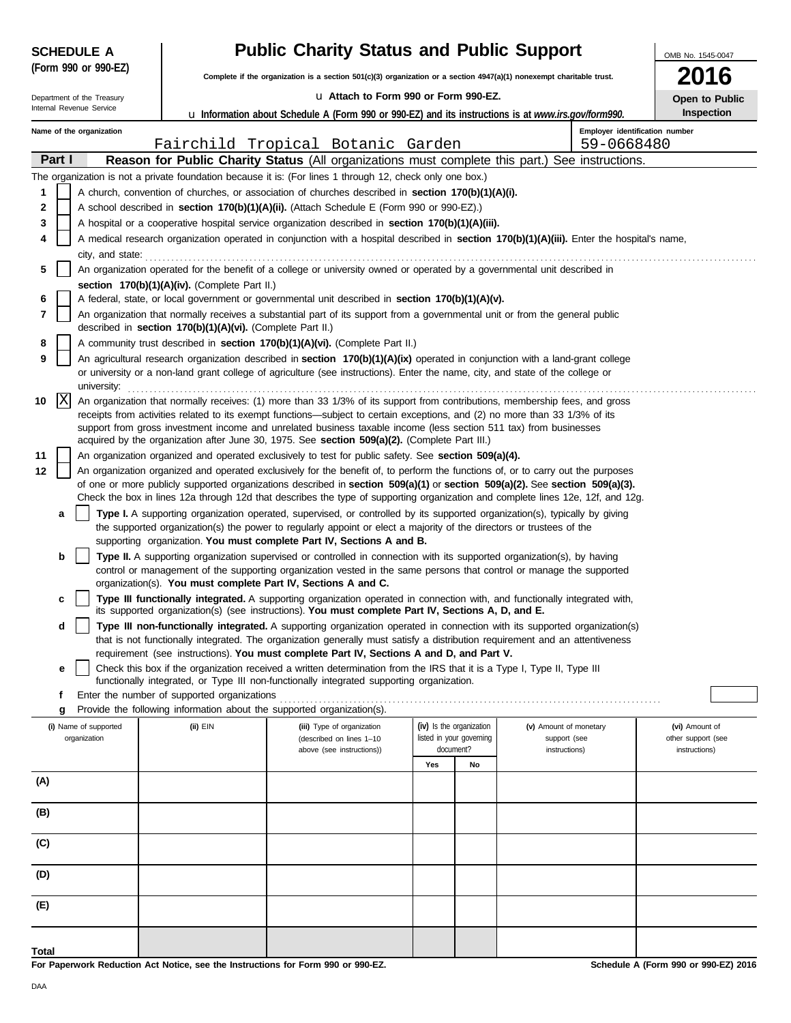| <b>SCHEDULE A</b>                     |                                                                                                    | <b>Public Charity Status and Public Support</b>                                                                                                                                                                                                                                                                                                                                 |                                                      |                                        | OMB No. 1545-0047                    |  |  |
|---------------------------------------|----------------------------------------------------------------------------------------------------|---------------------------------------------------------------------------------------------------------------------------------------------------------------------------------------------------------------------------------------------------------------------------------------------------------------------------------------------------------------------------------|------------------------------------------------------|----------------------------------------|--------------------------------------|--|--|
| (Form 990 or 990-EZ)                  |                                                                                                    | Complete if the organization is a section 501(c)(3) organization or a section $4947(a)(1)$ nonexempt charitable trust.                                                                                                                                                                                                                                                          |                                                      |                                        | 6                                    |  |  |
| Department of the Treasury            |                                                                                                    | La Attach to Form 990 or Form 990-EZ.                                                                                                                                                                                                                                                                                                                                           | Open to Public                                       |                                        |                                      |  |  |
| Internal Revenue Service              |                                                                                                    | <b>u</b> Information about Schedule A (Form 990 or 990-EZ) and its instructions is at www.irs.gov/form990.                                                                                                                                                                                                                                                                      |                                                      |                                        | Inspection                           |  |  |
| Name of the organization              | Employer identification number<br>Fairchild Tropical Botanic Garden<br>59-0668480                  |                                                                                                                                                                                                                                                                                                                                                                                 |                                                      |                                        |                                      |  |  |
| Part I                                |                                                                                                    | Reason for Public Charity Status (All organizations must complete this part.) See instructions.                                                                                                                                                                                                                                                                                 |                                                      |                                        |                                      |  |  |
|                                       |                                                                                                    | The organization is not a private foundation because it is: (For lines 1 through 12, check only one box.)                                                                                                                                                                                                                                                                       |                                                      |                                        |                                      |  |  |
| 1                                     | A church, convention of churches, or association of churches described in section 170(b)(1)(A)(i). |                                                                                                                                                                                                                                                                                                                                                                                 |                                                      |                                        |                                      |  |  |
| 2                                     |                                                                                                    | A school described in <b>section 170(b)(1)(A)(ii).</b> (Attach Schedule E (Form 990 or 990-EZ).)                                                                                                                                                                                                                                                                                |                                                      |                                        |                                      |  |  |
| 3                                     |                                                                                                    | A hospital or a cooperative hospital service organization described in section 170(b)(1)(A)(iii).                                                                                                                                                                                                                                                                               |                                                      |                                        |                                      |  |  |
| 4                                     |                                                                                                    | A medical research organization operated in conjunction with a hospital described in section 170(b)(1)(A)(iii). Enter the hospital's name,                                                                                                                                                                                                                                      |                                                      |                                        |                                      |  |  |
|                                       |                                                                                                    |                                                                                                                                                                                                                                                                                                                                                                                 |                                                      |                                        |                                      |  |  |
| 5                                     |                                                                                                    | An organization operated for the benefit of a college or university owned or operated by a governmental unit described in                                                                                                                                                                                                                                                       |                                                      |                                        |                                      |  |  |
|                                       | section 170(b)(1)(A)(iv). (Complete Part II.)                                                      |                                                                                                                                                                                                                                                                                                                                                                                 |                                                      |                                        |                                      |  |  |
| 6<br>7                                | described in section 170(b)(1)(A)(vi). (Complete Part II.)                                         | A federal, state, or local government or governmental unit described in section 170(b)(1)(A)(v).<br>An organization that normally receives a substantial part of its support from a governmental unit or from the general public                                                                                                                                                |                                                      |                                        |                                      |  |  |
| 8                                     |                                                                                                    | A community trust described in section 170(b)(1)(A)(vi). (Complete Part II.)                                                                                                                                                                                                                                                                                                    |                                                      |                                        |                                      |  |  |
| 9                                     |                                                                                                    | An agricultural research organization described in section 170(b)(1)(A)(ix) operated in conjunction with a land-grant college<br>or university or a non-land grant college of agriculture (see instructions). Enter the name, city, and state of the college or                                                                                                                 |                                                      |                                        |                                      |  |  |
| university:<br> X<br>10               |                                                                                                    | An organization that normally receives: (1) more than 33 1/3% of its support from contributions, membership fees, and gross<br>receipts from activities related to its exempt functions—subject to certain exceptions, and (2) no more than 33 1/3% of its<br>support from gross investment income and unrelated business taxable income (less section 511 tax) from businesses |                                                      |                                        |                                      |  |  |
|                                       |                                                                                                    | acquired by the organization after June 30, 1975. See section 509(a)(2). (Complete Part III.)                                                                                                                                                                                                                                                                                   |                                                      |                                        |                                      |  |  |
| 11                                    |                                                                                                    | An organization organized and operated exclusively to test for public safety. See section 509(a)(4).                                                                                                                                                                                                                                                                            |                                                      |                                        |                                      |  |  |
| 12                                    |                                                                                                    | An organization organized and operated exclusively for the benefit of, to perform the functions of, or to carry out the purposes<br>of one or more publicly supported organizations described in section $509(a)(1)$ or section $509(a)(2)$ . See section $509(a)(3)$ .                                                                                                         |                                                      |                                        |                                      |  |  |
|                                       |                                                                                                    | Check the box in lines 12a through 12d that describes the type of supporting organization and complete lines 12e, 12f, and 12g.                                                                                                                                                                                                                                                 |                                                      |                                        |                                      |  |  |
| а                                     |                                                                                                    | Type I. A supporting organization operated, supervised, or controlled by its supported organization(s), typically by giving                                                                                                                                                                                                                                                     |                                                      |                                        |                                      |  |  |
|                                       |                                                                                                    | the supported organization(s) the power to regularly appoint or elect a majority of the directors or trustees of the                                                                                                                                                                                                                                                            |                                                      |                                        |                                      |  |  |
|                                       |                                                                                                    | supporting organization. You must complete Part IV, Sections A and B.                                                                                                                                                                                                                                                                                                           |                                                      |                                        |                                      |  |  |
| b                                     |                                                                                                    | Type II. A supporting organization supervised or controlled in connection with its supported organization(s), by having<br>control or management of the supporting organization vested in the same persons that control or manage the supported                                                                                                                                 |                                                      |                                        |                                      |  |  |
| c                                     |                                                                                                    | organization(s). You must complete Part IV, Sections A and C.<br>Type III functionally integrated. A supporting organization operated in connection with, and functionally integrated with,                                                                                                                                                                                     |                                                      |                                        |                                      |  |  |
|                                       |                                                                                                    | its supported organization(s) (see instructions). You must complete Part IV, Sections A, D, and E.                                                                                                                                                                                                                                                                              |                                                      |                                        |                                      |  |  |
| d                                     |                                                                                                    | Type III non-functionally integrated. A supporting organization operated in connection with its supported organization(s)                                                                                                                                                                                                                                                       |                                                      |                                        |                                      |  |  |
|                                       |                                                                                                    | that is not functionally integrated. The organization generally must satisfy a distribution requirement and an attentiveness<br>requirement (see instructions). You must complete Part IV, Sections A and D, and Part V.                                                                                                                                                        |                                                      |                                        |                                      |  |  |
| е                                     |                                                                                                    | Check this box if the organization received a written determination from the IRS that it is a Type I, Type II, Type III                                                                                                                                                                                                                                                         |                                                      |                                        |                                      |  |  |
|                                       |                                                                                                    | functionally integrated, or Type III non-functionally integrated supporting organization.                                                                                                                                                                                                                                                                                       |                                                      |                                        |                                      |  |  |
| f                                     | Enter the number of supported organizations                                                        |                                                                                                                                                                                                                                                                                                                                                                                 |                                                      |                                        |                                      |  |  |
| g                                     |                                                                                                    | Provide the following information about the supported organization(s).                                                                                                                                                                                                                                                                                                          |                                                      |                                        |                                      |  |  |
| (i) Name of supported<br>organization | $(ii)$ EIN                                                                                         | (iii) Type of organization<br>(described on lines 1-10                                                                                                                                                                                                                                                                                                                          | (iv) Is the organization<br>listed in your governing | (v) Amount of monetary<br>support (see | (vi) Amount of<br>other support (see |  |  |
|                                       |                                                                                                    | above (see instructions))                                                                                                                                                                                                                                                                                                                                                       | document?                                            | instructions)                          | instructions)                        |  |  |
|                                       |                                                                                                    |                                                                                                                                                                                                                                                                                                                                                                                 | Yes<br>No                                            |                                        |                                      |  |  |
| (A)                                   |                                                                                                    |                                                                                                                                                                                                                                                                                                                                                                                 |                                                      |                                        |                                      |  |  |
| (B)                                   |                                                                                                    |                                                                                                                                                                                                                                                                                                                                                                                 |                                                      |                                        |                                      |  |  |
| (C)                                   |                                                                                                    |                                                                                                                                                                                                                                                                                                                                                                                 |                                                      |                                        |                                      |  |  |
|                                       |                                                                                                    |                                                                                                                                                                                                                                                                                                                                                                                 |                                                      |                                        |                                      |  |  |
| (D)                                   |                                                                                                    |                                                                                                                                                                                                                                                                                                                                                                                 |                                                      |                                        |                                      |  |  |
| (E)                                   |                                                                                                    |                                                                                                                                                                                                                                                                                                                                                                                 |                                                      |                                        |                                      |  |  |
|                                       |                                                                                                    |                                                                                                                                                                                                                                                                                                                                                                                 |                                                      |                                        |                                      |  |  |
| Total                                 |                                                                                                    | puerk Peduction, Act Notice, can the Instructions for Ferm 000 or 000 F7                                                                                                                                                                                                                                                                                                        |                                                      |                                        | Schodule A (Form 000 or 000 EZ) 2016 |  |  |

**For Paperwork Reduction Act Notice, see the Instructions for Form 990 or 990-EZ.**

**Schedule A (Form 990 or 990-EZ) 2016**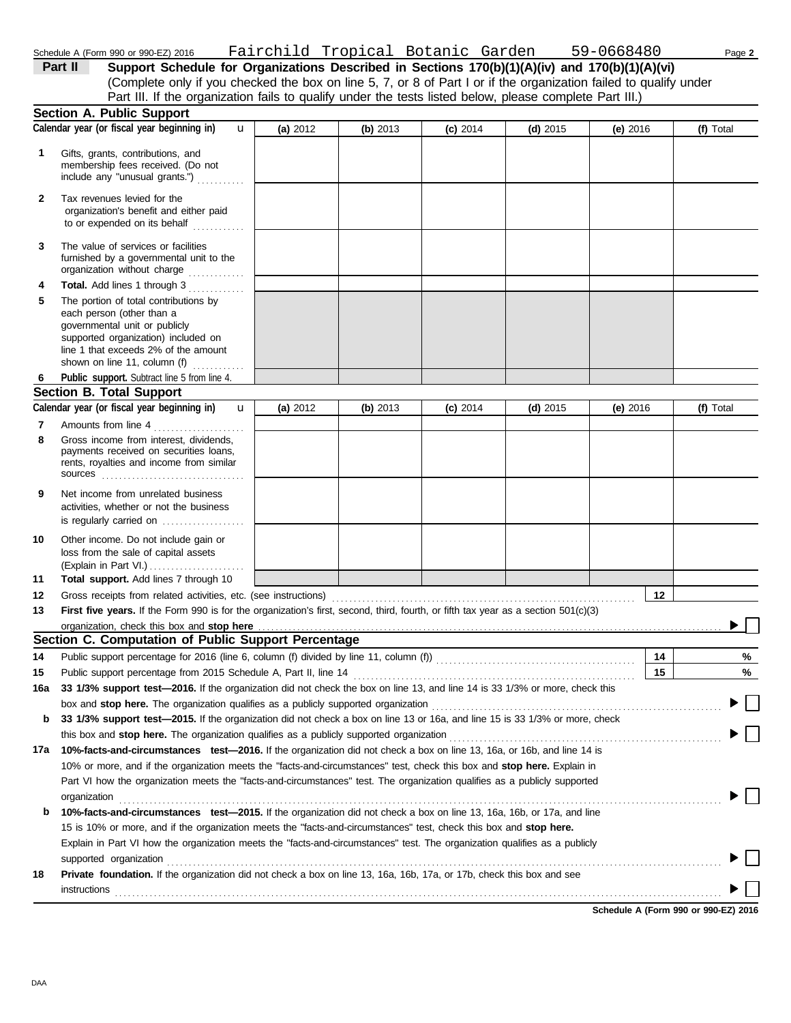(Complete only if you checked the box on line 5, 7, or 8 of Part I or if the organization failed to qualify under **Part II** Support Schedule for Organizations Described in Sections 170(b)(1)(A)(iv) and 170(b)(1)(A)(vi) Part III. If the organization fails to qualify under the tests listed below, please complete Part III.)

|              | Section A. Public Support                                                                                                                                                                                                                                                                                                                                                 |          |          |            |            |            |           |
|--------------|---------------------------------------------------------------------------------------------------------------------------------------------------------------------------------------------------------------------------------------------------------------------------------------------------------------------------------------------------------------------------|----------|----------|------------|------------|------------|-----------|
|              | Calendar year (or fiscal year beginning in)<br>u                                                                                                                                                                                                                                                                                                                          | (a) 2012 | (b) 2013 | $(c)$ 2014 | $(d)$ 2015 | $(e)$ 2016 | (f) Total |
| 1.           | Gifts, grants, contributions, and<br>membership fees received. (Do not<br>include any "unusual grants.")                                                                                                                                                                                                                                                                  |          |          |            |            |            |           |
| $\mathbf{2}$ | Tax revenues levied for the<br>organization's benefit and either paid<br>to or expended on its behalf                                                                                                                                                                                                                                                                     |          |          |            |            |            |           |
| 3            | The value of services or facilities<br>furnished by a governmental unit to the<br>organization without charge                                                                                                                                                                                                                                                             |          |          |            |            |            |           |
| 4            | Total. Add lines 1 through 3                                                                                                                                                                                                                                                                                                                                              |          |          |            |            |            |           |
| 5            | The portion of total contributions by<br>each person (other than a<br>governmental unit or publicly<br>supported organization) included on<br>line 1 that exceeds 2% of the amount<br>shown on line 11, column (f)<br>.                                                                                                                                                   |          |          |            |            |            |           |
| 6            | Public support. Subtract line 5 from line 4.                                                                                                                                                                                                                                                                                                                              |          |          |            |            |            |           |
|              | Section B. Total Support                                                                                                                                                                                                                                                                                                                                                  |          |          |            |            |            |           |
|              | Calendar year (or fiscal year beginning in)<br>$\mathbf u$                                                                                                                                                                                                                                                                                                                | (a) 2012 | (b) 2013 | $(c)$ 2014 | $(d)$ 2015 | (e) $2016$ | (f) Total |
| 7            | Amounts from line 4                                                                                                                                                                                                                                                                                                                                                       |          |          |            |            |            |           |
| 8            | Gross income from interest, dividends.<br>payments received on securities loans,<br>rents, royalties and income from similar                                                                                                                                                                                                                                              |          |          |            |            |            |           |
| 9            | Net income from unrelated business<br>activities, whether or not the business<br>is regularly carried on                                                                                                                                                                                                                                                                  |          |          |            |            |            |           |
| 10           | Other income. Do not include gain or<br>loss from the sale of capital assets<br>(Explain in Part VI.)                                                                                                                                                                                                                                                                     |          |          |            |            |            |           |
| 11           | Total support. Add lines 7 through 10                                                                                                                                                                                                                                                                                                                                     |          |          |            |            |            |           |
| 12           |                                                                                                                                                                                                                                                                                                                                                                           |          |          |            |            | 12         |           |
| 13           | First five years. If the Form 990 is for the organization's first, second, third, fourth, or fifth tax year as a section 501(c)(3)                                                                                                                                                                                                                                        |          |          |            |            |            |           |
|              | organization, check this box and stop here                                                                                                                                                                                                                                                                                                                                |          |          |            |            |            |           |
|              | Section C. Computation of Public Support Percentage                                                                                                                                                                                                                                                                                                                       |          |          |            |            |            |           |
| 14           |                                                                                                                                                                                                                                                                                                                                                                           |          |          |            |            | 14         | %         |
| 15           |                                                                                                                                                                                                                                                                                                                                                                           |          |          |            |            | 15         | $\%$      |
| 16а          | 33 1/3% support test-2016. If the organization did not check the box on line 13, and line 14 is 33 1/3% or more, check this                                                                                                                                                                                                                                               |          |          |            |            |            |           |
|              | box and stop here. The organization qualifies as a publicly supported organization                                                                                                                                                                                                                                                                                        |          |          |            |            |            |           |
| b            | 33 1/3% support test-2015. If the organization did not check a box on line 13 or 16a, and line 15 is 33 1/3% or more, check                                                                                                                                                                                                                                               |          |          |            |            |            |           |
|              | this box and <b>stop here.</b> The organization qualifies as a publicly supported organization                                                                                                                                                                                                                                                                            |          |          |            |            |            |           |
| 17a          | 10%-facts-and-circumstances test-2016. If the organization did not check a box on line 13, 16a, or 16b, and line 14 is                                                                                                                                                                                                                                                    |          |          |            |            |            |           |
|              | 10% or more, and if the organization meets the "facts-and-circumstances" test, check this box and stop here. Explain in                                                                                                                                                                                                                                                   |          |          |            |            |            |           |
|              | Part VI how the organization meets the "facts-and-circumstances" test. The organization qualifies as a publicly supported                                                                                                                                                                                                                                                 |          |          |            |            |            |           |
|              | organization                                                                                                                                                                                                                                                                                                                                                              |          |          |            |            |            |           |
| b            | 10%-facts-and-circumstances test-2015. If the organization did not check a box on line 13, 16a, 16b, or 17a, and line<br>15 is 10% or more, and if the organization meets the "facts-and-circumstances" test, check this box and stop here.<br>Explain in Part VI how the organization meets the "facts-and-circumstances" test. The organization qualifies as a publicly |          |          |            |            |            |           |
|              | supported organization                                                                                                                                                                                                                                                                                                                                                    |          |          |            |            |            |           |
| 18           | Private foundation. If the organization did not check a box on line 13, 16a, 16b, 17a, or 17b, check this box and see                                                                                                                                                                                                                                                     |          |          |            |            |            |           |
|              | instructions                                                                                                                                                                                                                                                                                                                                                              |          |          |            |            |            |           |
|              |                                                                                                                                                                                                                                                                                                                                                                           |          |          |            |            |            |           |

**Schedule A (Form 990 or 990-EZ) 2016**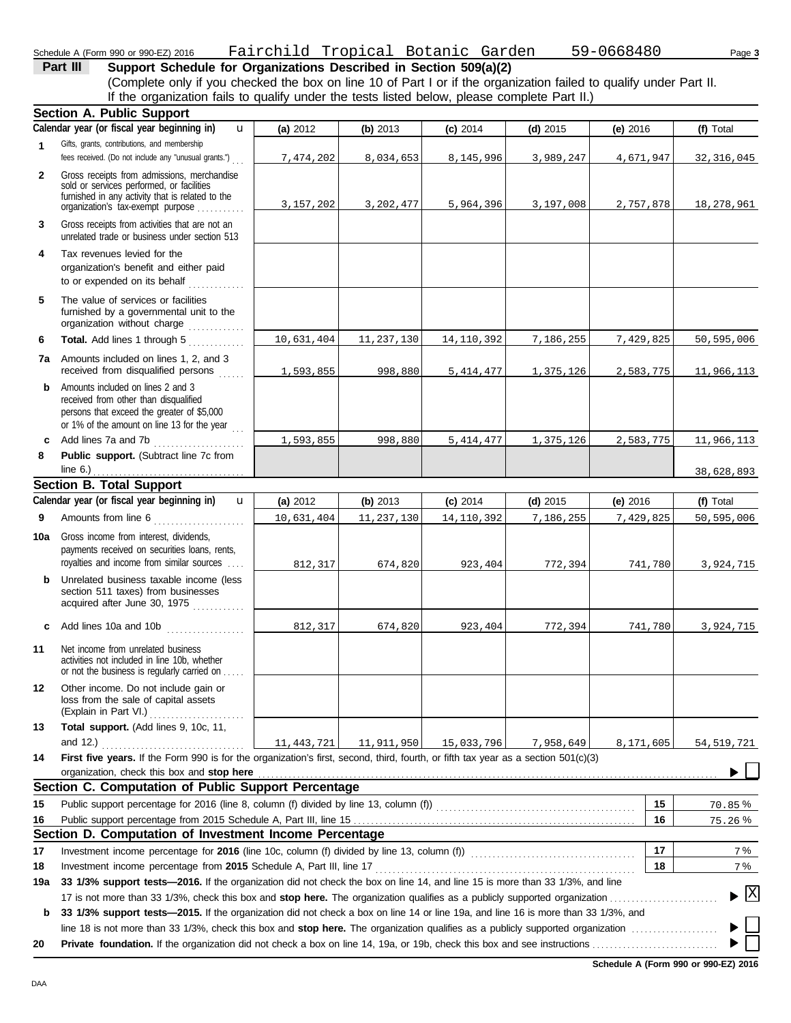## Schedule A (Form 990 or 990-EZ) 2016 Page **3** Fairchild Tropical Botanic Garden 59-0668480

## **Part III Support Schedule for Organizations Described in Section 509(a)(2)**

(Complete only if you checked the box on line 10 of Part I or if the organization failed to qualify under Part II. If the organization fails to qualify under the tests listed below, please complete Part II.)

|              | <b>Section A. Public Support</b>                                                                                                                                                  |              |              |              |            |            |                                    |
|--------------|-----------------------------------------------------------------------------------------------------------------------------------------------------------------------------------|--------------|--------------|--------------|------------|------------|------------------------------------|
|              | Calendar year (or fiscal year beginning in)<br>$\mathbf{u}$                                                                                                                       | (a) 2012     | (b) 2013     | $(c)$ 2014   | (d) $2015$ | $(e)$ 2016 | (f) Total                          |
| $\mathbf{1}$ | Gifts, grants, contributions, and membership<br>fees received. (Do not include any "unusual grants.")                                                                             | 7,474,202    | 8,034,653    | 8,145,996    | 3,989,247  | 4,671,947  | 32, 316, 045                       |
| $\mathbf{2}$ | Gross receipts from admissions, merchandise<br>sold or services performed, or facilities<br>furnished in any activity that is related to the<br>organization's tax-exempt purpose | 3,157,202    | 3,202,477    | 5,964,396    | 3,197,008  | 2,757,878  | 18,278,961                         |
| 3            | Gross receipts from activities that are not an<br>unrelated trade or business under section 513                                                                                   |              |              |              |            |            |                                    |
| 4            | Tax revenues levied for the<br>organization's benefit and either paid<br>to or expended on its behalf<br><u>.</u><br>Tanzania za postala                                          |              |              |              |            |            |                                    |
| 5            | The value of services or facilities<br>furnished by a governmental unit to the<br>organization without charge                                                                     |              |              |              |            |            |                                    |
| 6            | Total. Add lines 1 through 5                                                                                                                                                      | 10,631,404   | 11, 237, 130 | 14, 110, 392 | 7,186,255  | 7,429,825  | 50,595,006                         |
| 7a           | Amounts included on lines 1, 2, and 3<br>received from disqualified persons                                                                                                       | 1,593,855    | 998,880      | 5, 414, 477  | 1,375,126  | 2,583,775  | 11,966,113                         |
| b            | Amounts included on lines 2 and 3<br>received from other than disqualified<br>persons that exceed the greater of \$5,000<br>or 1% of the amount on line 13 for the year           |              |              |              |            |            |                                    |
| c            | Add lines 7a and 7b<br>.                                                                                                                                                          | 1,593,855    | 998,880      | 5, 414, 477  | 1,375,126  | 2,583,775  | 11,966,113                         |
| 8            | Public support. (Subtract line 7c from                                                                                                                                            |              |              |              |            |            |                                    |
|              | line $6.$ )                                                                                                                                                                       |              |              |              |            |            | 38,628,893                         |
|              | <b>Section B. Total Support</b><br>Calendar year (or fiscal year beginning in)<br>$\mathbf{u}$                                                                                    |              |              |              |            |            |                                    |
|              |                                                                                                                                                                                   | (a) 2012     | (b) 2013     | $(c)$ 2014   | $(d)$ 2015 | $(e)$ 2016 | (f) Total                          |
| 9            | Amounts from line 6                                                                                                                                                               | 10,631,404   | 11,237,130   | 14, 110, 392 | 7,186,255  | 7,429,825  | 50,595,006                         |
| 10a          | Gross income from interest, dividends,<br>payments received on securities loans, rents,<br>royalties and income from similar sources                                              | 812,317      | 674,820      | 923,404      | 772,394    | 741,780    | 3,924,715                          |
| b            | Unrelated business taxable income (less<br>section 511 taxes) from businesses<br>acquired after June 30, 1975                                                                     |              |              |              |            |            |                                    |
| c            | Add lines 10a and 10b                                                                                                                                                             | 812,317      | 674,820      | 923,404      | 772,394    | 741,780    | 3,924,715                          |
| 11           | Net income from unrelated business<br>activities not included in line 10b, whether<br>or not the business is regularly carried on                                                 |              |              |              |            |            |                                    |
| 12           | Other income. Do not include gain or<br>loss from the sale of capital assets<br>(Explain in Part VI.)                                                                             |              |              |              |            |            |                                    |
| 13           | Total support. (Add lines 9, 10c, 11,                                                                                                                                             |              |              |              |            |            |                                    |
|              | and 12.)                                                                                                                                                                          | 11, 443, 721 | 11,911,950   | 15,033,796   | 7,958,649  | 8,171,605  | 54, 519, 721                       |
| 14           | First five years. If the Form 990 is for the organization's first, second, third, fourth, or fifth tax year as a section 501(c)(3)                                                |              |              |              |            |            |                                    |
|              | organization, check this box and stop here                                                                                                                                        |              |              |              |            |            |                                    |
|              | Section C. Computation of Public Support Percentage                                                                                                                               |              |              |              |            |            |                                    |
| 15           | Public support percentage for 2016 (line 8, column (f) divided by line 13, column (f)) [[[[[[[[[[[[[[[[[[[[[[                                                                     |              |              |              |            | 15         | 70.85%                             |
| 16           |                                                                                                                                                                                   |              |              |              |            | 16         | 75.26 %                            |
|              | Section D. Computation of Investment Income Percentage                                                                                                                            |              |              |              |            |            |                                    |
| 17           |                                                                                                                                                                                   |              |              |              |            | 17         | 7 %                                |
| 18           | Investment income percentage from 2015 Schedule A, Part III, line 17                                                                                                              |              |              |              |            | 18         | 7 %                                |
| 19a          | 33 1/3% support tests-2016. If the organization did not check the box on line 14, and line 15 is more than 33 1/3%, and line                                                      |              |              |              |            |            | $\blacktriangleright$ $\mathbb{X}$ |
| b            | 33 1/3% support tests-2015. If the organization did not check a box on line 14 or line 19a, and line 16 is more than 33 1/3%, and                                                 |              |              |              |            |            |                                    |
|              |                                                                                                                                                                                   |              |              |              |            |            |                                    |
| 20           |                                                                                                                                                                                   |              |              |              |            |            |                                    |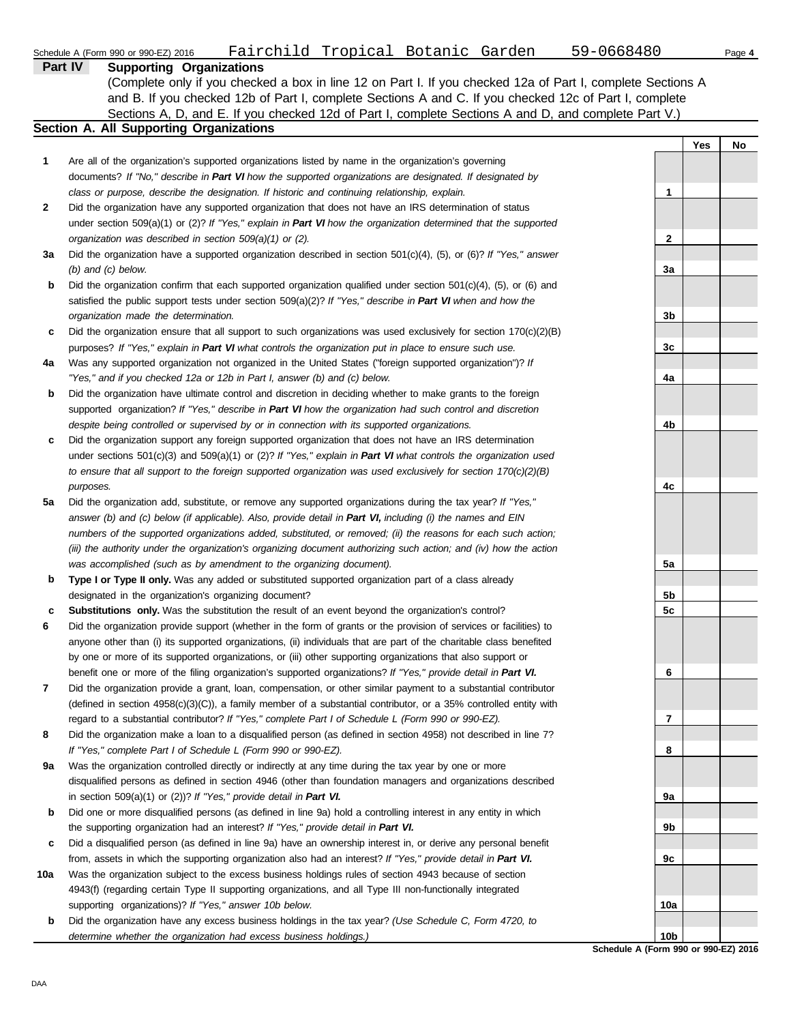|     | Fairchild Tropical Botanic Garden<br>Schedule A (Form 990 or 990-EZ) 2016                                            | 59-0668480      | Page 4    |
|-----|----------------------------------------------------------------------------------------------------------------------|-----------------|-----------|
|     | Part IV<br><b>Supporting Organizations</b>                                                                           |                 |           |
|     | (Complete only if you checked a box in line 12 on Part I. If you checked 12a of Part I, complete Sections A          |                 |           |
|     | and B. If you checked 12b of Part I, complete Sections A and C. If you checked 12c of Part I, complete               |                 |           |
|     | Sections A, D, and E. If you checked 12d of Part I, complete Sections A and D, and complete Part V.)                 |                 |           |
|     | Section A. All Supporting Organizations                                                                              |                 |           |
|     |                                                                                                                      |                 | Yes<br>No |
| 1   | Are all of the organization's supported organizations listed by name in the organization's governing                 |                 |           |
|     | documents? If "No," describe in Part VI how the supported organizations are designated. If designated by             |                 |           |
|     | class or purpose, describe the designation. If historic and continuing relationship, explain.                        | 1               |           |
| 2   | Did the organization have any supported organization that does not have an IRS determination of status               |                 |           |
|     | under section 509(a)(1) or (2)? If "Yes," explain in Part VI how the organization determined that the supported      |                 |           |
|     | organization was described in section 509(a)(1) or (2).                                                              | 2               |           |
| За  | Did the organization have a supported organization described in section 501(c)(4), (5), or (6)? If "Yes," answer     |                 |           |
|     | $(b)$ and $(c)$ below.                                                                                               | 3a              |           |
| b   | Did the organization confirm that each supported organization qualified under section $501(c)(4)$ , (5), or (6) and  |                 |           |
|     | satisfied the public support tests under section $509(a)(2)?$ If "Yes," describe in Part VI when and how the         |                 |           |
|     | organization made the determination.                                                                                 | 3b              |           |
| c   | Did the organization ensure that all support to such organizations was used exclusively for section $170(c)(2)(B)$   |                 |           |
|     | purposes? If "Yes," explain in Part VI what controls the organization put in place to ensure such use.               | 3c              |           |
| 4a  | Was any supported organization not organized in the United States ("foreign supported organization")? If             |                 |           |
|     | "Yes," and if you checked 12a or 12b in Part I, answer (b) and (c) below.                                            | 4a              |           |
| b   | Did the organization have ultimate control and discretion in deciding whether to make grants to the foreign          |                 |           |
|     | supported organization? If "Yes," describe in Part VI how the organization had such control and discretion           |                 |           |
|     | despite being controlled or supervised by or in connection with its supported organizations.                         | 4b              |           |
| c   | Did the organization support any foreign supported organization that does not have an IRS determination              |                 |           |
|     | under sections $501(c)(3)$ and $509(a)(1)$ or (2)? If "Yes," explain in Part VI what controls the organization used  |                 |           |
|     | to ensure that all support to the foreign supported organization was used exclusively for section $170(c)(2)(B)$     |                 |           |
|     | purposes.                                                                                                            | 4с              |           |
| 5а  | Did the organization add, substitute, or remove any supported organizations during the tax year? If "Yes,"           |                 |           |
|     | answer (b) and (c) below (if applicable). Also, provide detail in Part VI, including (i) the names and EIN           |                 |           |
|     | numbers of the supported organizations added, substituted, or removed; (ii) the reasons for each such action;        |                 |           |
|     | (iii) the authority under the organization's organizing document authorizing such action; and (iv) how the action    |                 |           |
|     | was accomplished (such as by amendment to the organizing document).                                                  | 5a              |           |
| b   | Type I or Type II only. Was any added or substituted supported organization part of a class already                  |                 |           |
|     | designated in the organization's organizing document?                                                                | 5b              |           |
| c   | Substitutions only. Was the substitution the result of an event beyond the organization's control?                   | 5 <sub>c</sub>  |           |
| 6   | Did the organization provide support (whether in the form of grants or the provision of services or facilities) to   |                 |           |
|     | anyone other than (i) its supported organizations, (ii) individuals that are part of the charitable class benefited  |                 |           |
|     | by one or more of its supported organizations, or (iii) other supporting organizations that also support or          |                 |           |
|     | benefit one or more of the filing organization's supported organizations? If "Yes," provide detail in Part VI.       | 6               |           |
| 7   | Did the organization provide a grant, loan, compensation, or other similar payment to a substantial contributor      |                 |           |
|     | (defined in section $4958(c)(3)(C)$ ), a family member of a substantial contributor, or a 35% controlled entity with |                 |           |
|     | regard to a substantial contributor? If "Yes," complete Part I of Schedule L (Form 990 or 990-EZ).                   | 7               |           |
| 8   | Did the organization make a loan to a disqualified person (as defined in section 4958) not described in line 7?      |                 |           |
|     | If "Yes," complete Part I of Schedule L (Form 990 or 990-EZ).                                                        | 8               |           |
| 9a  | Was the organization controlled directly or indirectly at any time during the tax year by one or more                |                 |           |
|     | disqualified persons as defined in section 4946 (other than foundation managers and organizations described          |                 |           |
|     | in section $509(a)(1)$ or $(2)$ ? If "Yes," provide detail in Part VI.                                               | 9а              |           |
| b   | Did one or more disqualified persons (as defined in line 9a) hold a controlling interest in any entity in which      |                 |           |
|     | the supporting organization had an interest? If "Yes," provide detail in Part VI.                                    | 9b              |           |
| c   | Did a disqualified person (as defined in line 9a) have an ownership interest in, or derive any personal benefit      |                 |           |
|     | from, assets in which the supporting organization also had an interest? If "Yes," provide detail in Part VI.         | 9c              |           |
| 10a | Was the organization subject to the excess business holdings rules of section 4943 because of section                |                 |           |
|     | 4943(f) (regarding certain Type II supporting organizations, and all Type III non-functionally integrated            |                 |           |
|     | supporting organizations)? If "Yes," answer 10b below.                                                               | 10a             |           |
| b   | Did the organization have any excess business holdings in the tax year? (Use Schedule C, Form 4720, to               |                 |           |
|     | determine whether the organization had excess business holdings.)                                                    | 10 <sub>b</sub> |           |

**Schedule A (Form 990 or 990-EZ) 2016**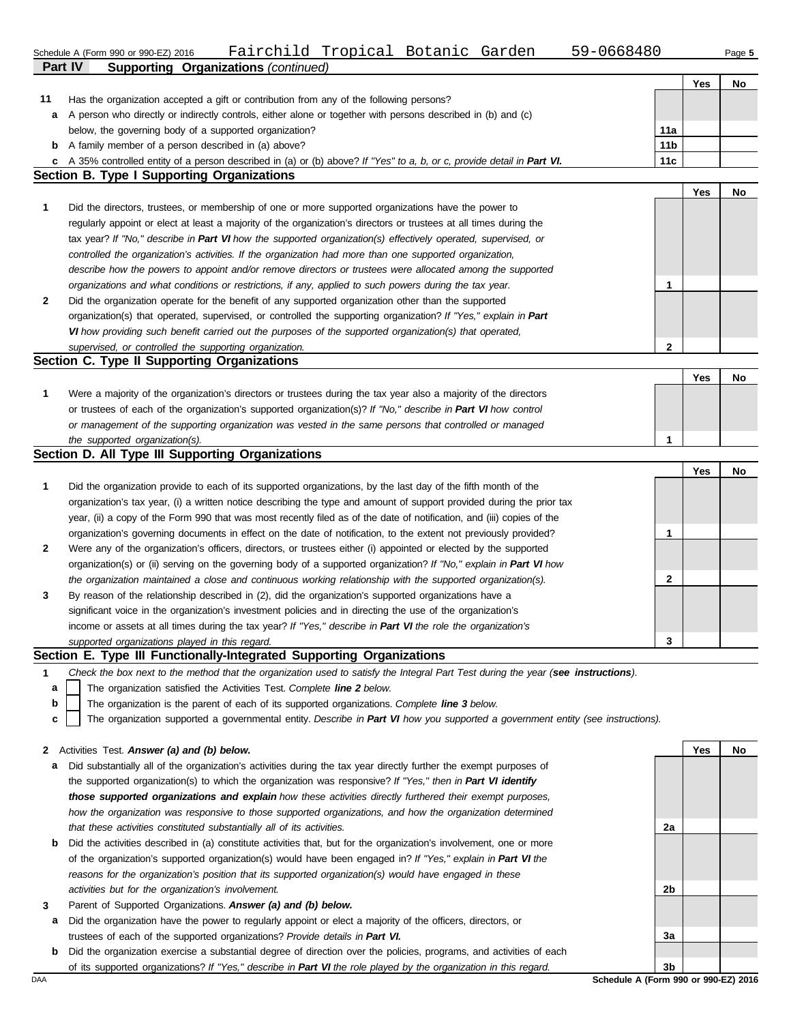**Part IV Supporting Organizations** *(continued)*

|--|--|

|              |                                                                                                                                                                                                                                     |                 | <b>Yes</b> | No |
|--------------|-------------------------------------------------------------------------------------------------------------------------------------------------------------------------------------------------------------------------------------|-----------------|------------|----|
| 11           | Has the organization accepted a gift or contribution from any of the following persons?                                                                                                                                             |                 |            |    |
| a            | A person who directly or indirectly controls, either alone or together with persons described in (b) and (c)                                                                                                                        |                 |            |    |
|              | below, the governing body of a supported organization?                                                                                                                                                                              | 11a             |            |    |
| b            | A family member of a person described in (a) above?                                                                                                                                                                                 | 11 <sub>b</sub> |            |    |
| с            | A 35% controlled entity of a person described in (a) or (b) above? If "Yes" to a, b, or c, provide detail in Part VI.                                                                                                               | 11c             |            |    |
|              | <b>Section B. Type I Supporting Organizations</b>                                                                                                                                                                                   |                 |            |    |
|              |                                                                                                                                                                                                                                     |                 | <b>Yes</b> | No |
| 1            | Did the directors, trustees, or membership of one or more supported organizations have the power to                                                                                                                                 |                 |            |    |
|              | regularly appoint or elect at least a majority of the organization's directors or trustees at all times during the                                                                                                                  |                 |            |    |
|              | tax year? If "No," describe in Part VI how the supported organization(s) effectively operated, supervised, or                                                                                                                       |                 |            |    |
|              | controlled the organization's activities. If the organization had more than one supported organization,                                                                                                                             |                 |            |    |
|              | describe how the powers to appoint and/or remove directors or trustees were allocated among the supported                                                                                                                           |                 |            |    |
|              | organizations and what conditions or restrictions, if any, applied to such powers during the tax year.                                                                                                                              | 1               |            |    |
| 2            | Did the organization operate for the benefit of any supported organization other than the supported                                                                                                                                 |                 |            |    |
|              | organization(s) that operated, supervised, or controlled the supporting organization? If "Yes," explain in Part                                                                                                                     |                 |            |    |
|              | VI how providing such benefit carried out the purposes of the supported organization(s) that operated,                                                                                                                              |                 |            |    |
|              | supervised, or controlled the supporting organization.<br>Section C. Type II Supporting Organizations                                                                                                                               | $\mathbf{2}$    |            |    |
|              |                                                                                                                                                                                                                                     |                 |            |    |
|              |                                                                                                                                                                                                                                     |                 | Yes        | No |
| 1            | Were a majority of the organization's directors or trustees during the tax year also a majority of the directors                                                                                                                    |                 |            |    |
|              | or trustees of each of the organization's supported organization(s)? If "No," describe in Part VI how control<br>or management of the supporting organization was vested in the same persons that controlled or managed             |                 |            |    |
|              | the supported organization(s).                                                                                                                                                                                                      | 1               |            |    |
|              | Section D. All Type III Supporting Organizations                                                                                                                                                                                    |                 |            |    |
|              |                                                                                                                                                                                                                                     |                 | Yes        | No |
| 1            | Did the organization provide to each of its supported organizations, by the last day of the fifth month of the                                                                                                                      |                 |            |    |
|              | organization's tax year, (i) a written notice describing the type and amount of support provided during the prior tax                                                                                                               |                 |            |    |
|              | year, (ii) a copy of the Form 990 that was most recently filed as of the date of notification, and (iii) copies of the                                                                                                              |                 |            |    |
|              | organization's governing documents in effect on the date of notification, to the extent not previously provided?                                                                                                                    | 1               |            |    |
| 2            | Were any of the organization's officers, directors, or trustees either (i) appointed or elected by the supported                                                                                                                    |                 |            |    |
|              | organization(s) or (ii) serving on the governing body of a supported organization? If "No," explain in Part VI how                                                                                                                  |                 |            |    |
|              | the organization maintained a close and continuous working relationship with the supported organization(s).                                                                                                                         | 2               |            |    |
| 3            | By reason of the relationship described in (2), did the organization's supported organizations have a                                                                                                                               |                 |            |    |
|              | significant voice in the organization's investment policies and in directing the use of the organization's                                                                                                                          |                 |            |    |
|              | income or assets at all times during the tax year? If "Yes," describe in Part VI the role the organization's                                                                                                                        |                 |            |    |
|              | supported organizations played in this regard.                                                                                                                                                                                      | 3               |            |    |
|              | Section E. Type III Functionally-Integrated Supporting Organizations                                                                                                                                                                |                 |            |    |
| 1            | Check the box next to the method that the organization used to satisfy the Integral Part Test during the year (see instructions).                                                                                                   |                 |            |    |
| а            | The organization satisfied the Activities Test. Complete line 2 below.                                                                                                                                                              |                 |            |    |
| b            | The organization is the parent of each of its supported organizations. Complete line 3 below.                                                                                                                                       |                 |            |    |
| c            | The organization supported a governmental entity. Describe in Part VI how you supported a government entity (see instructions).                                                                                                     |                 |            |    |
|              |                                                                                                                                                                                                                                     |                 |            |    |
| $\mathbf{2}$ | Activities Test. Answer (a) and (b) below.                                                                                                                                                                                          |                 | Yes        | No |
| а            | Did substantially all of the organization's activities during the tax year directly further the exempt purposes of                                                                                                                  |                 |            |    |
|              | the supported organization(s) to which the organization was responsive? If "Yes," then in Part VI identify                                                                                                                          |                 |            |    |
|              | those supported organizations and explain how these activities directly furthered their exempt purposes,                                                                                                                            |                 |            |    |
|              | how the organization was responsive to those supported organizations, and how the organization determined                                                                                                                           |                 |            |    |
|              | that these activities constituted substantially all of its activities.                                                                                                                                                              | 2a              |            |    |
| b            | Did the activities described in (a) constitute activities that, but for the organization's involvement, one or more<br>of the organization's supported organization(s) would have been engaged in? If "Yes," explain in Part VI the |                 |            |    |
|              | reasons for the organization's position that its supported organization(s) would have engaged in these                                                                                                                              |                 |            |    |
|              | activities but for the organization's involvement.                                                                                                                                                                                  | 2b              |            |    |
| 3            | Parent of Supported Organizations. Answer (a) and (b) below.                                                                                                                                                                        |                 |            |    |
| а            | Did the organization have the power to regularly appoint or elect a majority of the officers, directors, or                                                                                                                         |                 |            |    |
|              | trustees of each of the supported organizations? Provide details in Part VI.                                                                                                                                                        | За              |            |    |
| b            | Did the organization exercise a substantial degree of direction over the policies, programs, and activities of each                                                                                                                 |                 |            |    |
|              | of its supported organizations? If "Yes," describe in Part VI the role played by the organization in this regard.                                                                                                                   | 3b              |            |    |
| DAA          | Schedule A (Form 990 or 990-EZ) 2016                                                                                                                                                                                                |                 |            |    |
|              |                                                                                                                                                                                                                                     |                 |            |    |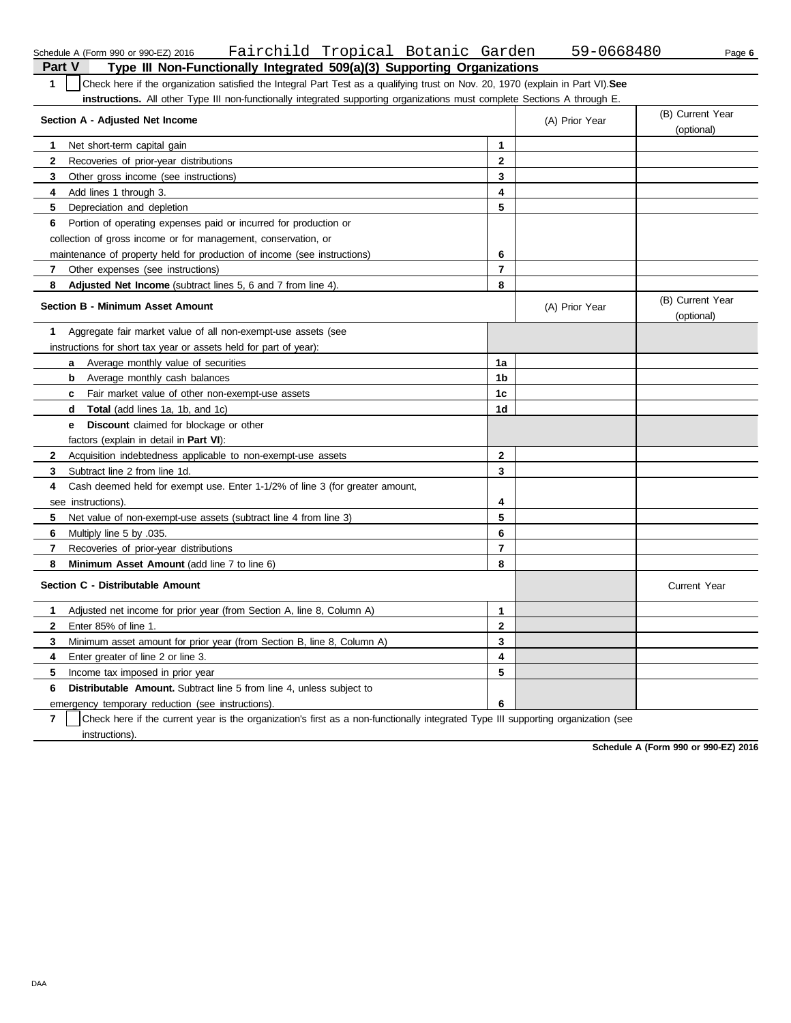| <b>Part V</b><br>Type III Non-Functionally Integrated 509(a)(3) Supporting Organizations                                              |                |                |                                |  |  |
|---------------------------------------------------------------------------------------------------------------------------------------|----------------|----------------|--------------------------------|--|--|
| Check here if the organization satisfied the Integral Part Test as a qualifying trust on Nov. 20, 1970 (explain in Part VI). See<br>1 |                |                |                                |  |  |
| instructions. All other Type III non-functionally integrated supporting organizations must complete Sections A through E.             |                |                |                                |  |  |
| (B) Current Year<br>Section A - Adjusted Net Income<br>(A) Prior Year<br>(optional)                                                   |                |                |                                |  |  |
| Net short-term capital gain<br>1                                                                                                      | 1              |                |                                |  |  |
| $\mathbf{2}$<br>Recoveries of prior-year distributions                                                                                | $\mathbf{2}$   |                |                                |  |  |
| 3<br>Other gross income (see instructions)                                                                                            | 3              |                |                                |  |  |
| Add lines 1 through 3.<br>4                                                                                                           | 4              |                |                                |  |  |
| 5<br>Depreciation and depletion                                                                                                       | 5              |                |                                |  |  |
| Portion of operating expenses paid or incurred for production or<br>6                                                                 |                |                |                                |  |  |
| collection of gross income or for management, conservation, or                                                                        |                |                |                                |  |  |
| maintenance of property held for production of income (see instructions)                                                              | 6              |                |                                |  |  |
| 7<br>Other expenses (see instructions)                                                                                                | $\overline{7}$ |                |                                |  |  |
| 8<br>Adjusted Net Income (subtract lines 5, 6 and 7 from line 4).                                                                     | 8              |                |                                |  |  |
| <b>Section B - Minimum Asset Amount</b>                                                                                               |                | (A) Prior Year | (B) Current Year<br>(optional) |  |  |
| Aggregate fair market value of all non-exempt-use assets (see<br>1.                                                                   |                |                |                                |  |  |
| instructions for short tax year or assets held for part of year):                                                                     |                |                |                                |  |  |
| Average monthly value of securities<br>a                                                                                              | 1a             |                |                                |  |  |
| b<br>Average monthly cash balances                                                                                                    | 1b             |                |                                |  |  |
| <b>c</b> Fair market value of other non-exempt-use assets                                                                             | 1 <sub>c</sub> |                |                                |  |  |
| <b>Total</b> (add lines 1a, 1b, and 1c)<br>d                                                                                          | 1 <sub>d</sub> |                |                                |  |  |
| <b>Discount</b> claimed for blockage or other<br>е                                                                                    |                |                |                                |  |  |
| factors (explain in detail in <b>Part VI)</b> :                                                                                       |                |                |                                |  |  |
| Acquisition indebtedness applicable to non-exempt-use assets<br>2                                                                     | $\overline{2}$ |                |                                |  |  |
| 3<br>Subtract line 2 from line 1d.                                                                                                    | 3              |                |                                |  |  |
| 4<br>Cash deemed held for exempt use. Enter 1-1/2% of line 3 (for greater amount,                                                     |                |                |                                |  |  |
| see instructions)                                                                                                                     | 4              |                |                                |  |  |
| 5<br>Net value of non-exempt-use assets (subtract line 4 from line 3)                                                                 | 5              |                |                                |  |  |
| 6<br>Multiply line 5 by .035.                                                                                                         | 6              |                |                                |  |  |
| 7<br>Recoveries of prior-year distributions                                                                                           | $\overline{7}$ |                |                                |  |  |
| 8<br>Minimum Asset Amount (add line 7 to line 6)                                                                                      | 8              |                |                                |  |  |
| Section C - Distributable Amount<br><b>Current Year</b>                                                                               |                |                |                                |  |  |
| Adjusted net income for prior year (from Section A, line 8, Column A)<br>1                                                            | $\mathbf{1}$   |                |                                |  |  |
| $\mathbf{2}$<br>Enter 85% of line 1.                                                                                                  | $\overline{2}$ |                |                                |  |  |
| 3<br>Minimum asset amount for prior year (from Section B, line 8, Column A)                                                           | 3              |                |                                |  |  |
| 4<br>Enter greater of line 2 or line 3.                                                                                               | 4              |                |                                |  |  |
| 5<br>Income tax imposed in prior year                                                                                                 | 5              |                |                                |  |  |
| <b>Distributable Amount.</b> Subtract line 5 from line 4, unless subject to<br>6                                                      |                |                |                                |  |  |
| emergency temporary reduction (see instructions).                                                                                     | 6              |                |                                |  |  |
| امتحادي المتنادي والمتعاديات والما<br>the company of the contract of the state<br>$\sim$<br>المتحاوية والمحاوي والمحاوية              | $\mathbf{u}$   |                |                                |  |  |

Schedule A (Form 990 or 990-EZ) 2016 Page **6** Fairchild Tropical Botanic Garden 59-0668480

**7** | Check here if the current year is the organization's first as a non-functionally integrated Type III supporting organization (see instructions).

**Schedule A (Form 990 or 990-EZ) 2016**

DAA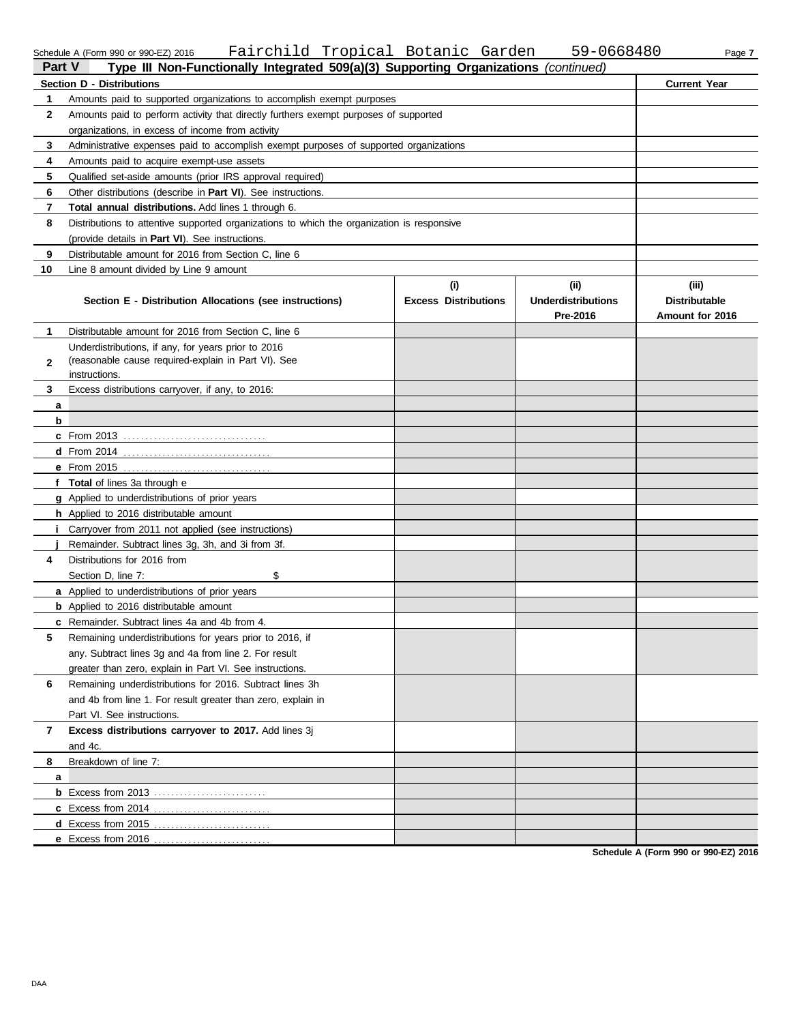| ran v        | <b>Type iii Non-Functionally Integrated 509(a)(3) Supporting Organizations</b> ( <i>continued</i> ) |                             |                           |                      |
|--------------|-----------------------------------------------------------------------------------------------------|-----------------------------|---------------------------|----------------------|
|              | Section D - Distributions                                                                           |                             |                           | <b>Current Year</b>  |
| 1.           | Amounts paid to supported organizations to accomplish exempt purposes                               |                             |                           |                      |
| 2            | Amounts paid to perform activity that directly furthers exempt purposes of supported                |                             |                           |                      |
|              | organizations, in excess of income from activity                                                    |                             |                           |                      |
| 3            | Administrative expenses paid to accomplish exempt purposes of supported organizations               |                             |                           |                      |
| 4            | Amounts paid to acquire exempt-use assets                                                           |                             |                           |                      |
| 5            | Qualified set-aside amounts (prior IRS approval required)                                           |                             |                           |                      |
| 6            | Other distributions (describe in <b>Part VI</b> ). See instructions.                                |                             |                           |                      |
| 7            | <b>Total annual distributions.</b> Add lines 1 through 6.                                           |                             |                           |                      |
| 8            | Distributions to attentive supported organizations to which the organization is responsive          |                             |                           |                      |
|              | (provide details in <b>Part VI</b> ). See instructions.                                             |                             |                           |                      |
| 9            | Distributable amount for 2016 from Section C, line 6                                                |                             |                           |                      |
| 10           | Line 8 amount divided by Line 9 amount                                                              |                             |                           |                      |
|              |                                                                                                     | (i)                         | (ii)                      | (iii)                |
|              | Section E - Distribution Allocations (see instructions)                                             | <b>Excess Distributions</b> | <b>Underdistributions</b> | <b>Distributable</b> |
|              |                                                                                                     |                             | Pre-2016                  | Amount for 2016      |
| 1            | Distributable amount for 2016 from Section C, line 6                                                |                             |                           |                      |
|              | Underdistributions, if any, for years prior to 2016                                                 |                             |                           |                      |
| $\mathbf{2}$ | (reasonable cause required-explain in Part VI). See                                                 |                             |                           |                      |
|              | instructions.                                                                                       |                             |                           |                      |
| 3            | Excess distributions carryover, if any, to 2016:                                                    |                             |                           |                      |
| a            |                                                                                                     |                             |                           |                      |
| b            |                                                                                                     |                             |                           |                      |
|              |                                                                                                     |                             |                           |                      |
|              | $d$ From 2014                                                                                       |                             |                           |                      |
|              | <b>e</b> From 2015                                                                                  |                             |                           |                      |
|              | f Total of lines 3a through e                                                                       |                             |                           |                      |
|              | <b>g</b> Applied to underdistributions of prior years                                               |                             |                           |                      |
|              | <b>h</b> Applied to 2016 distributable amount                                                       |                             |                           |                      |
|              | <i>i</i> Carryover from 2011 not applied (see instructions)                                         |                             |                           |                      |
|              | Remainder. Subtract lines 3g, 3h, and 3i from 3f.                                                   |                             |                           |                      |
| 4            | Distributions for 2016 from                                                                         |                             |                           |                      |
|              | \$<br>Section D, line 7:                                                                            |                             |                           |                      |
|              | <b>a</b> Applied to underdistributions of prior years                                               |                             |                           |                      |
|              | <b>b</b> Applied to 2016 distributable amount                                                       |                             |                           |                      |
|              | c Remainder. Subtract lines 4a and 4b from 4.                                                       |                             |                           |                      |
| 5            | Remaining underdistributions for years prior to 2016, if                                            |                             |                           |                      |
|              | any. Subtract lines 3g and 4a from line 2. For result                                               |                             |                           |                      |
|              | greater than zero, explain in Part VI. See instructions.                                            |                             |                           |                      |
| 6            | Remaining underdistributions for 2016. Subtract lines 3h                                            |                             |                           |                      |
|              | and 4b from line 1. For result greater than zero, explain in                                        |                             |                           |                      |
|              | Part VI. See instructions.                                                                          |                             |                           |                      |
| 7            | Excess distributions carryover to 2017. Add lines 3j                                                |                             |                           |                      |
|              | and 4c.                                                                                             |                             |                           |                      |
| 8            | Breakdown of line 7:                                                                                |                             |                           |                      |
| a            |                                                                                                     |                             |                           |                      |
|              |                                                                                                     |                             |                           |                      |
|              | c Excess from 2014                                                                                  |                             |                           |                      |
|              | <b>d</b> Excess from 2015<br>.                                                                      |                             |                           |                      |
|              | e Excess from 2016                                                                                  |                             |                           |                      |

**Schedule A (Form 990 or 990-EZ) 2016**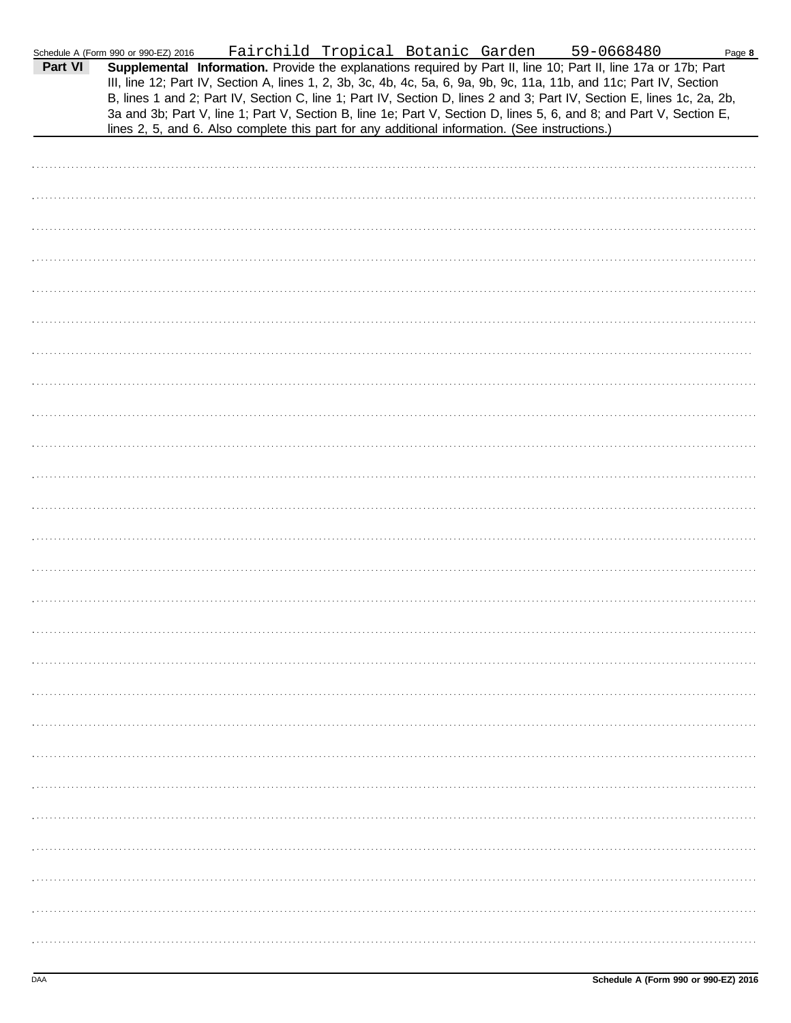|         | Fairchild Tropical Botanic Garden<br>59-0668480<br>Schedule A (Form 990 or 990-EZ) 2016<br>Page 8                                                                                                                                                                                                                                                                                                                                                                                                                                                                                          |
|---------|--------------------------------------------------------------------------------------------------------------------------------------------------------------------------------------------------------------------------------------------------------------------------------------------------------------------------------------------------------------------------------------------------------------------------------------------------------------------------------------------------------------------------------------------------------------------------------------------|
| Part VI | Supplemental Information. Provide the explanations required by Part II, line 10; Part II, line 17a or 17b; Part<br>III, line 12; Part IV, Section A, lines 1, 2, 3b, 3c, 4b, 4c, 5a, 6, 9a, 9b, 9c, 11a, 11b, and 11c; Part IV, Section<br>B, lines 1 and 2; Part IV, Section C, line 1; Part IV, Section D, lines 2 and 3; Part IV, Section E, lines 1c, 2a, 2b,<br>3a and 3b; Part V, line 1; Part V, Section B, line 1e; Part V, Section D, lines 5, 6, and 8; and Part V, Section E,<br>lines 2, 5, and 6. Also complete this part for any additional information. (See instructions.) |
|         |                                                                                                                                                                                                                                                                                                                                                                                                                                                                                                                                                                                            |
|         |                                                                                                                                                                                                                                                                                                                                                                                                                                                                                                                                                                                            |
|         |                                                                                                                                                                                                                                                                                                                                                                                                                                                                                                                                                                                            |
|         |                                                                                                                                                                                                                                                                                                                                                                                                                                                                                                                                                                                            |
|         |                                                                                                                                                                                                                                                                                                                                                                                                                                                                                                                                                                                            |
|         |                                                                                                                                                                                                                                                                                                                                                                                                                                                                                                                                                                                            |
|         |                                                                                                                                                                                                                                                                                                                                                                                                                                                                                                                                                                                            |
|         |                                                                                                                                                                                                                                                                                                                                                                                                                                                                                                                                                                                            |
|         |                                                                                                                                                                                                                                                                                                                                                                                                                                                                                                                                                                                            |
|         |                                                                                                                                                                                                                                                                                                                                                                                                                                                                                                                                                                                            |
|         |                                                                                                                                                                                                                                                                                                                                                                                                                                                                                                                                                                                            |
|         |                                                                                                                                                                                                                                                                                                                                                                                                                                                                                                                                                                                            |
|         |                                                                                                                                                                                                                                                                                                                                                                                                                                                                                                                                                                                            |
|         |                                                                                                                                                                                                                                                                                                                                                                                                                                                                                                                                                                                            |
|         |                                                                                                                                                                                                                                                                                                                                                                                                                                                                                                                                                                                            |
|         |                                                                                                                                                                                                                                                                                                                                                                                                                                                                                                                                                                                            |
|         |                                                                                                                                                                                                                                                                                                                                                                                                                                                                                                                                                                                            |
|         |                                                                                                                                                                                                                                                                                                                                                                                                                                                                                                                                                                                            |
|         |                                                                                                                                                                                                                                                                                                                                                                                                                                                                                                                                                                                            |
|         |                                                                                                                                                                                                                                                                                                                                                                                                                                                                                                                                                                                            |
|         |                                                                                                                                                                                                                                                                                                                                                                                                                                                                                                                                                                                            |
|         |                                                                                                                                                                                                                                                                                                                                                                                                                                                                                                                                                                                            |
|         |                                                                                                                                                                                                                                                                                                                                                                                                                                                                                                                                                                                            |
|         |                                                                                                                                                                                                                                                                                                                                                                                                                                                                                                                                                                                            |
|         |                                                                                                                                                                                                                                                                                                                                                                                                                                                                                                                                                                                            |
|         |                                                                                                                                                                                                                                                                                                                                                                                                                                                                                                                                                                                            |
|         |                                                                                                                                                                                                                                                                                                                                                                                                                                                                                                                                                                                            |
|         |                                                                                                                                                                                                                                                                                                                                                                                                                                                                                                                                                                                            |
|         |                                                                                                                                                                                                                                                                                                                                                                                                                                                                                                                                                                                            |
|         |                                                                                                                                                                                                                                                                                                                                                                                                                                                                                                                                                                                            |
|         |                                                                                                                                                                                                                                                                                                                                                                                                                                                                                                                                                                                            |
|         |                                                                                                                                                                                                                                                                                                                                                                                                                                                                                                                                                                                            |
|         |                                                                                                                                                                                                                                                                                                                                                                                                                                                                                                                                                                                            |
|         |                                                                                                                                                                                                                                                                                                                                                                                                                                                                                                                                                                                            |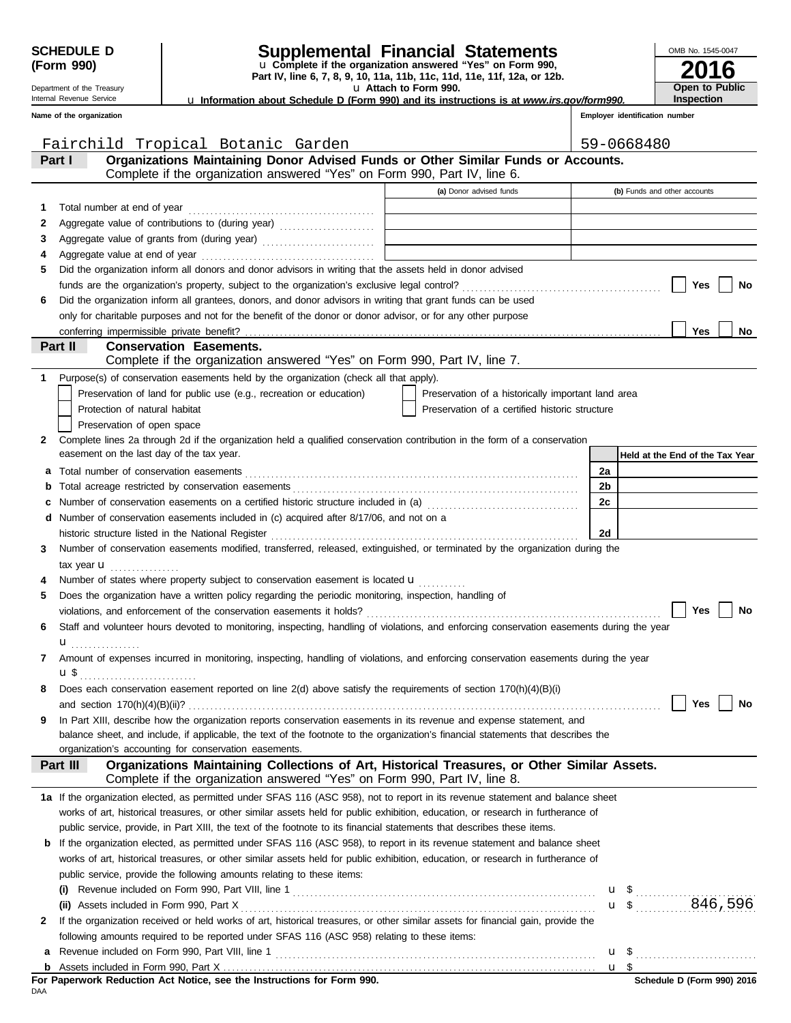Department of the Treasury

**Name of the organization**

## **SCHEDULE D Supplemental Financial Statements**

**Part IV, line 6, 7, 8, 9, 10, 11a, 11b, 11c, 11d, 11e, 11f, 12a, or 12b.** u **Complete if the organization answered "Yes" on Form 990,**

u **Attach to Form 990.** 

| OMB No. 1545-0047 |
|-------------------|
| 2016              |
|                   |
| Open to Public    |
| <b>Inspection</b> |

**Employer identification number**

Internal Revenue Service u **Information about Schedule D (Form 990) and its instructions is at** *www.irs.gov/form990.*

|    | Fairchild Tropical Botanic Garden                                                                                                                                                                                             |                                                    |    | 59-0668480                      |
|----|-------------------------------------------------------------------------------------------------------------------------------------------------------------------------------------------------------------------------------|----------------------------------------------------|----|---------------------------------|
|    | Organizations Maintaining Donor Advised Funds or Other Similar Funds or Accounts.<br>Part I                                                                                                                                   |                                                    |    |                                 |
|    | Complete if the organization answered "Yes" on Form 990, Part IV, line 6.                                                                                                                                                     |                                                    |    |                                 |
|    |                                                                                                                                                                                                                               | (a) Donor advised funds                            |    | (b) Funds and other accounts    |
| 1  |                                                                                                                                                                                                                               |                                                    |    |                                 |
| 2  |                                                                                                                                                                                                                               |                                                    |    |                                 |
| 3  | Aggregate value of grants from (during year)                                                                                                                                                                                  |                                                    |    |                                 |
| 4  |                                                                                                                                                                                                                               |                                                    |    |                                 |
| 5  | Did the organization inform all donors and donor advisors in writing that the assets held in donor advised                                                                                                                    |                                                    |    |                                 |
|    |                                                                                                                                                                                                                               |                                                    |    | Yes<br>No                       |
| 6  | Did the organization inform all grantees, donors, and donor advisors in writing that grant funds can be used                                                                                                                  |                                                    |    |                                 |
|    | only for charitable purposes and not for the benefit of the donor or donor advisor, or for any other purpose                                                                                                                  |                                                    |    |                                 |
|    |                                                                                                                                                                                                                               |                                                    |    | <b>Yes</b><br>No.               |
|    | Part II<br><b>Conservation Easements.</b>                                                                                                                                                                                     |                                                    |    |                                 |
|    | Complete if the organization answered "Yes" on Form 990, Part IV, line 7.                                                                                                                                                     |                                                    |    |                                 |
| 1. | Purpose(s) of conservation easements held by the organization (check all that apply).                                                                                                                                         |                                                    |    |                                 |
|    | Preservation of land for public use (e.g., recreation or education)                                                                                                                                                           | Preservation of a historically important land area |    |                                 |
|    | Protection of natural habitat                                                                                                                                                                                                 | Preservation of a certified historic structure     |    |                                 |
|    | Preservation of open space                                                                                                                                                                                                    |                                                    |    |                                 |
| 2  | Complete lines 2a through 2d if the organization held a qualified conservation contribution in the form of a conservation                                                                                                     |                                                    |    |                                 |
|    | easement on the last day of the tax year.                                                                                                                                                                                     |                                                    |    | Held at the End of the Tax Year |
|    |                                                                                                                                                                                                                               |                                                    | 2a |                                 |
|    |                                                                                                                                                                                                                               |                                                    | 2b |                                 |
| c  | Number of conservation easements on a certified historic structure included in (a) [11] Number of conservation easements on a certified historic structure included in (a)                                                    |                                                    | 2c |                                 |
|    | d Number of conservation easements included in (c) acquired after 8/17/06, and not on a                                                                                                                                       |                                                    |    |                                 |
|    | historic structure listed in the National Register [11] contained a structure of the National Register [11] contained a structure of the National Register [11] contained a structure of the National Register [11] contained |                                                    | 2d |                                 |
| 3  | Number of conservation easements modified, transferred, released, extinguished, or terminated by the organization during the                                                                                                  |                                                    |    |                                 |
|    | tax year <b>u</b><br>.                                                                                                                                                                                                        |                                                    |    |                                 |
| 4  | Number of states where property subject to conservation easement is located <b>u</b>                                                                                                                                          |                                                    |    |                                 |
| 5  | Does the organization have a written policy regarding the periodic monitoring, inspection, handling of                                                                                                                        |                                                    |    |                                 |
|    |                                                                                                                                                                                                                               |                                                    |    | Yes<br>No                       |
| 6  | Staff and volunteer hours devoted to monitoring, inspecting, handling of violations, and enforcing conservation easements during the year                                                                                     |                                                    |    |                                 |
|    | u<br>.<br>Amount of expenses incurred in monitoring, inspecting, handling of violations, and enforcing conservation easements during the year                                                                                 |                                                    |    |                                 |
| 7  |                                                                                                                                                                                                                               |                                                    |    |                                 |
| 8  | $\mathbf{u}$ \$<br>Does each conservation easement reported on line 2(d) above satisfy the requirements of section 170(h)(4)(B)(i)                                                                                            |                                                    |    |                                 |
|    |                                                                                                                                                                                                                               |                                                    |    | No<br>Yes                       |
| 9  | In Part XIII, describe how the organization reports conservation easements in its revenue and expense statement, and                                                                                                          |                                                    |    |                                 |
|    | balance sheet, and include, if applicable, the text of the footnote to the organization's financial statements that describes the                                                                                             |                                                    |    |                                 |
|    | organization's accounting for conservation easements.                                                                                                                                                                         |                                                    |    |                                 |
|    | Organizations Maintaining Collections of Art, Historical Treasures, or Other Similar Assets.<br>Part III                                                                                                                      |                                                    |    |                                 |
|    | Complete if the organization answered "Yes" on Form 990, Part IV, line 8.                                                                                                                                                     |                                                    |    |                                 |
|    | 1a If the organization elected, as permitted under SFAS 116 (ASC 958), not to report in its revenue statement and balance sheet                                                                                               |                                                    |    |                                 |
|    | works of art, historical treasures, or other similar assets held for public exhibition, education, or research in furtherance of                                                                                              |                                                    |    |                                 |
|    | public service, provide, in Part XIII, the text of the footnote to its financial statements that describes these items.                                                                                                       |                                                    |    |                                 |
|    | <b>b</b> If the organization elected, as permitted under SFAS 116 (ASC 958), to report in its revenue statement and balance sheet                                                                                             |                                                    |    |                                 |
|    | works of art, historical treasures, or other similar assets held for public exhibition, education, or research in furtherance of                                                                                              |                                                    |    |                                 |
|    | public service, provide the following amounts relating to these items:                                                                                                                                                        |                                                    |    |                                 |
|    |                                                                                                                                                                                                                               |                                                    |    |                                 |
|    |                                                                                                                                                                                                                               |                                                    |    |                                 |
| 2  | If the organization received or held works of art, historical treasures, or other similar assets for financial gain, provide the                                                                                              |                                                    |    |                                 |

following amounts required to be reported under SFAS 116 (ASC 958) relating to these items:

| a Revenue included on Form 990, Part VIII, line |  |
|-------------------------------------------------|--|
|                                                 |  |

|     | For Paperwork Reduction Act Notice, see the Instructions for Form 990. |
|-----|------------------------------------------------------------------------|
| DAA |                                                                        |

\$ . . . . . . . . . . . . . . . . . . . . . . . . . . . . u

<u>u \$</u>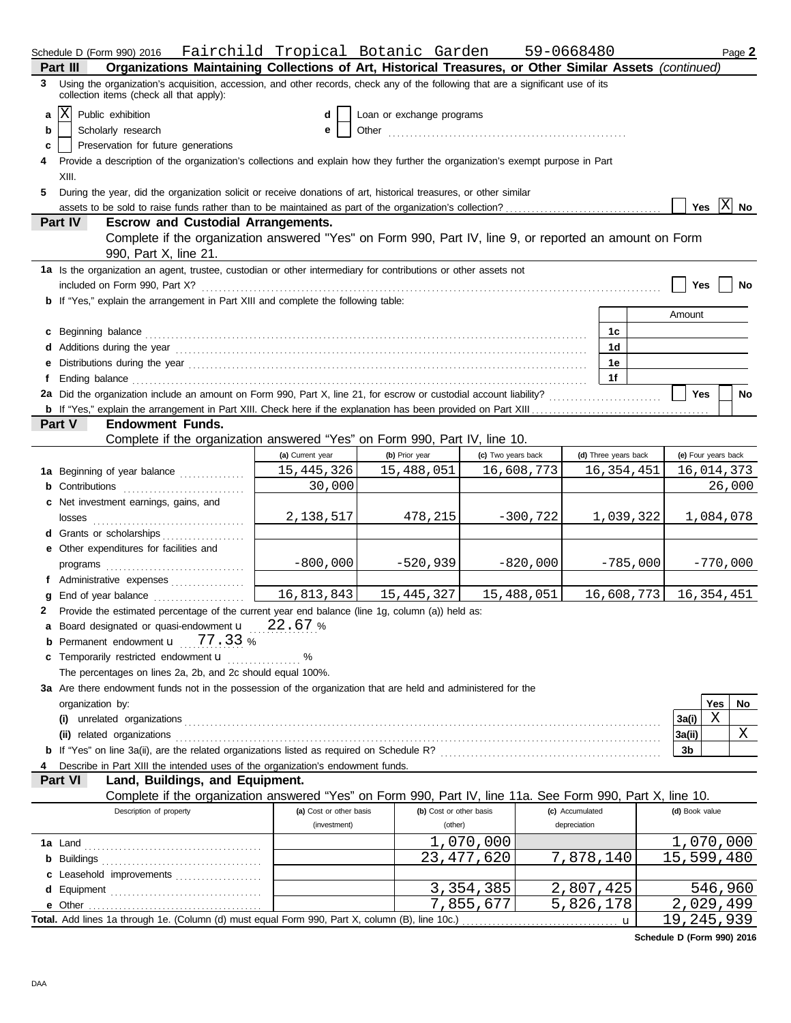|   |                  |                                          |                                                                     | Schedule D (Form 990) 2016   Fairchild Tropical Botanic Garden                                                                                                                                                                       |                           |                                    |                    | 59-0668480                      |                     | Page 2       |
|---|------------------|------------------------------------------|---------------------------------------------------------------------|--------------------------------------------------------------------------------------------------------------------------------------------------------------------------------------------------------------------------------------|---------------------------|------------------------------------|--------------------|---------------------------------|---------------------|--------------|
|   | Part III         |                                          |                                                                     | Organizations Maintaining Collections of Art, Historical Treasures, or Other Similar Assets (continued)                                                                                                                              |                           |                                    |                    |                                 |                     |              |
| 3 |                  | collection items (check all that apply): |                                                                     | Using the organization's acquisition, accession, and other records, check any of the following that are a significant use of its                                                                                                     |                           |                                    |                    |                                 |                     |              |
| a | IXI              | Public exhibition                        |                                                                     | d                                                                                                                                                                                                                                    | Loan or exchange programs |                                    |                    |                                 |                     |              |
| b |                  | Scholarly research                       |                                                                     | е                                                                                                                                                                                                                                    |                           |                                    |                    |                                 |                     |              |
| c |                  | Preservation for future generations      |                                                                     |                                                                                                                                                                                                                                      |                           |                                    |                    |                                 |                     |              |
|   |                  |                                          |                                                                     |                                                                                                                                                                                                                                      |                           |                                    |                    |                                 |                     |              |
|   | XIII.            |                                          |                                                                     | Provide a description of the organization's collections and explain how they further the organization's exempt purpose in Part                                                                                                       |                           |                                    |                    |                                 |                     |              |
|   |                  |                                          |                                                                     |                                                                                                                                                                                                                                      |                           |                                    |                    |                                 |                     |              |
| 5 |                  |                                          |                                                                     | During the year, did the organization solicit or receive donations of art, historical treasures, or other similar                                                                                                                    |                           |                                    |                    |                                 |                     | Yes $ X $ No |
|   |                  |                                          |                                                                     |                                                                                                                                                                                                                                      |                           |                                    |                    |                                 |                     |              |
|   | Part IV          |                                          | <b>Escrow and Custodial Arrangements.</b>                           |                                                                                                                                                                                                                                      |                           |                                    |                    |                                 |                     |              |
|   |                  |                                          |                                                                     | Complete if the organization answered "Yes" on Form 990, Part IV, line 9, or reported an amount on Form                                                                                                                              |                           |                                    |                    |                                 |                     |              |
|   |                  | 990, Part X, line 21.                    |                                                                     |                                                                                                                                                                                                                                      |                           |                                    |                    |                                 |                     |              |
|   |                  |                                          |                                                                     | 1a Is the organization an agent, trustee, custodian or other intermediary for contributions or other assets not                                                                                                                      |                           |                                    |                    |                                 |                     |              |
|   |                  |                                          |                                                                     |                                                                                                                                                                                                                                      |                           |                                    |                    |                                 | <b>Yes</b>          | No           |
|   |                  |                                          |                                                                     | <b>b</b> If "Yes," explain the arrangement in Part XIII and complete the following table:                                                                                                                                            |                           |                                    |                    |                                 |                     |              |
|   |                  |                                          |                                                                     |                                                                                                                                                                                                                                      |                           |                                    |                    |                                 | Amount              |              |
|   |                  |                                          |                                                                     | c Beginning balance <b>contract the contract of the contract of the contract of the contract of the contract of the contract of the contract of the contract of the contract of the contract of the contract of the contract of </b> |                           |                                    |                    | 1c                              |                     |              |
|   |                  |                                          |                                                                     |                                                                                                                                                                                                                                      |                           |                                    |                    | 1d                              |                     |              |
|   |                  |                                          |                                                                     |                                                                                                                                                                                                                                      |                           |                                    |                    | 1e                              |                     |              |
|   |                  |                                          |                                                                     |                                                                                                                                                                                                                                      |                           |                                    |                    | 1f                              |                     |              |
|   |                  |                                          |                                                                     | 2a Did the organization include an amount on Form 990, Part X, line 21, for escrow or custodial account liability?                                                                                                                   |                           |                                    |                    |                                 | Yes                 | No           |
|   |                  |                                          |                                                                     |                                                                                                                                                                                                                                      |                           |                                    |                    |                                 |                     |              |
|   | <b>Part V</b>    | <b>Endowment Funds.</b>                  |                                                                     |                                                                                                                                                                                                                                      |                           |                                    |                    |                                 |                     |              |
|   |                  |                                          |                                                                     | Complete if the organization answered "Yes" on Form 990, Part IV, line 10.                                                                                                                                                           |                           |                                    |                    |                                 |                     |              |
|   |                  |                                          |                                                                     | (a) Current year                                                                                                                                                                                                                     | (b) Prior year            |                                    | (c) Two years back | (d) Three years back            | (e) Four years back |              |
|   |                  |                                          | 1a Beginning of year balance                                        | 15,445,326                                                                                                                                                                                                                           | 15,488,051                |                                    | 16,608,773         | 16, 354, 451                    |                     | 16,014,373   |
|   |                  |                                          | <b>b</b> Contributions <b>contributions</b>                         | 30,000                                                                                                                                                                                                                               |                           |                                    |                    |                                 |                     | 26,000       |
|   |                  | c Net investment earnings, gains, and    |                                                                     |                                                                                                                                                                                                                                      |                           |                                    |                    |                                 |                     |              |
|   |                  |                                          | losses                                                              | 2,138,517                                                                                                                                                                                                                            |                           | 478,215                            | $-300,722$         | 1,039,322                       |                     | 1,084,078    |
|   |                  |                                          | d Grants or scholarships                                            |                                                                                                                                                                                                                                      |                           |                                    |                    |                                 |                     |              |
|   |                  | e Other expenditures for facilities and  |                                                                     |                                                                                                                                                                                                                                      |                           |                                    |                    |                                 |                     |              |
|   |                  |                                          | programs                                                            | $-800,000$                                                                                                                                                                                                                           | $-520,939$                |                                    | $-820,000$         | $-785,000$                      |                     | $-770,000$   |
|   |                  |                                          | f Administrative expenses                                           |                                                                                                                                                                                                                                      |                           |                                    |                    |                                 |                     |              |
|   |                  |                                          | g End of year balance                                               | 16,813,843                                                                                                                                                                                                                           | 15,445,327                |                                    | 15,488,051         | 16,608,773                      | 16, 354, 451        |              |
| 2 |                  |                                          |                                                                     | Provide the estimated percentage of the current year end balance (line 1g, column (a)) held as:                                                                                                                                      |                           |                                    |                    |                                 |                     |              |
|   |                  |                                          | <b>a</b> Board designated or quasi-endowment $\mathbf{u} = 22.67$ % |                                                                                                                                                                                                                                      |                           |                                    |                    |                                 |                     |              |
|   |                  |                                          | <b>b</b> Permanent endowment <b>u</b> 77.33 %                       |                                                                                                                                                                                                                                      |                           |                                    |                    |                                 |                     |              |
|   |                  |                                          | c Temporarily restricted endowment u                                | %                                                                                                                                                                                                                                    |                           |                                    |                    |                                 |                     |              |
|   |                  |                                          | The percentages on lines 2a, 2b, and 2c should equal 100%.          |                                                                                                                                                                                                                                      |                           |                                    |                    |                                 |                     |              |
|   |                  |                                          |                                                                     | 3a Are there endowment funds not in the possession of the organization that are held and administered for the                                                                                                                        |                           |                                    |                    |                                 |                     |              |
|   | organization by: |                                          |                                                                     |                                                                                                                                                                                                                                      |                           |                                    |                    |                                 |                     | Yes<br>No    |
|   |                  |                                          |                                                                     |                                                                                                                                                                                                                                      |                           |                                    |                    |                                 | 3a(i)               | Χ            |
|   |                  |                                          |                                                                     |                                                                                                                                                                                                                                      |                           |                                    |                    |                                 | 3a(ii)              | X            |
|   |                  |                                          |                                                                     |                                                                                                                                                                                                                                      |                           |                                    |                    |                                 | 3b                  |              |
|   |                  |                                          |                                                                     | Describe in Part XIII the intended uses of the organization's endowment funds.                                                                                                                                                       |                           |                                    |                    |                                 |                     |              |
|   | <b>Part VI</b>   |                                          | Land, Buildings, and Equipment.                                     |                                                                                                                                                                                                                                      |                           |                                    |                    |                                 |                     |              |
|   |                  |                                          |                                                                     | Complete if the organization answered "Yes" on Form 990, Part IV, line 11a. See Form 990, Part X, line 10.                                                                                                                           |                           |                                    |                    |                                 |                     |              |
|   |                  |                                          |                                                                     |                                                                                                                                                                                                                                      |                           |                                    |                    |                                 |                     |              |
|   |                  | Description of property                  |                                                                     | (a) Cost or other basis<br>(investment)                                                                                                                                                                                              |                           | (b) Cost or other basis<br>(other) |                    | (c) Accumulated<br>depreciation | (d) Book value      |              |
|   |                  |                                          |                                                                     |                                                                                                                                                                                                                                      |                           |                                    |                    |                                 |                     |              |
|   |                  |                                          |                                                                     |                                                                                                                                                                                                                                      |                           | 1,070,000                          |                    |                                 | 1,070,000           |              |
|   |                  |                                          |                                                                     |                                                                                                                                                                                                                                      |                           | 23, 477, 620                       |                    | 7,878,140                       | 15,599,480          |              |
|   |                  |                                          | c Leasehold improvements                                            |                                                                                                                                                                                                                                      |                           |                                    |                    |                                 |                     |              |
|   |                  |                                          |                                                                     |                                                                                                                                                                                                                                      |                           | 3, 354, 385                        |                    | 2,807,425                       |                     | 546,960      |
|   |                  |                                          |                                                                     |                                                                                                                                                                                                                                      |                           | 7,855,677                          |                    | 5,826,178                       | 2,029,499           |              |
|   |                  |                                          |                                                                     | Total. Add lines 1a through 1e. (Column (d) must equal Form 990, Part X, column (B), line 10c.)                                                                                                                                      |                           |                                    |                    | u                               | 19,245,939          |              |
|   |                  |                                          |                                                                     |                                                                                                                                                                                                                                      |                           |                                    |                    |                                 |                     |              |

**Schedule D (Form 990) 2016**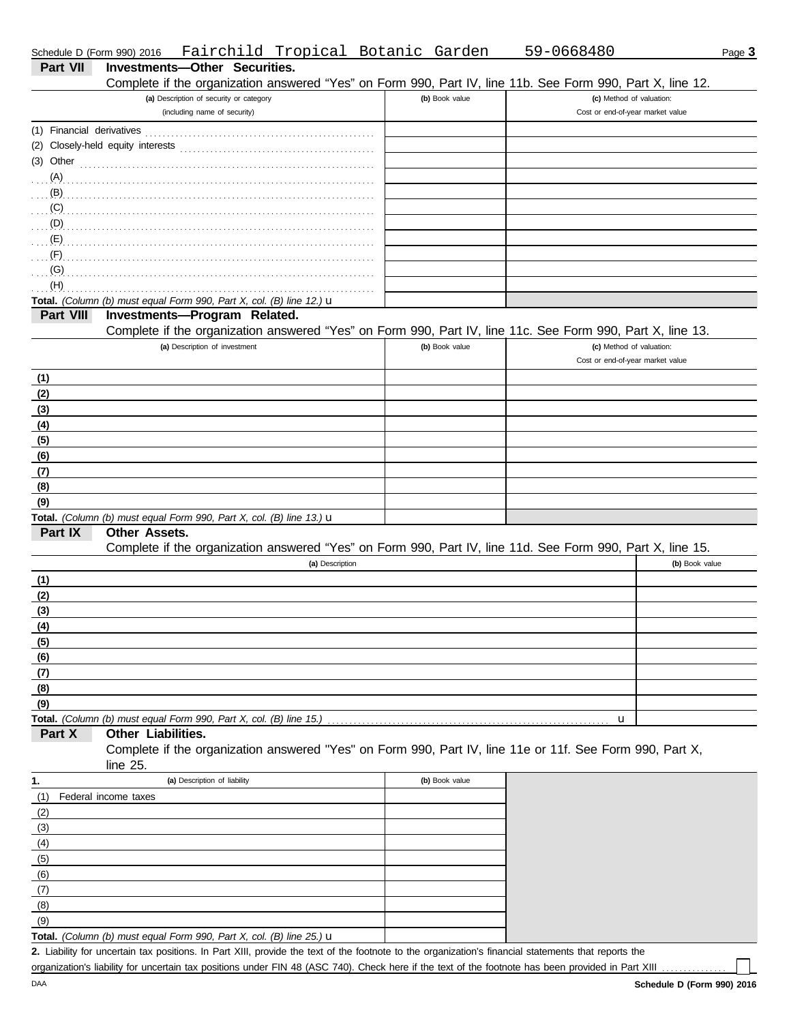**(a)** Description of security or category (including name of security)

| (1) Financial derivatives |                                                                                                              |                |                                  |                |
|---------------------------|--------------------------------------------------------------------------------------------------------------|----------------|----------------------------------|----------------|
|                           |                                                                                                              |                |                                  |                |
|                           | (3) Other $\ldots$ $\ldots$ $\ldots$ $\ldots$ $\ldots$ $\ldots$ $\ldots$ $\ldots$ $\ldots$ $\ldots$ $\ldots$ |                |                                  |                |
|                           |                                                                                                              |                |                                  |                |
|                           |                                                                                                              |                |                                  |                |
| (C)                       |                                                                                                              |                |                                  |                |
| (D)                       |                                                                                                              |                |                                  |                |
| (E)                       |                                                                                                              |                |                                  |                |
| (F)                       |                                                                                                              |                |                                  |                |
| (G)                       |                                                                                                              |                |                                  |                |
| (H)                       |                                                                                                              |                |                                  |                |
|                           | Total. (Column (b) must equal Form 990, Part X, col. (B) line 12.) u                                         |                |                                  |                |
| Part VIII                 | Investments-Program Related.                                                                                 |                |                                  |                |
|                           | Complete if the organization answered "Yes" on Form 990, Part IV, line 11c. See Form 990, Part X, line 13.   |                |                                  |                |
|                           | (a) Description of investment                                                                                | (b) Book value | (c) Method of valuation:         |                |
|                           |                                                                                                              |                | Cost or end-of-year market value |                |
| (1)                       |                                                                                                              |                |                                  |                |
| (2)                       |                                                                                                              |                |                                  |                |
| (3)                       |                                                                                                              |                |                                  |                |
| (4)                       |                                                                                                              |                |                                  |                |
| (5)                       |                                                                                                              |                |                                  |                |
| (6)                       |                                                                                                              |                |                                  |                |
| (7)                       |                                                                                                              |                |                                  |                |
| (8)                       |                                                                                                              |                |                                  |                |
| (9)                       |                                                                                                              |                |                                  |                |
|                           | Total. (Column (b) must equal Form 990, Part X, col. (B) line 13.) $\mathbf u$                               |                |                                  |                |
| Part IX                   | Other Assets.                                                                                                |                |                                  |                |
|                           | Complete if the organization answered "Yes" on Form 990, Part IV, line 11d. See Form 990, Part X, line 15.   |                |                                  |                |
|                           | (a) Description                                                                                              |                |                                  | (b) Book value |
| (1)                       |                                                                                                              |                |                                  |                |
| (2)                       |                                                                                                              |                |                                  |                |
| (3)                       |                                                                                                              |                |                                  |                |
| (4)                       |                                                                                                              |                |                                  |                |
| (5)                       |                                                                                                              |                |                                  |                |
| (6)                       |                                                                                                              |                |                                  |                |
| (7)                       |                                                                                                              |                |                                  |                |
| (8)                       |                                                                                                              |                |                                  |                |
| (9)                       |                                                                                                              |                |                                  |                |
|                           | Total. (Column (b) must equal Form 990, Part X, col. (B) line 15.)                                           |                | u                                |                |
| Part X                    | Other Liabilities                                                                                            |                |                                  |                |

#### **Part X Other Liabilities.**

Complete if the organization answered "Yes" on Form 990, Part IV, line 11e or 11f. See Form 990, Part X, line 25.

| 1.  | (a) Description of liability                                                              | (b) Book value |
|-----|-------------------------------------------------------------------------------------------|----------------|
| (1) | Federal income taxes                                                                      |                |
| (2) |                                                                                           |                |
| (3) |                                                                                           |                |
| (4) |                                                                                           |                |
| (5) |                                                                                           |                |
| (6) |                                                                                           |                |
| (7) |                                                                                           |                |
| (8) |                                                                                           |                |
| (9) |                                                                                           |                |
|     | <b>Total.</b> (Column (b) must equal Form 990, Part X, col. (B) line $25$ .) $\mathbf{u}$ |                |

Liability for uncertain tax positions. In Part XIII, provide the text of the footnote to the organization's financial statements that reports the **2.** organization's liability for uncertain tax positions under FIN 48 (ASC 740). Check here if the text of the footnote has been provided in Part XIII Page **3**

**Schedule D (Form 990) 2016**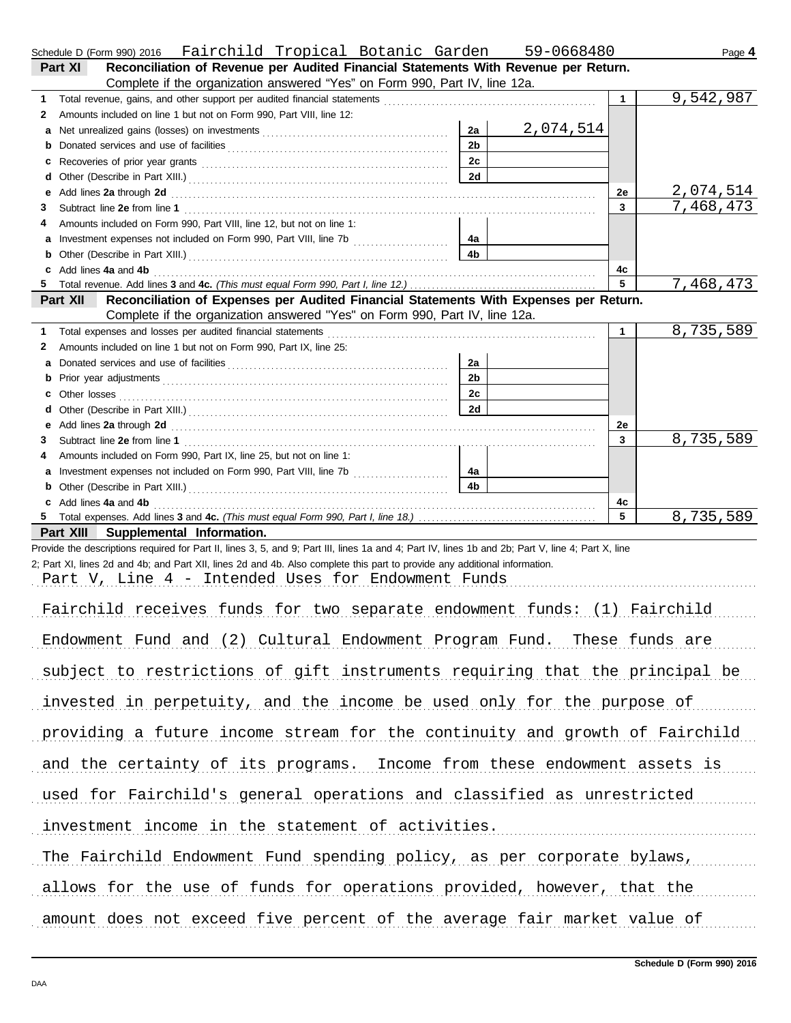|        | Schedule D (Form 990) 2016 Fairchild Tropical Botanic Garden                                                                                                                                                                        | 59-0668480             |              | Page 4    |
|--------|-------------------------------------------------------------------------------------------------------------------------------------------------------------------------------------------------------------------------------------|------------------------|--------------|-----------|
|        | Reconciliation of Revenue per Audited Financial Statements With Revenue per Return.<br><b>Part XI</b>                                                                                                                               |                        |              |           |
|        | Complete if the organization answered "Yes" on Form 990, Part IV, line 12a.                                                                                                                                                         |                        |              |           |
| 1      | Total revenue, gains, and other support per audited financial statements [11] [11] Total revenue in the statements                                                                                                                  |                        | $\mathbf{1}$ | 9,542,987 |
| 2<br>a | Amounts included on line 1 but not on Form 990, Part VIII, line 12:                                                                                                                                                                 | <u>2,074,514</u><br>2a |              |           |
| b      |                                                                                                                                                                                                                                     | 2 <sub>b</sub>         |              |           |
| c      |                                                                                                                                                                                                                                     | 2c                     |              |           |
| d      |                                                                                                                                                                                                                                     | 2d                     |              |           |
| е      | Add lines 2a through 2d [11] Add [12] Add lines 2a through 2d [12] Add lines 2a through 2d [12] Add lines 2a through 2d                                                                                                             |                        | 2e           | 2,074,514 |
| З      |                                                                                                                                                                                                                                     |                        | 3            | 7,468,473 |
| 4      | Amounts included on Form 990, Part VIII, line 12, but not on line 1:                                                                                                                                                                |                        |              |           |
| a<br>b |                                                                                                                                                                                                                                     | 4a<br>4b               |              |           |
|        | Add lines 4a and 4b                                                                                                                                                                                                                 |                        | 4c           |           |
| 5      |                                                                                                                                                                                                                                     |                        | 5            | 7,468,473 |
|        | Reconciliation of Expenses per Audited Financial Statements With Expenses per Return.<br>Part XII                                                                                                                                   |                        |              |           |
|        | Complete if the organization answered "Yes" on Form 990, Part IV, line 12a.                                                                                                                                                         |                        |              |           |
| 1      | Total expenses and losses per audited financial statements                                                                                                                                                                          |                        | 1.           | 8,735,589 |
| 2      | Amounts included on line 1 but not on Form 990, Part IX, line 25:                                                                                                                                                                   |                        |              |           |
| a<br>b |                                                                                                                                                                                                                                     | 2a<br>2 <sub>b</sub>   |              |           |
| c      |                                                                                                                                                                                                                                     | 2c                     |              |           |
| d      |                                                                                                                                                                                                                                     | 2d                     |              |           |
| е      | Add lines 2a through 2d <b>Martin Community 20</b> and 20 and 20 and 20 and 20 and 20 and 20 and 20 and 20 and 20 and 20 and 20 and 20 and 20 and 20 and 20 and 20 and 20 and 20 and 20 and 20 and 20 and 20 and 20 and 20 and 20 a |                        | 2e           |           |
| 3      |                                                                                                                                                                                                                                     |                        | 3            | 8,735,589 |
| 4      | Amounts included on Form 990, Part IX, line 25, but not on line 1:                                                                                                                                                                  |                        |              |           |
| a      | Investment expenses not included on Form 990, Part VIII, line 7b [100] [100] [100] [100] [100] [100] [100] [100] [100] [100] [100] [100] [100] [100] [100] [100] [100] [100] [100] [100] [100] [100] [100] [100] [100] [100] [      | 4a<br>4b               |              |           |
| b      | Add lines 4a and 4b                                                                                                                                                                                                                 |                        | 4c           |           |
|        |                                                                                                                                                                                                                                     |                        |              |           |
| 5      |                                                                                                                                                                                                                                     |                        | 5            |           |
|        | Part XIII Supplemental Information.                                                                                                                                                                                                 |                        |              |           |
|        | Provide the descriptions required for Part II, lines 3, 5, and 9; Part III, lines 1a and 4; Part IV, lines 1b and 2b; Part V, line 4; Part X, line                                                                                  |                        |              | 8,735,589 |
|        | 2; Part XI, lines 2d and 4b; and Part XII, lines 2d and 4b. Also complete this part to provide any additional information.                                                                                                          |                        |              |           |
|        | Part V, Line 4 - Intended Uses for Endowment Funds                                                                                                                                                                                  |                        |              |           |
|        |                                                                                                                                                                                                                                     |                        |              |           |
|        | Fairchild receives funds for two separate endowment funds: (1) Fairchild                                                                                                                                                            |                        |              |           |
|        | Endowment Fund and (2) Cultural Endowment Program Fund. These funds are                                                                                                                                                             |                        |              |           |
|        | subject to restrictions of gift instruments requiring that the principal be                                                                                                                                                         |                        |              |           |
|        | invested in perpetuity, and the income be used only for the purpose of                                                                                                                                                              |                        |              |           |
|        |                                                                                                                                                                                                                                     |                        |              |           |
|        | providing a future income stream for the continuity and growth of Fairchild                                                                                                                                                         |                        |              |           |
|        | and the certainty of its programs. Income from these endowment assets is                                                                                                                                                            |                        |              |           |
|        | used for Fairchild's general operations and classified as unrestricted                                                                                                                                                              |                        |              |           |
|        | investment income in the statement of activities.                                                                                                                                                                                   |                        |              |           |
|        | The Fairchild Endowment Fund spending policy, as per corporate bylaws,                                                                                                                                                              |                        |              |           |
|        | allows for the use of funds for operations provided, however, that the                                                                                                                                                              |                        |              |           |
|        | amount does not exceed five percent of the average fair market value of                                                                                                                                                             |                        |              |           |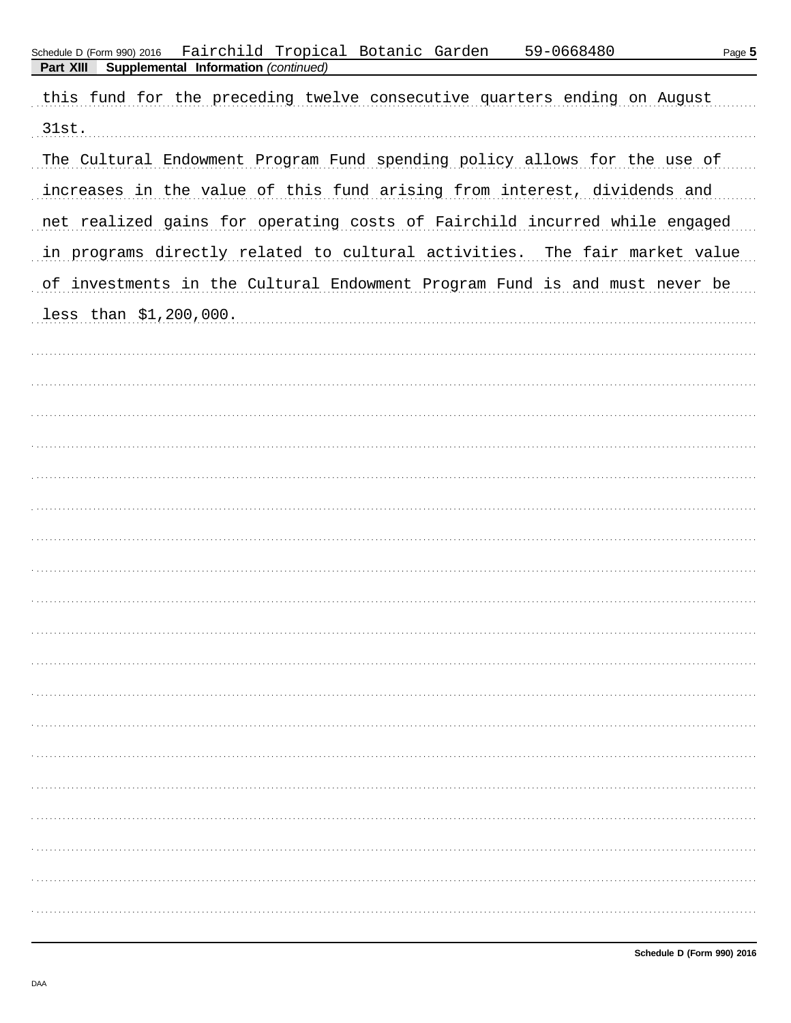| this fund for the preceding twelve consecutive quarters ending on August   |
|----------------------------------------------------------------------------|
| 31st.                                                                      |
| The Cultural Endowment Program Fund spending policy allows for the use of  |
| increases in the value of this fund arising from interest, dividends and   |
| net realized gains for operating costs of Fairchild incurred while engaged |
| in programs directly related to cultural activities. The fair market value |
| of investments in the Cultural Endowment Program Fund is and must never be |
| less than \$1,200,000.                                                     |
|                                                                            |
|                                                                            |
|                                                                            |
|                                                                            |
|                                                                            |
|                                                                            |
|                                                                            |
|                                                                            |
|                                                                            |
|                                                                            |
|                                                                            |
|                                                                            |
|                                                                            |
|                                                                            |
|                                                                            |
|                                                                            |
|                                                                            |
|                                                                            |
|                                                                            |
|                                                                            |
|                                                                            |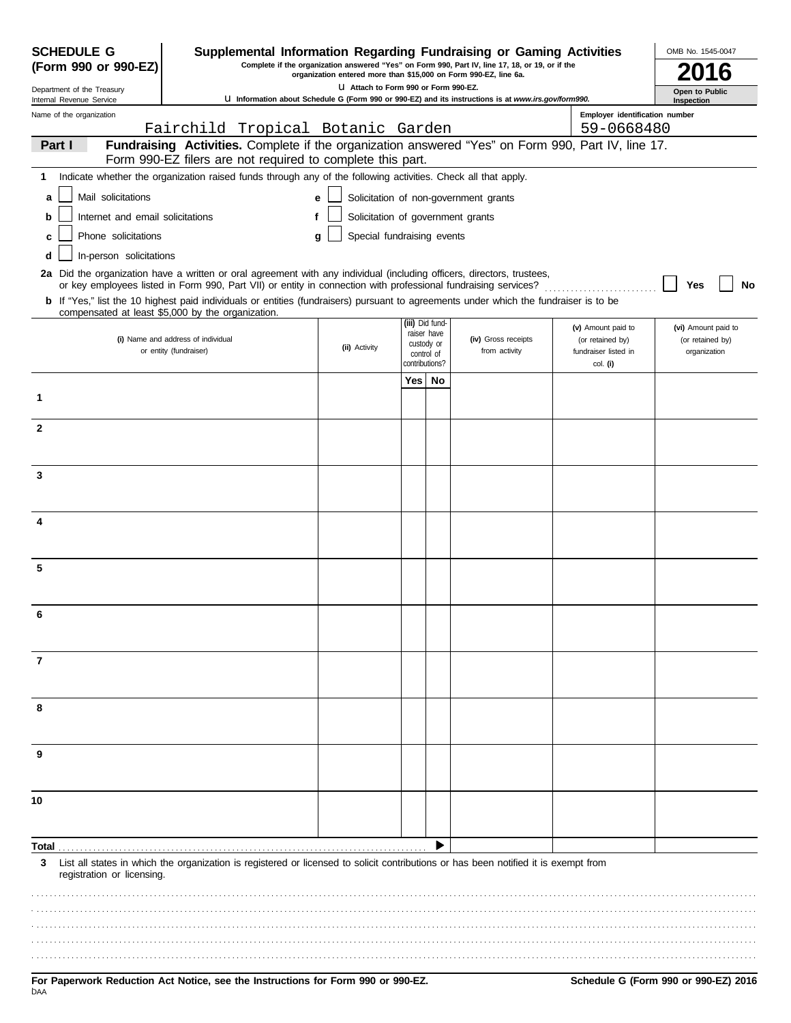| <b>SCHEDULE G</b><br>(Form 990 or 990-EZ) | Supplemental Information Regarding Fundraising or Gaming Activities                                                                                                                                                                      | organization entered more than \$15,000 on Form 990-EZ, line 6a. |     |                                         | Complete if the organization answered "Yes" on Form 990, Part IV, line 17, 18, or 19, or if the            |                                              | OMB No. 1545-0047                |
|-------------------------------------------|------------------------------------------------------------------------------------------------------------------------------------------------------------------------------------------------------------------------------------------|------------------------------------------------------------------|-----|-----------------------------------------|------------------------------------------------------------------------------------------------------------|----------------------------------------------|----------------------------------|
| Department of the Treasury                |                                                                                                                                                                                                                                          | LI Attach to Form 990 or Form 990-EZ.                            |     |                                         |                                                                                                            |                                              | Open to Public                   |
| Internal Revenue Service                  |                                                                                                                                                                                                                                          |                                                                  |     |                                         | <b>U Information about Schedule G (Form 990 or 990-EZ) and its instructions is at www.irs.gov/form990.</b> |                                              | Inspection                       |
| Name of the organization                  | Fairchild Tropical Botanic Garden                                                                                                                                                                                                        |                                                                  |     |                                         |                                                                                                            | Employer identification number<br>59-0668480 |                                  |
| Part I                                    | Fundraising Activities. Complete if the organization answered "Yes" on Form 990, Part IV, line 17.<br>Form 990-EZ filers are not required to complete this part.                                                                         |                                                                  |     |                                         |                                                                                                            |                                              |                                  |
| 1                                         | Indicate whether the organization raised funds through any of the following activities. Check all that apply.                                                                                                                            |                                                                  |     |                                         |                                                                                                            |                                              |                                  |
| Mail solicitations<br>a                   |                                                                                                                                                                                                                                          | е                                                                |     |                                         | Solicitation of non-government grants                                                                      |                                              |                                  |
| Internet and email solicitations<br>b     |                                                                                                                                                                                                                                          | Solicitation of government grants<br>f                           |     |                                         |                                                                                                            |                                              |                                  |
| Phone solicitations<br>c                  |                                                                                                                                                                                                                                          | Special fundraising events<br>g                                  |     |                                         |                                                                                                            |                                              |                                  |
| In-person solicitations<br>d              |                                                                                                                                                                                                                                          |                                                                  |     |                                         |                                                                                                            |                                              |                                  |
|                                           | 2a Did the organization have a written or oral agreement with any individual (including officers, directors, trustees,<br>or key employees listed in Form 990, Part VII) or entity in connection with professional fundraising services? |                                                                  |     |                                         |                                                                                                            |                                              | Yes<br>No                        |
|                                           | <b>b</b> If "Yes," list the 10 highest paid individuals or entities (fundraisers) pursuant to agreements under which the fundraiser is to be                                                                                             |                                                                  |     |                                         |                                                                                                            |                                              |                                  |
|                                           | compensated at least \$5,000 by the organization.                                                                                                                                                                                        |                                                                  |     | (iii) Did fund-                         |                                                                                                            | (v) Amount paid to                           | (vi) Amount paid to              |
|                                           | (i) Name and address of individual<br>or entity (fundraiser)                                                                                                                                                                             | (ii) Activity                                                    |     | raiser have<br>custody or<br>control of | (iv) Gross receipts<br>from activity                                                                       | (or retained by)<br>fundraiser listed in     | (or retained by)<br>organization |
|                                           |                                                                                                                                                                                                                                          |                                                                  | Yes | contributions?<br>No                    |                                                                                                            | col. (i)                                     |                                  |
| 1                                         |                                                                                                                                                                                                                                          |                                                                  |     |                                         |                                                                                                            |                                              |                                  |
| $\mathbf{2}$                              |                                                                                                                                                                                                                                          |                                                                  |     |                                         |                                                                                                            |                                              |                                  |
|                                           |                                                                                                                                                                                                                                          |                                                                  |     |                                         |                                                                                                            |                                              |                                  |
| 3                                         |                                                                                                                                                                                                                                          |                                                                  |     |                                         |                                                                                                            |                                              |                                  |
|                                           |                                                                                                                                                                                                                                          |                                                                  |     |                                         |                                                                                                            |                                              |                                  |
| 4                                         |                                                                                                                                                                                                                                          |                                                                  |     |                                         |                                                                                                            |                                              |                                  |
|                                           |                                                                                                                                                                                                                                          |                                                                  |     |                                         |                                                                                                            |                                              |                                  |
| 5                                         |                                                                                                                                                                                                                                          |                                                                  |     |                                         |                                                                                                            |                                              |                                  |
| 6                                         |                                                                                                                                                                                                                                          |                                                                  |     |                                         |                                                                                                            |                                              |                                  |
|                                           |                                                                                                                                                                                                                                          |                                                                  |     |                                         |                                                                                                            |                                              |                                  |
| $\overline{7}$                            |                                                                                                                                                                                                                                          |                                                                  |     |                                         |                                                                                                            |                                              |                                  |
|                                           |                                                                                                                                                                                                                                          |                                                                  |     |                                         |                                                                                                            |                                              |                                  |
| 8                                         |                                                                                                                                                                                                                                          |                                                                  |     |                                         |                                                                                                            |                                              |                                  |
|                                           |                                                                                                                                                                                                                                          |                                                                  |     |                                         |                                                                                                            |                                              |                                  |
| 9                                         |                                                                                                                                                                                                                                          |                                                                  |     |                                         |                                                                                                            |                                              |                                  |
|                                           |                                                                                                                                                                                                                                          |                                                                  |     |                                         |                                                                                                            |                                              |                                  |
| 10                                        |                                                                                                                                                                                                                                          |                                                                  |     |                                         |                                                                                                            |                                              |                                  |
|                                           |                                                                                                                                                                                                                                          |                                                                  |     |                                         |                                                                                                            |                                              |                                  |
|                                           |                                                                                                                                                                                                                                          |                                                                  |     |                                         |                                                                                                            |                                              |                                  |
| 3<br>registration or licensing.           | List all states in which the organization is registered or licensed to solicit contributions or has been notified it is exempt from                                                                                                      |                                                                  |     |                                         |                                                                                                            |                                              |                                  |
|                                           |                                                                                                                                                                                                                                          |                                                                  |     |                                         |                                                                                                            |                                              |                                  |
|                                           |                                                                                                                                                                                                                                          |                                                                  |     |                                         |                                                                                                            |                                              |                                  |
|                                           |                                                                                                                                                                                                                                          |                                                                  |     |                                         |                                                                                                            |                                              |                                  |
|                                           |                                                                                                                                                                                                                                          |                                                                  |     |                                         |                                                                                                            |                                              |                                  |
|                                           |                                                                                                                                                                                                                                          |                                                                  |     |                                         |                                                                                                            |                                              |                                  |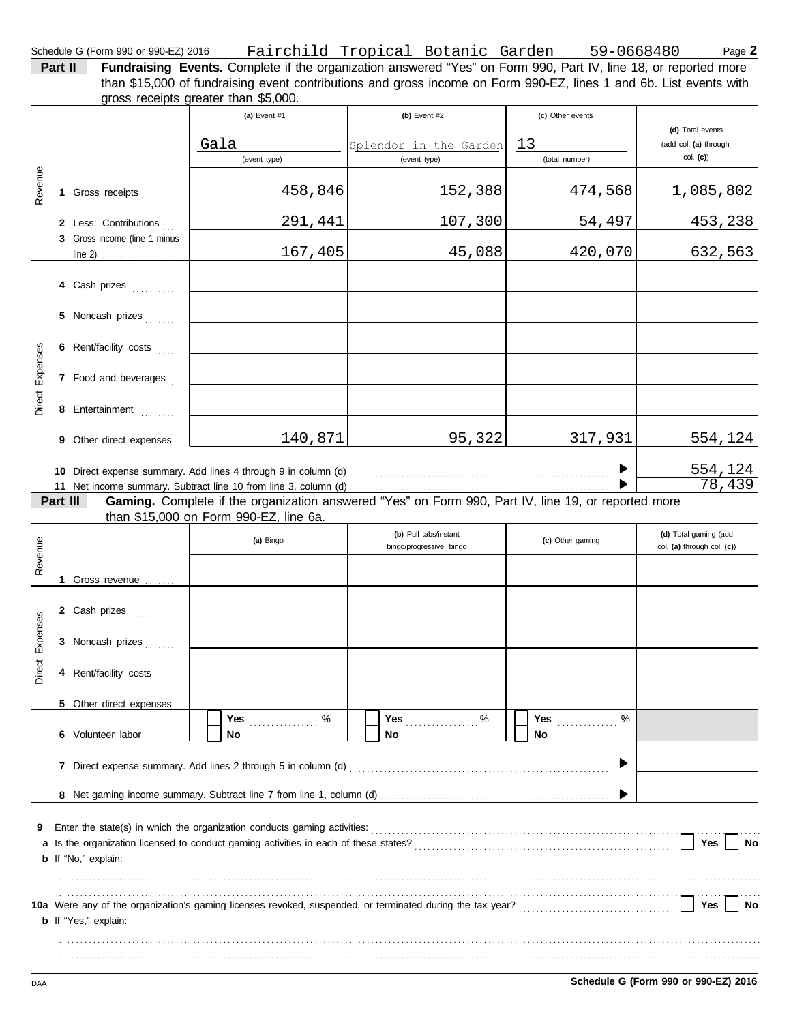**(d)** Total events (add col. **(a)** through

col. **(c)**)

**(d)** Total gaming (add

▶

554,124 78,439

Schedule G (Form 990 or 990-EZ) 2016 Fairchild Tropical Botanic Garden 59-0668480 Page **2 Part II Fundraising Events.** Complete if the organization answered "Yes" on Form 990, Part IV, line 18, or reported more than \$15,000 of fundraising event contributions and gross income on Form 990-EZ, lines 1 and 6b. List events with gross receipts greater than \$5,000. **(a)** Event #1 **(b)** Event #2 **(c)** Other events Gala Splendor in the Garden 13 (event type) (event type) (event type) (total number) Revenue 458,846 152,388 474,568 1,085,802 **1** Gross receipts *. . . . . . .* . 291,441 107,300 54,497 453,238 **2** Less: Contributions .... **3** Gross income (line 1 minus 167,405 45,088 420,070 632,563  $line 2)$ **4** Cash prizes <u>. . . . . . . . .</u> **5** Noncash prizes . . . . . . . Expenses **6** Rent/facility costs **.....** Direct Expenses **7** Food and beverages ... Direct I **8** Entertainment ........ 140,871 95,322 317,931 554,124 Other direct expenses **9** Direct expense summary. Add lines 4 through 9 in column (d) . . . . . . . . . . . . . . . . . . . . . . . . . . . . . . . . . . . . . . . . . . . . . . . . . . . . . . . . . . . . **10** Net income summary. Subtract line 10 from line 3, column (d) . . . . . . . . . . . . . . . . . . . . . . . . . . . . . . . . . . . . . . . . . . . . . . . . . . . . . . . . . . . . **11 Part III Gaming.** Complete if the organization answered "Yes" on Form 990, Part IV, line 19, or reported more than \$15,000 on Form 990-EZ, line 6a. **(b)** Pull tabs/instant Revenue **(a)** Bingo **(c)** Other gaming Direct Expenses Revenue bingo/progressive bingo col. **(a)** through col. **(c)**) **1** Gross revenue . . . . . . . **2** Cash prizes <u>. . . . . . . . .</u> Expenses **3** Noncash prizes . . . . . . .

Direct **4** Rent/facility costs ...... **5** Other direct expenses **Yes** . . . . . . . . . . . . . . % **Yes** % **Yes** . . . . . . . . . . . . . . . . . % **Yes** . . . . . . . . . . . . . . **No No No 6** Volunteer labor . . . . . . . ▶ **7** Direct expense summary. Add lines 2 through 5 in column (d) . . . . . . . . . . . . . . . . . . . . . . . . . . . . . . . . . . . . . . . . . . . . . . . . . . . . . . . . . . . . **8** Net gaming income summary. Subtract line 7 from line 1, column (d) . . . . . . . . . . . . . . . . . . . . . . . . . . . . . . . . . . . . . . . . . . . . . . . . . . . . . **9** Enter the state(s) in which the organization conducts gaming activities: www.communities.com/www.communities.com/www.communities.com/www.communities.com/www.communities.com/www.communities.com/www.communities.com/www.commu **a** Is the organization licensed to conduct gaming activities in each of these states? . . . . . . . . . . . . . . . . . . . . . . . . . . . . . . . . . . . . . . . . . . . . . . . . . . . . . . . . . . . **Yes No b** If "No," explain: . . . . . . . . . . . . . . . . . . . . . . . . . . . . . . . . . . . . . . . . . . . . . . . . . . . . . . . . . . . . . . . . . . . . . . . . . . . . . . . . . . . . . . . . . . . . . . . . . . . . . . . . . . . . . . . . . . . . . . . . . . . . . . . . . . . . . . . . . . . . . . . . . . . . . . . . . . . . . . . . . **10a** Were any of the organization's gaming licenses revoked, suspended, or terminated during the tax year? . . . . . . . . . . . . . . . . . . . . . . . . . . . . . . . . . . . **Yes No b** If "Yes," explain: . . . . . . . . . . . . . . . . . . . . . . . . . . . . . . . . . . . . . . . . . . . . . . . . . . . . . . . . . . . . . . . . . . . . . . . . . . . . . . . . . . . . . . . . . . . . . . . . . . . . . . . . . . . . . . . . . . . . . . . . . . . . . . . . . . . . . . . . . . . . . . . . . . . . . . . . . . . . . . . . . . . . . . . . . . . . . . . . . . . . . . . . . . . . . . . . . . . . . . . . . . . . . . . . . . . . . . . . . . . . . . . . . . . . . . . . . . . . . . . . . . . . . . . . . . . . . . . . . . . . . . . . . . . . . . . . . . . . . . . . . . . . . . . . . . . . . . . . . . . . . . . . . . . . . . . . . . . . . . . . . .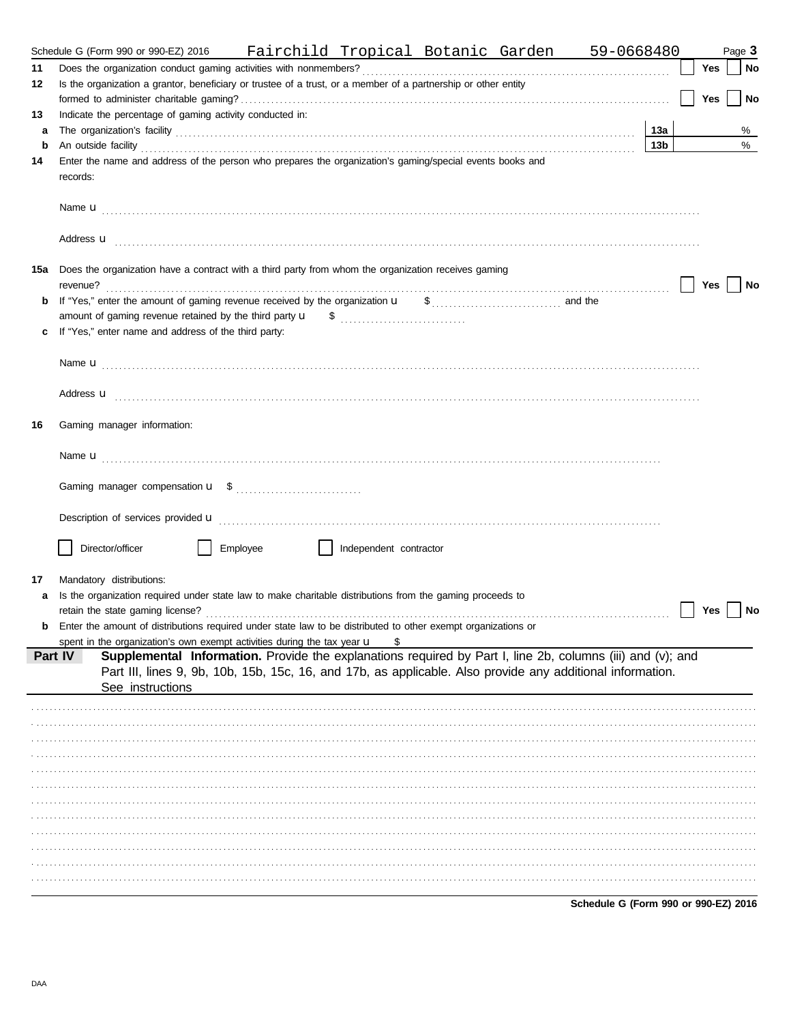|     | Fairchild Tropical Botanic Garden 59-0668480<br>Schedule G (Form 990 or 990-EZ) 2016                                                                                                                                           |                 |     | Page 3    |
|-----|--------------------------------------------------------------------------------------------------------------------------------------------------------------------------------------------------------------------------------|-----------------|-----|-----------|
| 11  |                                                                                                                                                                                                                                |                 | Yes | No        |
| 12  | Is the organization a grantor, beneficiary or trustee of a trust, or a member of a partnership or other entity                                                                                                                 |                 |     |           |
|     |                                                                                                                                                                                                                                |                 | Yes | <b>No</b> |
| 13  | Indicate the percentage of gaming activity conducted in:                                                                                                                                                                       |                 |     |           |
| a   | The organization's facility encouragement and an account of the contract of the contract of the contract of the contract of the contract of the contract of the contract of the contract of the contract of the contract of th | 13а             |     | %         |
| b   | An outside facility with the contract of the contract of the contract of the contract of the contract of the contract of the contract of the contract of the contract of the contract of the contract of the contract of the c | 13 <sub>b</sub> |     | %         |
| 14  | Enter the name and address of the person who prepares the organization's gaming/special events books and<br>records:                                                                                                           |                 |     |           |
|     |                                                                                                                                                                                                                                |                 |     |           |
|     | Address <b>u</b>                                                                                                                                                                                                               |                 |     |           |
| 15a | Does the organization have a contract with a third party from whom the organization receives gaming                                                                                                                            |                 | Yes | No        |
| b   |                                                                                                                                                                                                                                |                 |     |           |
|     |                                                                                                                                                                                                                                |                 |     |           |
|     | If "Yes," enter name and address of the third party:                                                                                                                                                                           |                 |     |           |
|     |                                                                                                                                                                                                                                |                 |     |           |
|     |                                                                                                                                                                                                                                |                 |     |           |
|     | Address <b>u</b>                                                                                                                                                                                                               |                 |     |           |
| 16  | Gaming manager information:                                                                                                                                                                                                    |                 |     |           |
|     |                                                                                                                                                                                                                                |                 |     |           |
|     |                                                                                                                                                                                                                                |                 |     |           |
|     |                                                                                                                                                                                                                                |                 |     |           |
|     | Director/officer<br>Employee<br>Independent contractor                                                                                                                                                                         |                 |     |           |
| 17  | Mandatory distributions:                                                                                                                                                                                                       |                 |     |           |
| a   | Is the organization required under state law to make charitable distributions from the gaming proceeds to                                                                                                                      |                 |     |           |
|     |                                                                                                                                                                                                                                |                 | Yes | No        |
| b   | Enter the amount of distributions required under state law to be distributed to other exempt organizations or                                                                                                                  |                 |     |           |
|     | spent in the organization's own exempt activities during the tax year $\mathbf u$<br>S                                                                                                                                         |                 |     |           |
|     | Supplemental Information. Provide the explanations required by Part I, line 2b, columns (iii) and (v); and<br>Part IV                                                                                                          |                 |     |           |
|     | Part III, lines 9, 9b, 10b, 15b, 15c, 16, and 17b, as applicable. Also provide any additional information.                                                                                                                     |                 |     |           |
|     | See instructions                                                                                                                                                                                                               |                 |     |           |
|     |                                                                                                                                                                                                                                |                 |     |           |
|     |                                                                                                                                                                                                                                |                 |     |           |
|     |                                                                                                                                                                                                                                |                 |     |           |
|     |                                                                                                                                                                                                                                |                 |     |           |
|     |                                                                                                                                                                                                                                |                 |     |           |
|     |                                                                                                                                                                                                                                |                 |     |           |
|     |                                                                                                                                                                                                                                |                 |     |           |
|     |                                                                                                                                                                                                                                |                 |     |           |
|     |                                                                                                                                                                                                                                |                 |     |           |
|     |                                                                                                                                                                                                                                |                 |     |           |
|     |                                                                                                                                                                                                                                |                 |     |           |
|     |                                                                                                                                                                                                                                |                 |     |           |

Schedule G (Form 990 or 990-EZ) 2016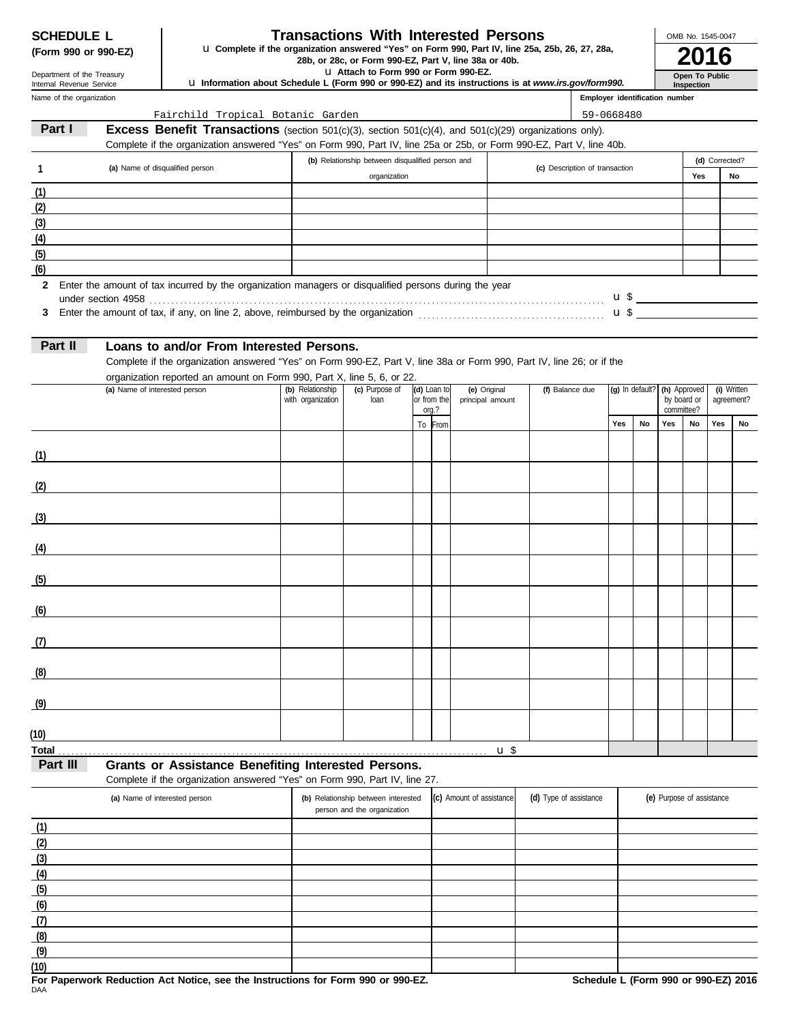| <b>SCHEDULE L</b>   |  |  |
|---------------------|--|--|
| (Form 990 or 990-E) |  |  |

## **Transactions With Interested Persons**

**(Form 990 or 990-EZ) a** Complete if the organization answered "Yes" on Form 990, Part IV, line 25a, 25b, 26, 27, 28a,<br>28b, or 28c, or Form 990-EZ, Part V, line 38a or 40b.<br>**2016** 

u **Attach to Form 990 or Form 990-EZ.**

u **Information about Schedule L (Form 990 or 990-EZ) and its instructions is at** *www.irs.gov/form990.*

Department of the Treasury Internal Revenue Service

DAA

**(6) (5)**

**(7) (8) (9) (10)** **Inspection**

**Open To Public**

OMB No. 1545-0047

| Name of the organization |                                                                                                                                                     |                   |                                                                    |                  |                          |                                | Employer identification number |                              |     |                           |                |             |
|--------------------------|-----------------------------------------------------------------------------------------------------------------------------------------------------|-------------------|--------------------------------------------------------------------|------------------|--------------------------|--------------------------------|--------------------------------|------------------------------|-----|---------------------------|----------------|-------------|
|                          | Fairchild Tropical Botanic Garden                                                                                                                   |                   |                                                                    |                  |                          |                                | 59-0668480                     |                              |     |                           |                |             |
| Part I                   | Excess Benefit Transactions (section 501(c)(3), section 501(c)(4), and 501(c)(29) organizations only).                                              |                   |                                                                    |                  |                          |                                |                                |                              |     |                           |                |             |
|                          | Complete if the organization answered "Yes" on Form 990, Part IV, line 25a or 25b, or Form 990-EZ, Part V, line 40b.                                |                   |                                                                    |                  |                          |                                |                                |                              |     |                           |                |             |
| 1                        | (a) Name of disqualified person                                                                                                                     |                   | (b) Relationship between disqualified person and                   |                  |                          | (c) Description of transaction |                                |                              |     |                           | (d) Corrected? |             |
|                          |                                                                                                                                                     |                   | organization                                                       |                  |                          |                                |                                |                              |     | Yes                       |                | No          |
| (1)                      |                                                                                                                                                     |                   |                                                                    |                  |                          |                                |                                |                              |     |                           |                |             |
| (2)                      |                                                                                                                                                     |                   |                                                                    |                  |                          |                                |                                |                              |     |                           |                |             |
| (3)                      |                                                                                                                                                     |                   |                                                                    |                  |                          |                                |                                |                              |     |                           |                |             |
| (4)                      |                                                                                                                                                     |                   |                                                                    |                  |                          |                                |                                |                              |     |                           |                |             |
| (5)                      |                                                                                                                                                     |                   |                                                                    |                  |                          |                                |                                |                              |     |                           |                |             |
| (6)                      |                                                                                                                                                     |                   |                                                                    |                  |                          |                                |                                |                              |     |                           |                |             |
|                          | 2 Enter the amount of tax incurred by the organization managers or disqualified persons during the year                                             |                   |                                                                    |                  |                          |                                |                                |                              |     |                           |                |             |
|                          | 3 Enter the amount of tax, if any, on line 2, above, reimbursed by the organization <b>contained a contained a set of the container a</b> set of \$ |                   |                                                                    |                  |                          |                                |                                |                              |     |                           |                |             |
|                          |                                                                                                                                                     |                   |                                                                    |                  |                          |                                |                                |                              |     |                           |                |             |
| Part II                  | Loans to and/or From Interested Persons.                                                                                                            |                   |                                                                    |                  |                          |                                |                                |                              |     |                           |                |             |
|                          | Complete if the organization answered "Yes" on Form 990-EZ, Part V, line 38a or Form 990, Part IV, line 26; or if the                               |                   |                                                                    |                  |                          |                                |                                |                              |     |                           |                |             |
|                          | organization reported an amount on Form 990, Part X, line 5, 6, or 22.                                                                              |                   |                                                                    |                  |                          |                                |                                |                              |     |                           |                |             |
|                          | (a) Name of interested person                                                                                                                       | (b) Relationship  | (c) Purpose of                                                     | (d) Loan to      | (e) Original             | (f) Balance due                |                                | (g) In default? (h) Approved |     |                           |                | (i) Written |
|                          |                                                                                                                                                     | with organization | loan                                                               | or from the      | principal amount         |                                |                                |                              |     | by board or<br>committee? |                | agreement?  |
|                          |                                                                                                                                                     |                   |                                                                    | org.?<br>To From |                          |                                | Yes                            | No                           | Yes | No                        | Yes            | No          |
|                          |                                                                                                                                                     |                   |                                                                    |                  |                          |                                |                                |                              |     |                           |                |             |
| (1)                      |                                                                                                                                                     |                   |                                                                    |                  |                          |                                |                                |                              |     |                           |                |             |
|                          |                                                                                                                                                     |                   |                                                                    |                  |                          |                                |                                |                              |     |                           |                |             |
| (2)                      |                                                                                                                                                     |                   |                                                                    |                  |                          |                                |                                |                              |     |                           |                |             |
|                          |                                                                                                                                                     |                   |                                                                    |                  |                          |                                |                                |                              |     |                           |                |             |
| (3)                      |                                                                                                                                                     |                   |                                                                    |                  |                          |                                |                                |                              |     |                           |                |             |
|                          |                                                                                                                                                     |                   |                                                                    |                  |                          |                                |                                |                              |     |                           |                |             |
| (4)                      |                                                                                                                                                     |                   |                                                                    |                  |                          |                                |                                |                              |     |                           |                |             |
|                          |                                                                                                                                                     |                   |                                                                    |                  |                          |                                |                                |                              |     |                           |                |             |
| (5)                      |                                                                                                                                                     |                   |                                                                    |                  |                          |                                |                                |                              |     |                           |                |             |
|                          |                                                                                                                                                     |                   |                                                                    |                  |                          |                                |                                |                              |     |                           |                |             |
| (6)                      |                                                                                                                                                     |                   |                                                                    |                  |                          |                                |                                |                              |     |                           |                |             |
|                          |                                                                                                                                                     |                   |                                                                    |                  |                          |                                |                                |                              |     |                           |                |             |
| (7)                      |                                                                                                                                                     |                   |                                                                    |                  |                          |                                |                                |                              |     |                           |                |             |
|                          |                                                                                                                                                     |                   |                                                                    |                  |                          |                                |                                |                              |     |                           |                |             |
| (8)                      |                                                                                                                                                     |                   |                                                                    |                  |                          |                                |                                |                              |     |                           |                |             |
|                          |                                                                                                                                                     |                   |                                                                    |                  |                          |                                |                                |                              |     |                           |                |             |
| (9)                      |                                                                                                                                                     |                   |                                                                    |                  |                          |                                |                                |                              |     |                           |                |             |
|                          |                                                                                                                                                     |                   |                                                                    |                  |                          |                                |                                |                              |     |                           |                |             |
| (10)                     |                                                                                                                                                     |                   |                                                                    |                  |                          |                                |                                |                              |     |                           |                |             |
| <b>Total</b><br>Part III |                                                                                                                                                     |                   |                                                                    |                  | $\mathbf{u}$ \$          |                                |                                |                              |     |                           |                |             |
|                          | Grants or Assistance Benefiting Interested Persons.<br>Complete if the organization answered "Yes" on Form 990, Part IV, line 27.                   |                   |                                                                    |                  |                          |                                |                                |                              |     |                           |                |             |
|                          | (a) Name of interested person                                                                                                                       |                   | (b) Relationship between interested<br>person and the organization |                  | (c) Amount of assistance | (d) Type of assistance         |                                |                              |     | (e) Purpose of assistance |                |             |
| (1)                      |                                                                                                                                                     |                   |                                                                    |                  |                          |                                |                                |                              |     |                           |                |             |
| (2)                      |                                                                                                                                                     |                   |                                                                    |                  |                          |                                |                                |                              |     |                           |                |             |
| (3)                      |                                                                                                                                                     |                   |                                                                    |                  |                          |                                |                                |                              |     |                           |                |             |
| (4)                      |                                                                                                                                                     |                   |                                                                    |                  |                          |                                |                                |                              |     |                           |                |             |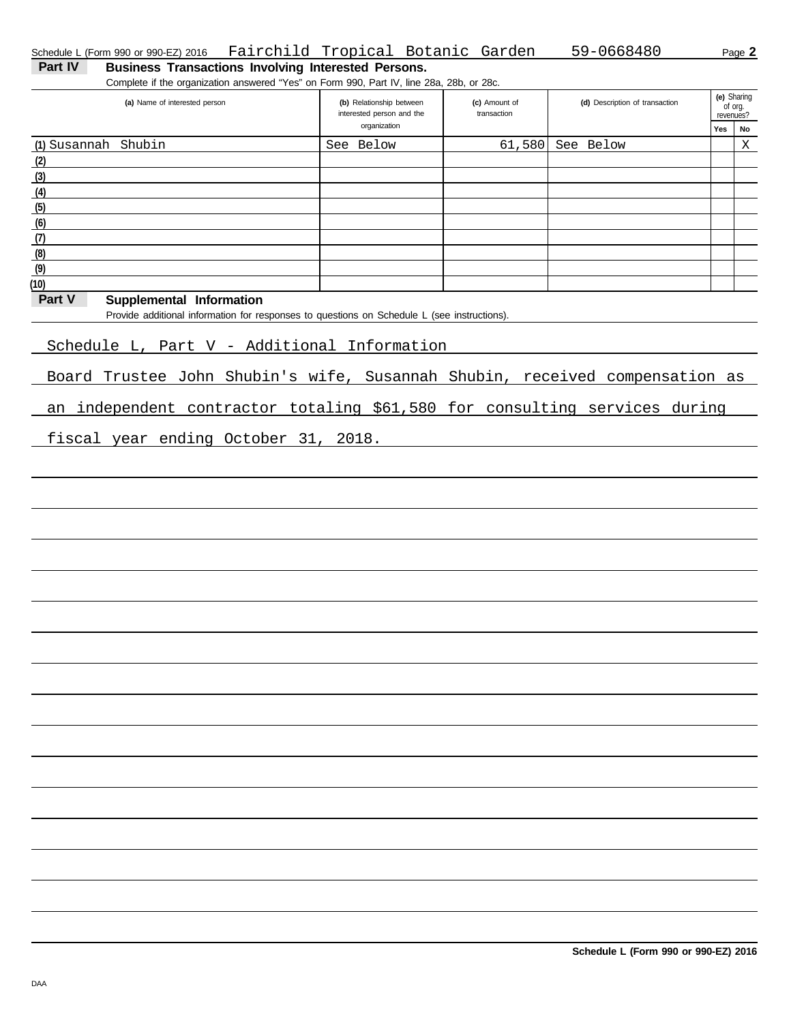Complete if the organization answered "Yes" on Form 990, Part IV, line 28a, 28b, or 28c.

| (a) Name of interested person | (b) Relationship between<br>interested person and the | (c) Amount of<br>transaction | (d) Description of transaction | (e) Sharing<br>of org.<br>revenues? |    |
|-------------------------------|-------------------------------------------------------|------------------------------|--------------------------------|-------------------------------------|----|
|                               | organization                                          |                              |                                | Yes                                 | No |
| (1) Susannah Shubin           | See Below                                             |                              | $61,580$ See Below             |                                     | Χ  |
| (2)                           |                                                       |                              |                                |                                     |    |
| (3)                           |                                                       |                              |                                |                                     |    |
| (4)                           |                                                       |                              |                                |                                     |    |
| (5)                           |                                                       |                              |                                |                                     |    |
| (6)                           |                                                       |                              |                                |                                     |    |
| (7)                           |                                                       |                              |                                |                                     |    |
| (8)                           |                                                       |                              |                                |                                     |    |
| (9)                           |                                                       |                              |                                |                                     |    |
| (10)                          |                                                       |                              |                                |                                     |    |

#### **Part V** Supplemental Information

Provide additional information for responses to questions on Schedule L (see instructions).

Schedule L, Part V - Additional Information

Board Trustee John Shubin's wife, Susannah Shubin, received compensation as

an independent contractor totaling \$61,580 for consulting services during

fiscal year ending October 31, 2018.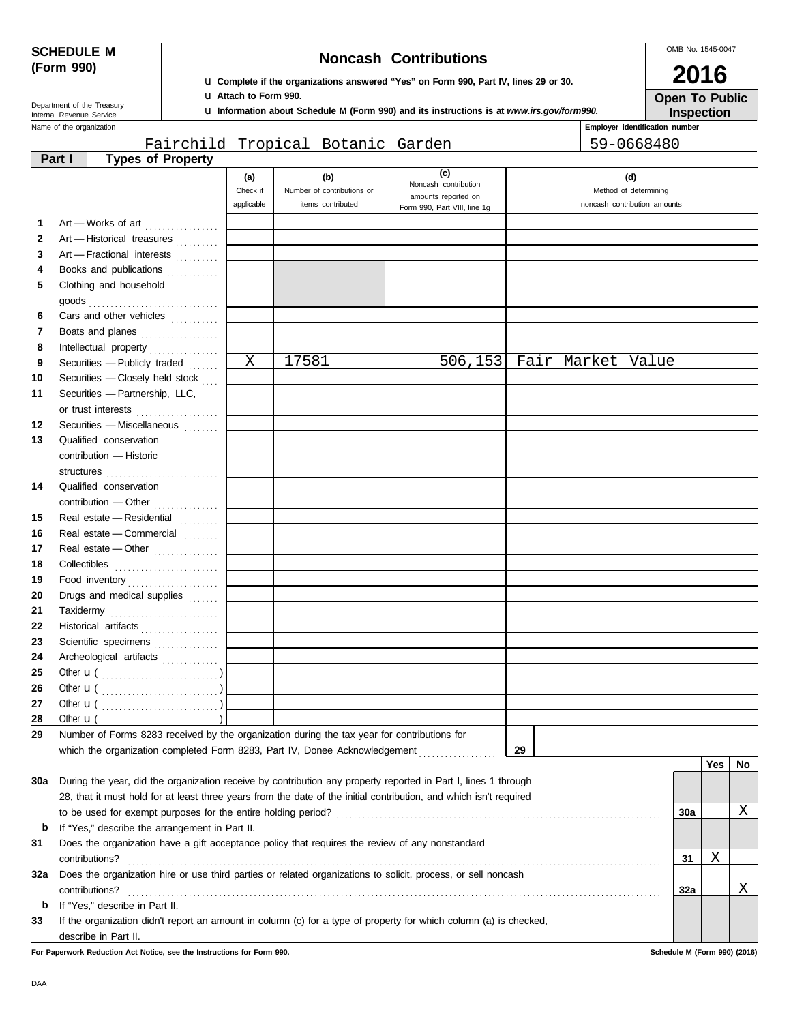DAA

| 33 | If the organization didn't report an amount in co |
|----|---------------------------------------------------|
|    | describe in Part II.                              |

**For Paperwork Reduction Act Notice, see the Instructions for Form 990. Schedule M (Form 990) (2016)**

# **SCHEDULE M Noncash Contributions**

u **Complete if the organizations answered "Yes" on Form 990, Part IV, lines 29 or 30.** u **Attach to Form 990.**

u **Information about Schedule M (Form 990) and its instructions is at** *www.irs.gov/form990.*

Name of the organization **Employer identification number Employer identification number** Department of the Treasury<br>Internal Revenue Service

**(Form 990)**

|              |                                                                                                                    |                               | Fairchild Tropical Botanic Garden                      |                                                                                    | 59-0668480                                                   |     |     |    |
|--------------|--------------------------------------------------------------------------------------------------------------------|-------------------------------|--------------------------------------------------------|------------------------------------------------------------------------------------|--------------------------------------------------------------|-----|-----|----|
|              | <b>Types of Property</b><br>Part I                                                                                 |                               |                                                        |                                                                                    |                                                              |     |     |    |
|              |                                                                                                                    | (a)<br>Check if<br>applicable | (b)<br>Number of contributions or<br>items contributed | (c)<br>Noncash contribution<br>amounts reported on<br>Form 990, Part VIII, line 1g | (d)<br>Method of determining<br>noncash contribution amounts |     |     |    |
| 1            | Art - Works of art                                                                                                 |                               |                                                        |                                                                                    |                                                              |     |     |    |
| $\mathbf{2}$ | Art - Historical treasures                                                                                         |                               |                                                        |                                                                                    |                                                              |     |     |    |
| 3            | Art - Fractional interests                                                                                         |                               |                                                        |                                                                                    |                                                              |     |     |    |
| 4            | Books and publications                                                                                             |                               |                                                        |                                                                                    |                                                              |     |     |    |
| 5            | Clothing and household                                                                                             |                               |                                                        |                                                                                    |                                                              |     |     |    |
| 6            | Cars and other vehicles                                                                                            |                               |                                                        |                                                                                    |                                                              |     |     |    |
| 7            | Boats and planes                                                                                                   |                               |                                                        |                                                                                    |                                                              |     |     |    |
| 8            | Intellectual property                                                                                              |                               |                                                        |                                                                                    |                                                              |     |     |    |
| 9            | Securities - Publicly traded                                                                                       | Χ                             | 17581                                                  |                                                                                    | 506,153 Fair Market Value                                    |     |     |    |
| 10           | Securities - Closely held stock                                                                                    |                               |                                                        |                                                                                    |                                                              |     |     |    |
| 11           | Securities - Partnership, LLC,                                                                                     |                               |                                                        |                                                                                    |                                                              |     |     |    |
|              | or trust interests                                                                                                 |                               |                                                        |                                                                                    |                                                              |     |     |    |
| 12           | Securities - Miscellaneous                                                                                         |                               |                                                        |                                                                                    |                                                              |     |     |    |
| 13           | Qualified conservation<br>contribution - Historic                                                                  |                               |                                                        |                                                                                    |                                                              |     |     |    |
|              | structures                                                                                                         |                               |                                                        |                                                                                    |                                                              |     |     |    |
| 14           | Qualified conservation                                                                                             |                               |                                                        |                                                                                    |                                                              |     |     |    |
|              | contribution - Other                                                                                               |                               |                                                        |                                                                                    |                                                              |     |     |    |
| 15           |                                                                                                                    |                               |                                                        |                                                                                    |                                                              |     |     |    |
| 16           | Real estate - Commercial                                                                                           |                               |                                                        |                                                                                    |                                                              |     |     |    |
| 17           | Real estate - Other                                                                                                |                               |                                                        |                                                                                    |                                                              |     |     |    |
| 18           |                                                                                                                    |                               |                                                        |                                                                                    |                                                              |     |     |    |
| 19           | Food inventory                                                                                                     |                               |                                                        |                                                                                    |                                                              |     |     |    |
| 20           | Drugs and medical supplies                                                                                         |                               |                                                        |                                                                                    |                                                              |     |     |    |
| 21           |                                                                                                                    |                               |                                                        |                                                                                    |                                                              |     |     |    |
| 22           | Historical artifacts                                                                                               |                               |                                                        |                                                                                    |                                                              |     |     |    |
| 23           | Scientific specimens                                                                                               |                               |                                                        |                                                                                    |                                                              |     |     |    |
| 24           | Archeological artifacts                                                                                            |                               |                                                        |                                                                                    |                                                              |     |     |    |
| 25           |                                                                                                                    |                               |                                                        |                                                                                    |                                                              |     |     |    |
| 26           |                                                                                                                    |                               |                                                        |                                                                                    |                                                              |     |     |    |
| 27           |                                                                                                                    |                               |                                                        |                                                                                    |                                                              |     |     |    |
| 28           | Other $\mathbf{u}$ ( )                                                                                             |                               |                                                        |                                                                                    |                                                              |     |     |    |
| 29           | Number of Forms 8283 received by the organization during the tax year for contributions for                        |                               |                                                        |                                                                                    |                                                              |     |     |    |
|              | which the organization completed Form 8283, Part IV, Donee Acknowledgement                                         |                               |                                                        |                                                                                    | 29                                                           |     | Yes | No |
| 30a          | During the year, did the organization receive by contribution any property reported in Part I, lines 1 through     |                               |                                                        |                                                                                    |                                                              |     |     |    |
|              | 28, that it must hold for at least three years from the date of the initial contribution, and which isn't required |                               |                                                        |                                                                                    |                                                              |     |     |    |
|              | to be used for exempt purposes for the entire holding period?                                                      |                               |                                                        |                                                                                    |                                                              | 30a |     | Χ  |
| b            | If "Yes," describe the arrangement in Part II.                                                                     |                               |                                                        |                                                                                    |                                                              |     |     |    |
| 31           | Does the organization have a gift acceptance policy that requires the review of any nonstandard<br>contributions?  |                               |                                                        |                                                                                    |                                                              | 31  | Χ   |    |
| 32a          | Does the organization hire or use third parties or related organizations to solicit, process, or sell noncash      |                               |                                                        |                                                                                    |                                                              |     |     |    |
|              | contributions?                                                                                                     |                               |                                                        |                                                                                    |                                                              | 32a |     | Χ  |
| b            | If "Yes," describe in Part II.                                                                                     |                               |                                                        |                                                                                    |                                                              |     |     |    |
| 33           | If the organization didn't report an amount in column (c) for a type of property for which column (a) is checked,  |                               |                                                        |                                                                                    |                                                              |     |     |    |
|              |                                                                                                                    |                               |                                                        |                                                                                    |                                                              |     |     |    |

**2016**

**Inspection**

OMB No. 1545-0047

| UT |                |
|----|----------------|
|    | Onon To Dublio |

**Open To Public**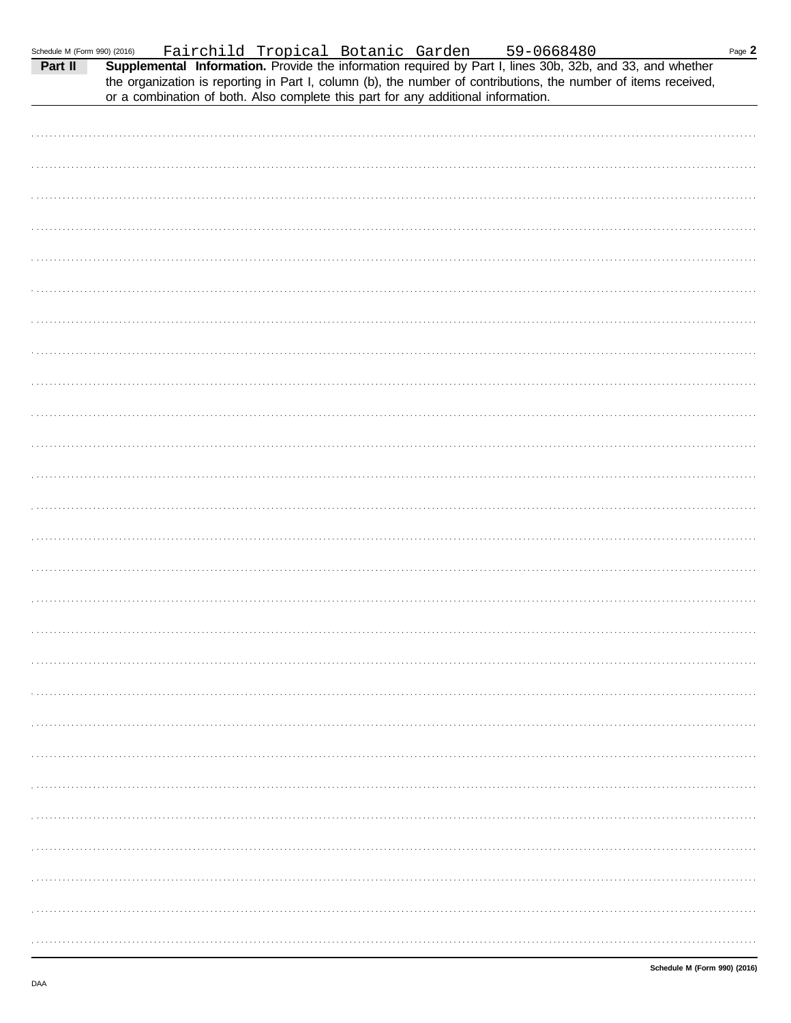| Schedule M (Form 990) (2016)<br>Part II | Fairchild Tropical Botanic Garden<br>or a combination of both. Also complete this part for any additional information. |  | 59-0668480 | Supplemental Information. Provide the information required by Part I, lines 30b, 32b, and 33, and whether<br>the organization is reporting in Part I, column (b), the number of contributions, the number of items received, | Page 2 |
|-----------------------------------------|------------------------------------------------------------------------------------------------------------------------|--|------------|------------------------------------------------------------------------------------------------------------------------------------------------------------------------------------------------------------------------------|--------|
|                                         |                                                                                                                        |  |            |                                                                                                                                                                                                                              |        |
|                                         |                                                                                                                        |  |            |                                                                                                                                                                                                                              |        |
|                                         |                                                                                                                        |  |            |                                                                                                                                                                                                                              |        |
|                                         |                                                                                                                        |  |            |                                                                                                                                                                                                                              |        |
|                                         |                                                                                                                        |  |            |                                                                                                                                                                                                                              |        |
|                                         |                                                                                                                        |  |            |                                                                                                                                                                                                                              |        |
|                                         |                                                                                                                        |  |            |                                                                                                                                                                                                                              |        |
|                                         |                                                                                                                        |  |            |                                                                                                                                                                                                                              |        |
|                                         |                                                                                                                        |  |            |                                                                                                                                                                                                                              |        |
|                                         |                                                                                                                        |  |            |                                                                                                                                                                                                                              |        |
|                                         |                                                                                                                        |  |            |                                                                                                                                                                                                                              |        |
|                                         |                                                                                                                        |  |            |                                                                                                                                                                                                                              |        |
|                                         |                                                                                                                        |  |            |                                                                                                                                                                                                                              |        |
|                                         |                                                                                                                        |  |            |                                                                                                                                                                                                                              |        |
|                                         |                                                                                                                        |  |            |                                                                                                                                                                                                                              |        |
|                                         |                                                                                                                        |  |            |                                                                                                                                                                                                                              |        |
|                                         |                                                                                                                        |  |            |                                                                                                                                                                                                                              |        |
|                                         |                                                                                                                        |  |            |                                                                                                                                                                                                                              |        |
|                                         |                                                                                                                        |  |            |                                                                                                                                                                                                                              |        |
|                                         |                                                                                                                        |  |            |                                                                                                                                                                                                                              |        |
|                                         |                                                                                                                        |  |            |                                                                                                                                                                                                                              |        |
|                                         |                                                                                                                        |  |            |                                                                                                                                                                                                                              |        |
|                                         |                                                                                                                        |  |            |                                                                                                                                                                                                                              |        |
|                                         |                                                                                                                        |  |            |                                                                                                                                                                                                                              |        |
|                                         |                                                                                                                        |  |            |                                                                                                                                                                                                                              |        |
|                                         |                                                                                                                        |  |            |                                                                                                                                                                                                                              |        |
|                                         |                                                                                                                        |  |            |                                                                                                                                                                                                                              |        |
|                                         |                                                                                                                        |  |            |                                                                                                                                                                                                                              |        |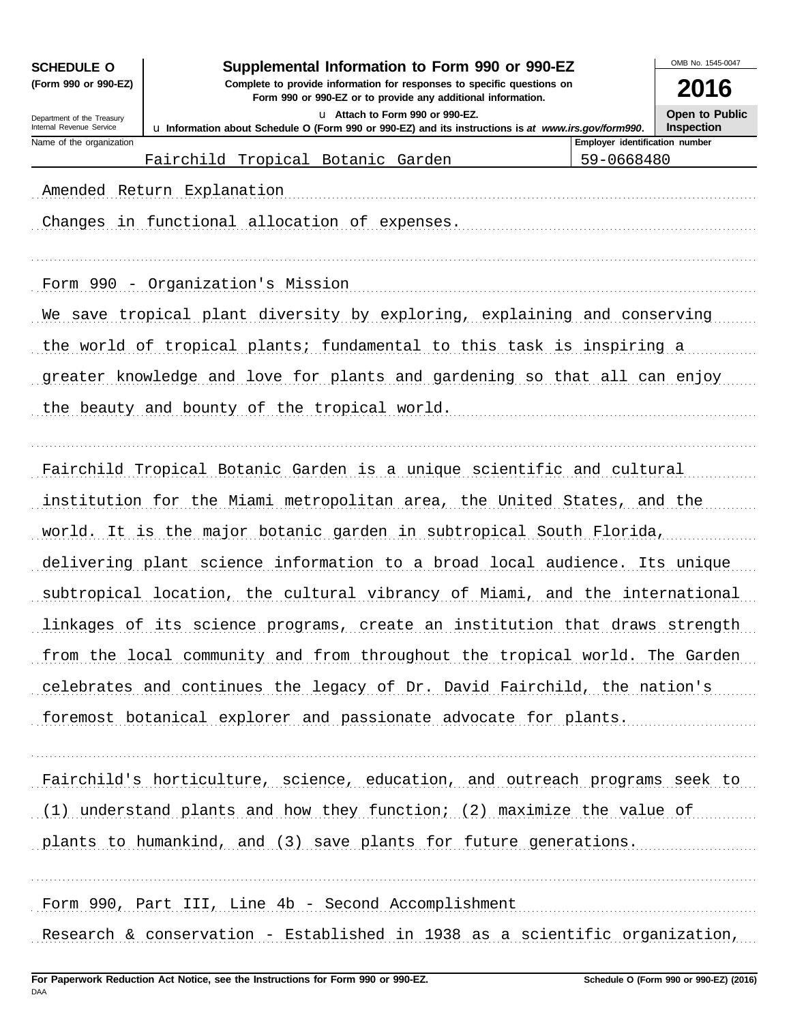| SCHEDULE O                                                                                                                                                     | Supplemental Information to Form 990 or 990-EZ                                                                                                 |                                              | OMB No. 1545-0047                          |  |  |
|----------------------------------------------------------------------------------------------------------------------------------------------------------------|------------------------------------------------------------------------------------------------------------------------------------------------|----------------------------------------------|--------------------------------------------|--|--|
| (Form 990 or 990-EZ)<br>Complete to provide information for responses to specific questions on<br>Form 990 or 990-EZ or to provide any additional information. |                                                                                                                                                |                                              | 2016                                       |  |  |
| Department of the Treasury<br>Internal Revenue Service                                                                                                         | Lu Attach to Form 990 or 990-EZ.<br><b>u Information about Schedule O (Form 990 or 990-EZ) and its instructions is at www.irs.gov/form990.</b> |                                              | <b>Open to Public</b><br><b>Inspection</b> |  |  |
| Name of the organization                                                                                                                                       | Fairchild Tropical Botanic Garden                                                                                                              | Employer identification number<br>59-0668480 |                                            |  |  |
|                                                                                                                                                                |                                                                                                                                                |                                              |                                            |  |  |
|                                                                                                                                                                | Amended Return Explanation                                                                                                                     |                                              |                                            |  |  |
|                                                                                                                                                                | Changes in functional allocation of expenses.                                                                                                  |                                              |                                            |  |  |
|                                                                                                                                                                | Form 990 - Organization's Mission                                                                                                              |                                              |                                            |  |  |
|                                                                                                                                                                |                                                                                                                                                |                                              |                                            |  |  |
|                                                                                                                                                                | We save tropical plant diversity by exploring, explaining and conserving                                                                       |                                              |                                            |  |  |
|                                                                                                                                                                | the world of tropical plants; fundamental to this task is inspiring a                                                                          |                                              |                                            |  |  |
|                                                                                                                                                                | greater knowledge and love for plants and gardening so that all can enjoy                                                                      |                                              |                                            |  |  |
|                                                                                                                                                                | the beauty and bounty of the tropical world.                                                                                                   |                                              |                                            |  |  |
|                                                                                                                                                                |                                                                                                                                                |                                              |                                            |  |  |
|                                                                                                                                                                | Fairchild Tropical Botanic Garden is a unique scientific and cultural                                                                          |                                              |                                            |  |  |
|                                                                                                                                                                | institution for the Miami metropolitan area, the United States, and the                                                                        |                                              |                                            |  |  |
|                                                                                                                                                                | world. It is the major botanic garden in subtropical South Florida,                                                                            |                                              |                                            |  |  |
|                                                                                                                                                                | delivering plant science information to a broad local audience. Its unique                                                                     |                                              |                                            |  |  |
|                                                                                                                                                                | subtropical location, the cultural vibrancy of Miami, and the international                                                                    |                                              |                                            |  |  |
|                                                                                                                                                                | linkages of its science programs, create an institution that draws strength                                                                    |                                              |                                            |  |  |
|                                                                                                                                                                | from the local community and from throughout the tropical world. The Garden                                                                    |                                              |                                            |  |  |
|                                                                                                                                                                | celebrates and continues the legacy of Dr. David Fairchild, the nation's                                                                       |                                              |                                            |  |  |
| foremost botanical explorer and passionate advocate for plants.                                                                                                |                                                                                                                                                |                                              |                                            |  |  |
|                                                                                                                                                                |                                                                                                                                                |                                              |                                            |  |  |
|                                                                                                                                                                | Fairchild's horticulture, science, education, and outreach programs seek to                                                                    |                                              |                                            |  |  |
| (1) understand plants and how they function; (2) maximize the value of                                                                                         |                                                                                                                                                |                                              |                                            |  |  |
| plants to humankind, and (3) save plants for future generations.                                                                                               |                                                                                                                                                |                                              |                                            |  |  |
|                                                                                                                                                                |                                                                                                                                                |                                              |                                            |  |  |
|                                                                                                                                                                | Form 990, Part III, Line 4b - Second Accomplishment                                                                                            |                                              |                                            |  |  |
|                                                                                                                                                                | Research & conservation - Established in 1938 as a scientific organization,                                                                    |                                              |                                            |  |  |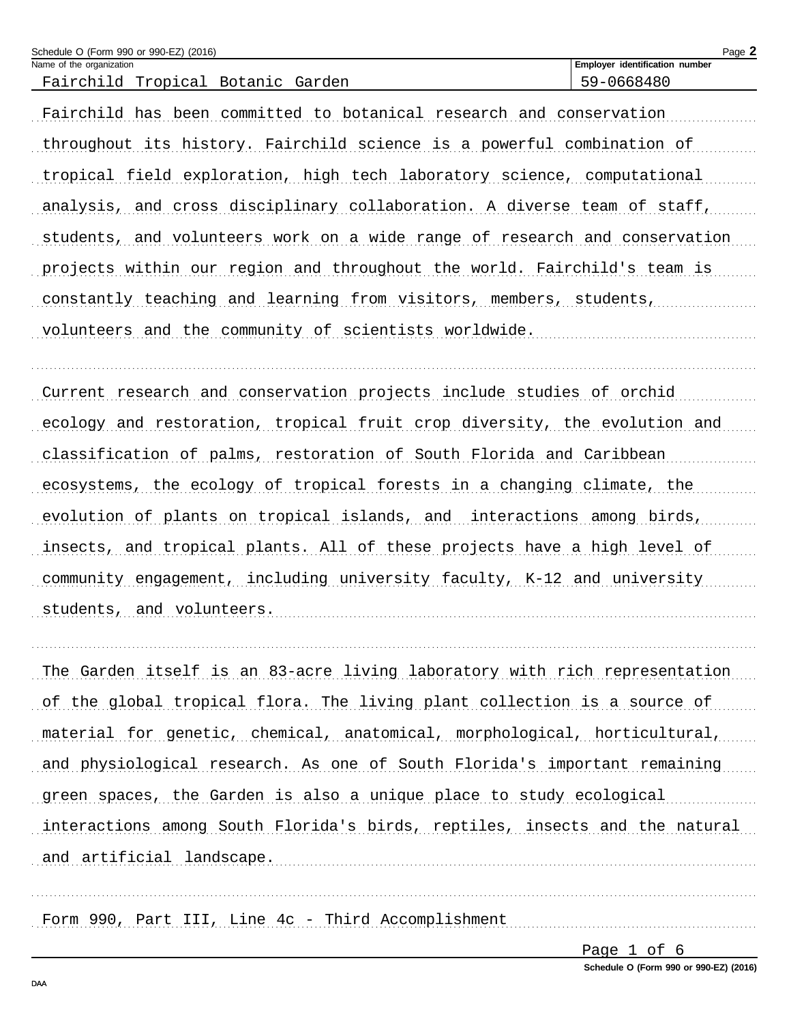| Schedule O (Form 990 or 990-EZ) (2016)<br>Name of the organization<br>Fairchild Tropical Botanic Garden | Page $Z$<br><b>Employer identification number</b><br>59-0668480 |
|---------------------------------------------------------------------------------------------------------|-----------------------------------------------------------------|
|                                                                                                         |                                                                 |
| Fairchild has been committed to botanical research and conservation                                     |                                                                 |
| throughout its history. Fairchild science is a powerful combination of                                  |                                                                 |
| tropical field exploration, high tech laboratory science, computational                                 |                                                                 |
| analysis, and cross disciplinary collaboration. A diverse team of staff,                                |                                                                 |
| students, and volunteers work on a wide range of research and conservation                              |                                                                 |
| projects within our region and throughout the world. Fairchild's team is                                |                                                                 |
| constantly teaching and learning from visitors, members, students,                                      |                                                                 |
| volunteers and the community of scientists worldwide.                                                   |                                                                 |
|                                                                                                         |                                                                 |
| Current research and conservation projects include studies of orchid                                    |                                                                 |
| ecology and restoration, tropical fruit crop diversity, the evolution and                               |                                                                 |
| classification of palms, restoration of South Florida and Caribbean                                     |                                                                 |
| ecosystems, the ecology of tropical forests in a changing climate, the                                  |                                                                 |
| evolution of plants on tropical islands, and interactions among birds,                                  |                                                                 |
| insects, and tropical plants. All of these projects have a high level of                                |                                                                 |
| community engagement, including university faculty, K-12 and university                                 |                                                                 |
| students, and volunteers.                                                                               |                                                                 |
|                                                                                                         |                                                                 |
| The Garden itself is an 83-acre living laboratory with rich representation                              |                                                                 |
| of the global tropical flora. The living plant collection is a source of                                |                                                                 |
| material for genetic, chemical, anatomical, morphological, horticultural,                               |                                                                 |
| and physiological research. As one of South Florida's important remaining                               |                                                                 |
| green spaces, the Garden is also a unique place to study ecological                                     |                                                                 |
| interactions among South Florida's birds, reptiles, insects and the natural                             |                                                                 |
| and artificial landscape.                                                                               |                                                                 |
|                                                                                                         |                                                                 |

and the state of the

Form 990, Part III, Line 4c - Third Accomplishment

Page 1 of 6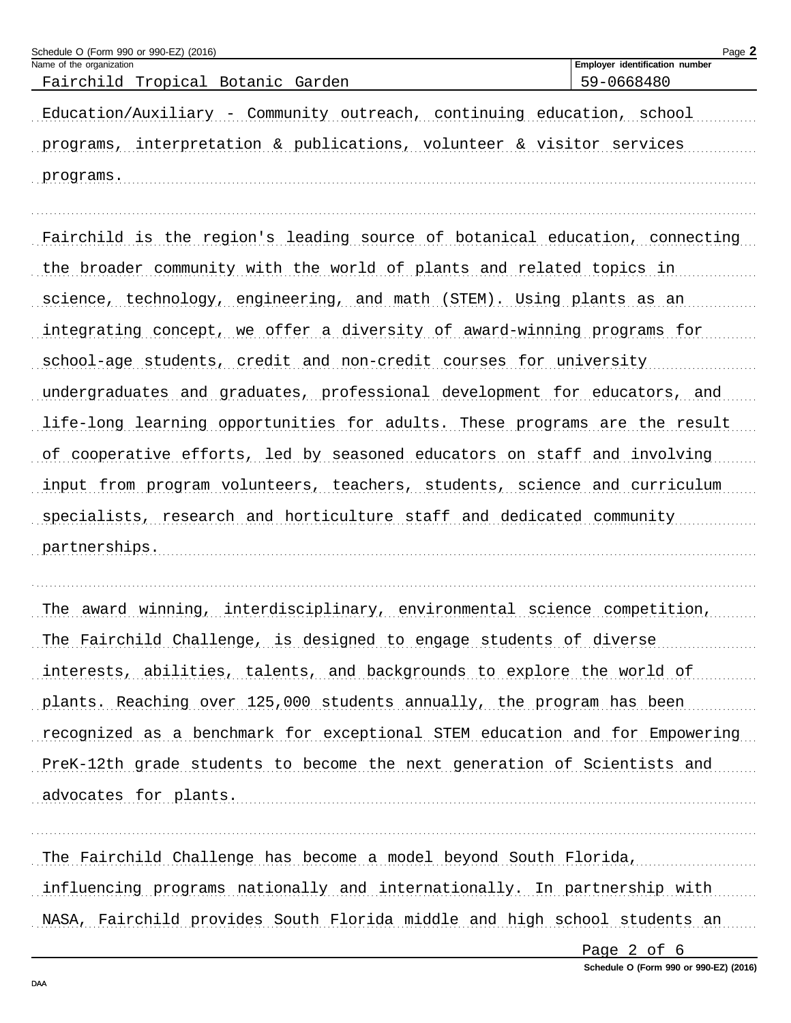| Schedule O (Form 990 or 990-EZ) (2016)<br>Name of the organization          | Page 2<br>Employer identification number |  |  |  |
|-----------------------------------------------------------------------------|------------------------------------------|--|--|--|
| Fairchild Tropical Botanic Garden                                           | 59-0668480                               |  |  |  |
| Education/Auxiliary - Community outreach, continuing education, school      |                                          |  |  |  |
| programs, interpretation & publications, volunteer & visitor services       |                                          |  |  |  |
| programs.                                                                   |                                          |  |  |  |
| Fairchild is the region's leading source of botanical education, connecting |                                          |  |  |  |
| the broader community with the world of plants and related topics in        |                                          |  |  |  |
| science, technology, engineering, and math (STEM). Using plants as an       |                                          |  |  |  |
| integrating concept, we offer a diversity of award-winning programs for     |                                          |  |  |  |
| school-age students, credit and non-credit courses for university           |                                          |  |  |  |
| undergraduates and graduates, professional development for educators, and   |                                          |  |  |  |
| life-long learning opportunities for adults. These programs are the result  |                                          |  |  |  |
| of cooperative efforts, led by seasoned educators on staff and involving    |                                          |  |  |  |
| input from program volunteers, teachers, students, science and curriculum   |                                          |  |  |  |
| specialists, research and horticulture staff and dedicated community        |                                          |  |  |  |
| partnerships.                                                               |                                          |  |  |  |
| The award winning, interdisciplinary, environmental science competition,    |                                          |  |  |  |
| The Fairchild Challenge, is designed to engage students of diverse          |                                          |  |  |  |
| interests, abilities, talents, and backgrounds to explore the world of      |                                          |  |  |  |
| plants. Reaching over 125,000 students annually, the program has been       |                                          |  |  |  |
| recognized as a benchmark for exceptional STEM education and for Empowering |                                          |  |  |  |
| PreK-12th grade students to become the next generation of Scientists and    |                                          |  |  |  |
| advocates for plants.                                                       |                                          |  |  |  |
|                                                                             |                                          |  |  |  |

The Fairchild Challenge has become a model beyond South Florida, influencing programs nationally and internationally. In partnership with NASA, Fairchild provides South Florida middle and high school students an

Page 2 of 6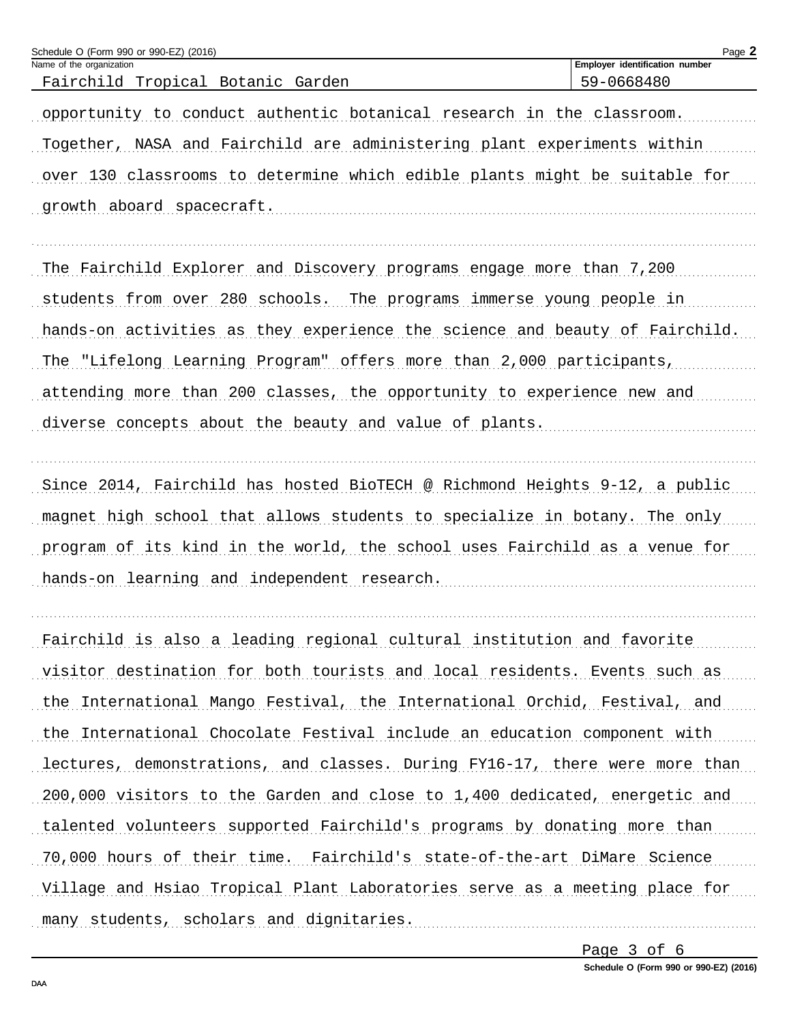| Schedule O (Form 990 or 990-EZ) (2016)                                      | Page 2                                       |
|-----------------------------------------------------------------------------|----------------------------------------------|
| Name of the organization<br>Fairchild Tropical Botanic Garden               | Emplover identification number<br>59-0668480 |
| opportunity to conduct authentic botanical research in the classroom.       |                                              |
| Together, NASA and Fairchild are administering plant experiments within     |                                              |
|                                                                             |                                              |
| over 130 classrooms to determine which edible plants might be suitable for  |                                              |
| growth aboard spacecraft.                                                   |                                              |
|                                                                             |                                              |
| The Fairchild Explorer and Discovery programs engage more than 7,200        |                                              |
| students from over 280 schools. The programs immerse young people in        |                                              |
| hands-on activities as they experience the science and beauty of Fairchild. |                                              |
| The "Lifelong Learning Program" offers more than 2,000 participants,        |                                              |
| attending more than 200 classes, the opportunity to experience new and      |                                              |
| diverse concepts about the beauty and value of plants.                      |                                              |
|                                                                             |                                              |
| Since 2014, Fairchild has hosted BioTECH @ Richmond Heights 9-12, a public  |                                              |
| magnet high school that allows students to specialize in botany. The only   |                                              |
| program of its kind in the world, the school uses Fairchild as a venue for  |                                              |
| hands-on learning and independent research.                                 |                                              |
|                                                                             |                                              |
| Fairchild is also a leading regional cultural institution and favorite      |                                              |
| visitor destination for both tourists and local residents. Events such as   |                                              |
| the International Mango Festival, the International Orchid, Festival, and   |                                              |
| the International Chocolate Festival include an education component with    |                                              |
| lectures, demonstrations, and classes. During FY16-17, there were more than |                                              |
| 200,000 visitors to the Garden and close to 1,400 dedicated, energetic and  |                                              |
| talented volunteers supported Fairchild's programs by donating more than    |                                              |
| 70,000 hours of their time. Fairchild's state-of-the-art DiMare Science     |                                              |
| Village and Hsiao Tropical Plant Laboratories serve as a meeting place for  |                                              |
| many students, scholars and dignitaries.                                    |                                              |
|                                                                             |                                              |

Page 3 of 6

Schedule O (Form 990 or 990-EZ) (2016)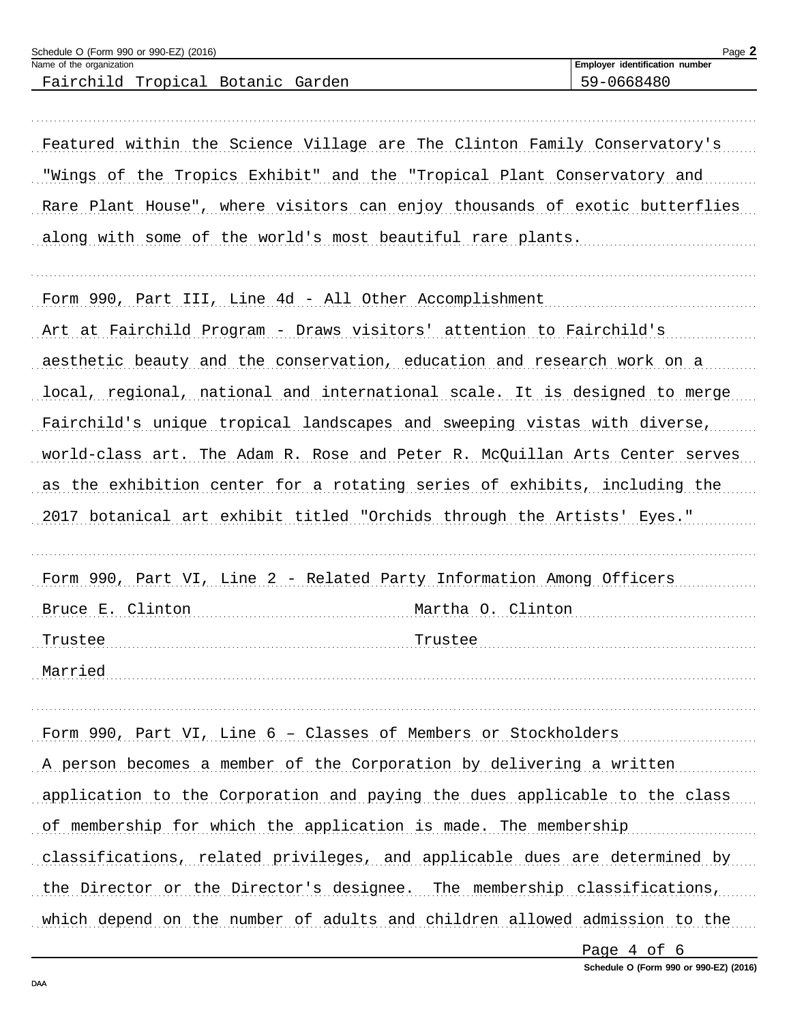| Schedule O (Form 990 or 990-EZ) (2016)                                      |                   | Page 2                                       |
|-----------------------------------------------------------------------------|-------------------|----------------------------------------------|
| Name of the organization<br>Fairchild Tropical Botanic Garden               |                   | Employer identification number<br>59-0668480 |
|                                                                             |                   |                                              |
| Featured within the Science Village are The Clinton Family Conservatory's   |                   |                                              |
| "Wings of the Tropics Exhibit" and the "Tropical Plant Conservatory and     |                   |                                              |
| Rare Plant House", where visitors can enjoy thousands of exotic butterflies |                   |                                              |
| along with some of the world's most beautiful rare plants.                  |                   |                                              |
| Form 990, Part III, Line 4d - All Other Accomplishment                      |                   |                                              |
| Art at Fairchild Program - Draws visitors' attention to Fairchild's         |                   |                                              |
| aesthetic beauty and the conservation, education and research work on a     |                   |                                              |
| local, regional, national and international scale. It is designed to merge  |                   |                                              |
| Fairchild's unique tropical landscapes and sweeping vistas with diverse,    |                   |                                              |
| world-class art. The Adam R. Rose and Peter R. McQuillan Arts Center serves |                   |                                              |
| as the exhibition center for a rotating series of exhibits, including the   |                   |                                              |
| 2017 botanical art exhibit titled "Orchids through the Artists' Eyes."      |                   |                                              |
| Form 990, Part VI, Line 2 - Related Party Information Among Officers        |                   |                                              |
| Bruce E. Clinton                                                            | Martha O. Clinton |                                              |
| Trustee                                                                     | Trustee           |                                              |
| Married                                                                     |                   |                                              |
| Form 990, Part VI, Line 6 - Classes of Members or Stockholders              |                   |                                              |
| A person becomes a member of the Corporation by delivering a written        |                   |                                              |
| application to the Corporation and paying the dues applicable to the class  |                   |                                              |
| of membership for which the application is made. The membership             |                   |                                              |
| classifications, related privileges, and applicable dues are determined by  |                   |                                              |
| the Director or the Director's designee. The membership classifications,    |                   |                                              |
| which depend on the number of adults and children allowed admission to the  |                   |                                              |

Page 4 of 6

Schedule O (Form 990 or 990-EZ) (2016)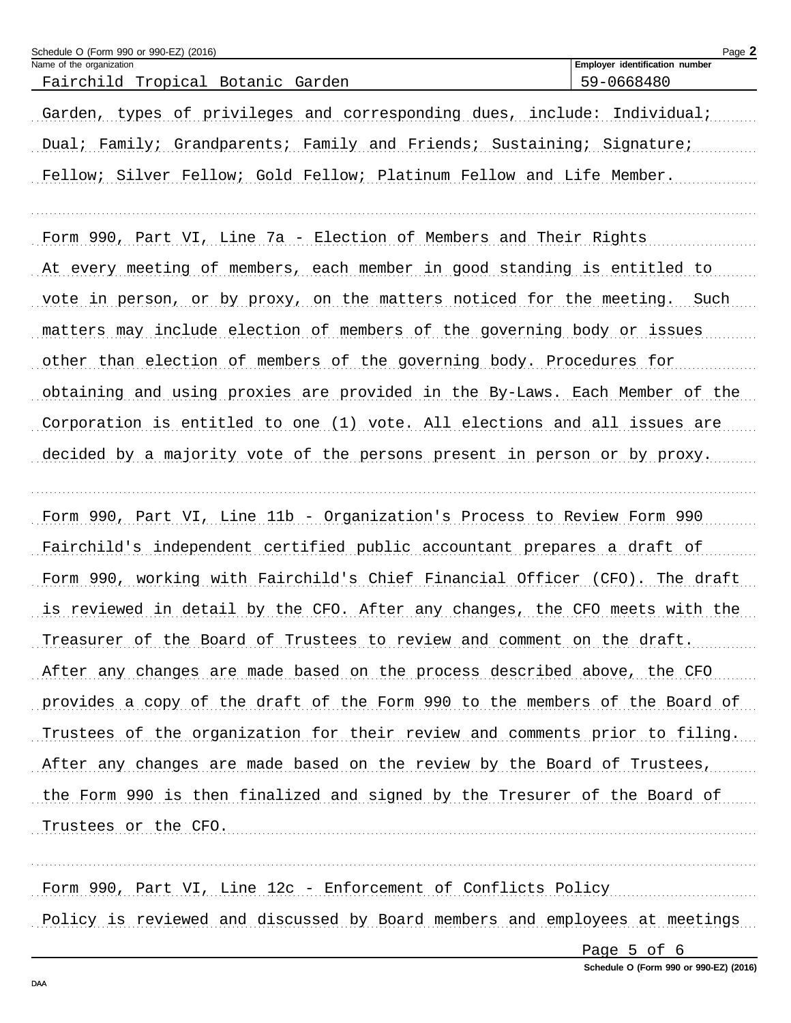| Schedule O (Form 990 or 990-EZ) (2016)<br>Name of the organization                                                                                                                                                         | Page 2                                       |
|----------------------------------------------------------------------------------------------------------------------------------------------------------------------------------------------------------------------------|----------------------------------------------|
| Fairchild Tropical Botanic Garden                                                                                                                                                                                          | Employer identification number<br>59-0668480 |
| Garden, types of privileges and corresponding dues, include: Individual;<br>Dual; Family; Grandparents; Family and Friends; Sustaining; Signature;<br>Fellow; Silver Fellow; Gold Fellow; Platinum Fellow and Life Member. |                                              |
| Form 990, Part VI, Line 7a - Election of Members and Their Rights<br>At every meeting of members, each member in good standing is entitled to<br>vote in person, or by proxy, on the matters noticed for the meeting. Such |                                              |
| matters may include election of members of the governing body or issues                                                                                                                                                    |                                              |
| other than election of members of the governing body. Procedures for                                                                                                                                                       |                                              |
| obtaining and using proxies are provided in the By-Laws. Each Member of the                                                                                                                                                |                                              |
| Corporation is entitled to one (1) vote. All elections and all issues are                                                                                                                                                  |                                              |
| decided by a majority vote of the persons present in person or by proxy.                                                                                                                                                   |                                              |
| Form 990, Part VI, Line 11b - Organization's Process to Review Form 990                                                                                                                                                    |                                              |
| Fairchild's independent certified public accountant prepares a draft of                                                                                                                                                    |                                              |
| Form 990, working with Fairchild's Chief Financial Officer (CFO). The draft                                                                                                                                                |                                              |
| is reviewed in detail by the CFO. After any changes, the CFO meets with the                                                                                                                                                |                                              |
| Treasurer of the Board of Trustees to review and comment on the draft.                                                                                                                                                     |                                              |
| After any changes are made based on the process described above, the CFO                                                                                                                                                   |                                              |
| provides a copy of the draft of the Form 990 to the members of the Board of                                                                                                                                                |                                              |
| Trustees of the organization for their review and comments prior to filing.                                                                                                                                                |                                              |
| After any changes are made based on the review by the Board of Trustees,                                                                                                                                                   |                                              |
| the Form 990 is then finalized and signed by the Tresurer of the Board of                                                                                                                                                  |                                              |
| Trustees or the CFO.                                                                                                                                                                                                       |                                              |

Form 990, Part VI, Line 12c - Enforcement of Conflicts Policy Policy is reviewed and discussed by Board members and employees at meetings

Page 5 of 6